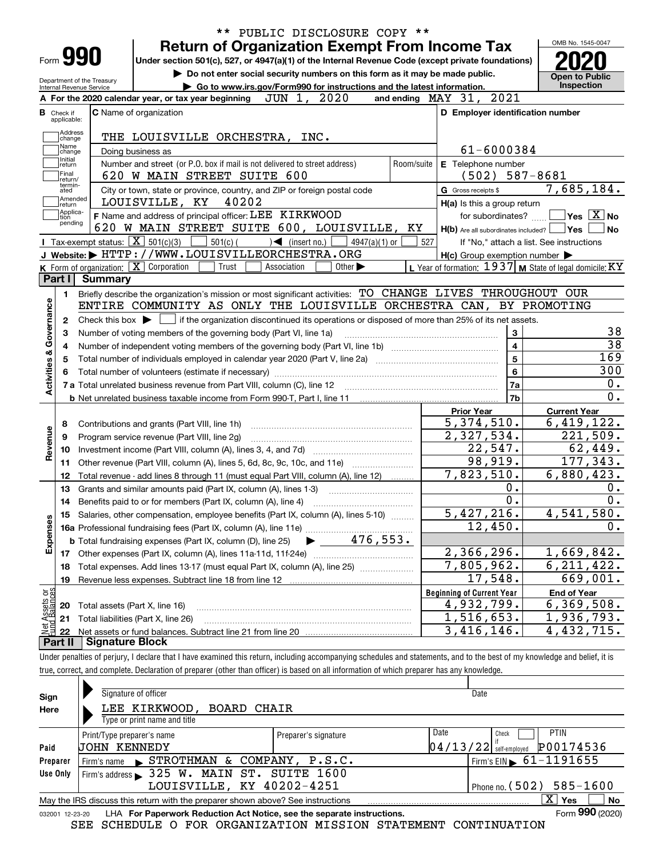|                                                                                                           |                |                                                            |                                                                                                                                                          |                             |            |                                                                                                                  |                     | OMB No. 1545-0047                                                                                                                                                                                                                 |
|-----------------------------------------------------------------------------------------------------------|----------------|------------------------------------------------------------|----------------------------------------------------------------------------------------------------------------------------------------------------------|-----------------------------|------------|------------------------------------------------------------------------------------------------------------------|---------------------|-----------------------------------------------------------------------------------------------------------------------------------------------------------------------------------------------------------------------------------|
|                                                                                                           |                |                                                            | <b>Return of Organization Exempt From Income Tax</b>                                                                                                     |                             |            |                                                                                                                  |                     |                                                                                                                                                                                                                                   |
| Form 990                                                                                                  |                |                                                            | Under section 501(c), 527, or 4947(a)(1) of the Internal Revenue Code (except private foundations)                                                       |                             |            |                                                                                                                  |                     |                                                                                                                                                                                                                                   |
| Do not enter social security numbers on this form as it may be made public.<br>Department of the Treasury |                |                                                            |                                                                                                                                                          |                             |            |                                                                                                                  |                     | <b>Open to Public</b>                                                                                                                                                                                                             |
| Internal Revenue Service                                                                                  |                |                                                            | Go to www.irs.gov/Form990 for instructions and the latest information.                                                                                   |                             |            |                                                                                                                  |                     | Inspection                                                                                                                                                                                                                        |
|                                                                                                           |                | A For the 2020 calendar year, or tax year beginning        | JUN 1, 2020                                                                                                                                              |                             |            | and ending MAY 31, 2021                                                                                          |                     |                                                                                                                                                                                                                                   |
| Check if<br>applicable:                                                                                   |                | C Name of organization                                     |                                                                                                                                                          |                             |            | D Employer identification number                                                                                 |                     |                                                                                                                                                                                                                                   |
| Address                                                                                                   |                |                                                            |                                                                                                                                                          |                             |            |                                                                                                                  |                     |                                                                                                                                                                                                                                   |
| change<br>Name                                                                                            |                |                                                            | THE LOUISVILLE ORCHESTRA, INC.                                                                                                                           |                             |            |                                                                                                                  |                     |                                                                                                                                                                                                                                   |
| change<br>Initial                                                                                         |                | Doing business as                                          |                                                                                                                                                          |                             |            | 61-6000384                                                                                                       |                     |                                                                                                                                                                                                                                   |
| return<br>Final                                                                                           |                |                                                            | Number and street (or P.O. box if mail is not delivered to street address)                                                                               |                             | Room/suite | E Telephone number                                                                                               |                     |                                                                                                                                                                                                                                   |
| return/<br>termin-                                                                                        |                |                                                            | 620 W MAIN STREET SUITE 600                                                                                                                              |                             |            | $(502)$ 587-8681                                                                                                 |                     |                                                                                                                                                                                                                                   |
| ated<br> Amended                                                                                          |                |                                                            | City or town, state or province, country, and ZIP or foreign postal code                                                                                 |                             |            | G Gross receipts \$                                                                                              | 7,685,184.          |                                                                                                                                                                                                                                   |
| return<br>Applica-                                                                                        |                | LOUISVILLE, KY                                             | 40202                                                                                                                                                    |                             |            | H(a) Is this a group return                                                                                      |                     |                                                                                                                                                                                                                                   |
| tion<br>pending                                                                                           |                |                                                            | F Name and address of principal officer: LEE KIRKWOOD                                                                                                    |                             |            | for subordinates?                                                                                                |                     | $\sqrt{}$ Yes $\sqrt{}$ $\overline{\rm X}$ $\sqrt{}$ No                                                                                                                                                                           |
|                                                                                                           |                | <b>I</b> Tax-exempt status: $\boxed{\mathbf{X}}$ 501(c)(3) | 620 W MAIN STREET SUITE 600, LOUISVILLE, KY                                                                                                              |                             |            | $H(b)$ Are all subordinates included? $\Box$ Yes                                                                 |                     | <b>No</b>                                                                                                                                                                                                                         |
|                                                                                                           |                |                                                            | $501(c)$ (<br>$\sqrt{\frac{1}{1}}$ (insert no.)<br>J Website: FITTP://WWW.LOUISVILLEORCHESTRA.ORG                                                        | $4947(a)(1)$ or             | 527        | If "No," attach a list. See instructions                                                                         |                     |                                                                                                                                                                                                                                   |
|                                                                                                           |                | K Form of organization: $\boxed{\mathbf{X}}$ Corporation   | Trust<br>Association                                                                                                                                     | Other $\blacktriangleright$ |            | $H(c)$ Group exemption number $\blacktriangleright$<br>L Year of formation: $1937$ M State of legal domicile: KY |                     |                                                                                                                                                                                                                                   |
| Part I                                                                                                    | <b>Summary</b> |                                                            |                                                                                                                                                          |                             |            |                                                                                                                  |                     |                                                                                                                                                                                                                                   |
|                                                                                                           |                |                                                            | Briefly describe the organization's mission or most significant activities: TO CHANGE LIVES THROUGHOUT OUR                                               |                             |            |                                                                                                                  |                     |                                                                                                                                                                                                                                   |
| 1.                                                                                                        |                |                                                            | ENTIRE COMMUNITY AS ONLY THE LOUISVILLE ORCHESTRA CAN, BY PROMOTING                                                                                      |                             |            |                                                                                                                  |                     |                                                                                                                                                                                                                                   |
|                                                                                                           |                |                                                            |                                                                                                                                                          |                             |            |                                                                                                                  |                     |                                                                                                                                                                                                                                   |
|                                                                                                           |                |                                                            |                                                                                                                                                          |                             |            |                                                                                                                  |                     |                                                                                                                                                                                                                                   |
| 2                                                                                                         |                |                                                            | Check this box $\blacktriangleright$ $\blacksquare$ if the organization discontinued its operations or disposed of more than 25% of its net assets.      |                             |            |                                                                                                                  |                     |                                                                                                                                                                                                                                   |
| З                                                                                                         |                |                                                            | Number of voting members of the governing body (Part VI, line 1a)                                                                                        |                             |            | 3                                                                                                                |                     |                                                                                                                                                                                                                                   |
|                                                                                                           |                |                                                            |                                                                                                                                                          |                             |            | $\overline{4}$                                                                                                   |                     |                                                                                                                                                                                                                                   |
|                                                                                                           |                |                                                            | Total number of individuals employed in calendar year 2020 (Part V, line 2a) manufacture of individuals employed in calendar year 2020 (Part V, line 2a) |                             |            | $\overline{5}$                                                                                                   |                     |                                                                                                                                                                                                                                   |
|                                                                                                           |                |                                                            |                                                                                                                                                          |                             |            | 6                                                                                                                |                     |                                                                                                                                                                                                                                   |
|                                                                                                           |                |                                                            |                                                                                                                                                          |                             |            | 7a                                                                                                               |                     |                                                                                                                                                                                                                                   |
|                                                                                                           |                |                                                            |                                                                                                                                                          |                             |            | 7b                                                                                                               |                     |                                                                                                                                                                                                                                   |
|                                                                                                           |                |                                                            |                                                                                                                                                          |                             |            | <b>Prior Year</b>                                                                                                | <b>Current Year</b> |                                                                                                                                                                                                                                   |
| 8                                                                                                         |                | Contributions and grants (Part VIII, line 1h)              |                                                                                                                                                          |                             |            | 5,374,510.                                                                                                       |                     |                                                                                                                                                                                                                                   |
| 9                                                                                                         |                | Program service revenue (Part VIII, line 2g)               |                                                                                                                                                          |                             |            | 2,327,534.                                                                                                       |                     |                                                                                                                                                                                                                                   |
| 10                                                                                                        |                |                                                            |                                                                                                                                                          |                             |            | 22,547.                                                                                                          |                     |                                                                                                                                                                                                                                   |
| 11                                                                                                        |                |                                                            | Other revenue (Part VIII, column (A), lines 5, 6d, 8c, 9c, 10c, and 11e)                                                                                 |                             |            | 98,919.                                                                                                          |                     |                                                                                                                                                                                                                                   |
| 12                                                                                                        |                |                                                            | Total revenue - add lines 8 through 11 (must equal Part VIII, column (A), line 12)                                                                       |                             |            | 7,823,510.                                                                                                       |                     |                                                                                                                                                                                                                                   |
| Activities & Governance<br>Revenue<br>13                                                                  |                |                                                            | Grants and similar amounts paid (Part IX, column (A), lines 1-3)                                                                                         |                             |            | 0.                                                                                                               |                     |                                                                                                                                                                                                                                   |
| 14                                                                                                        |                |                                                            | Benefits paid to or for members (Part IX, column (A), line 4)                                                                                            |                             |            | $\overline{0}$ .                                                                                                 |                     |                                                                                                                                                                                                                                   |
|                                                                                                           |                |                                                            | 15 Salaries, other compensation, employee benefits (Part IX, column (A), lines 5-10)                                                                     |                             |            | 5,427,216.                                                                                                       |                     |                                                                                                                                                                                                                                   |
|                                                                                                           |                |                                                            |                                                                                                                                                          |                             |            | 12,450.                                                                                                          |                     |                                                                                                                                                                                                                                   |
|                                                                                                           |                |                                                            | 16 Detailed, State 22<br>16 Professional fundraising fees (Part IX, column (A), line 11e)<br>The Contract of Contract (Part IX, column (D), line 25      |                             |            |                                                                                                                  |                     |                                                                                                                                                                                                                                   |
| Expenses                                                                                                  |                |                                                            |                                                                                                                                                          |                             |            | 2,366,296.                                                                                                       |                     |                                                                                                                                                                                                                                   |
| 18                                                                                                        |                |                                                            | Total expenses. Add lines 13-17 (must equal Part IX, column (A), line 25)                                                                                |                             |            | 7,805,962.                                                                                                       |                     |                                                                                                                                                                                                                                   |
| 19                                                                                                        |                | Revenue less expenses. Subtract line 18 from line 12       |                                                                                                                                                          |                             |            | 17,548.                                                                                                          |                     |                                                                                                                                                                                                                                   |
|                                                                                                           |                |                                                            |                                                                                                                                                          |                             |            | <b>Beginning of Current Year</b>                                                                                 | <b>End of Year</b>  |                                                                                                                                                                                                                                   |
| 20                                                                                                        |                | Total assets (Part X, line 16)                             |                                                                                                                                                          |                             |            | 4,932,799.                                                                                                       |                     | 38<br>$\overline{38}$<br>$\overline{169}$<br>300<br>0.<br>0.<br>6,419,122.<br>221,509.<br>62,449.<br>177,343.<br>6,880,423.<br>0.<br>$\overline{0}$ .<br>4,541,580.<br>0.<br>1,669,842.<br>6, 211, 422.<br>669,001.<br>6,369,508. |
| Net Assets or<br>Fund Balances<br>21<br>22                                                                |                | Total liabilities (Part X, line 26)                        |                                                                                                                                                          |                             |            | 1,516,653.<br>3,416,146.                                                                                         |                     | $\overline{1,}$ 936,793.<br>4,432,715.                                                                                                                                                                                            |

true, correct, and complete. Declaration of preparer (other than officer) is based on all information of which preparer has any knowledge.

| Sign            | Signature of officer                                                                                                 |                      | Date                                   |  |  |  |  |  |  |
|-----------------|----------------------------------------------------------------------------------------------------------------------|----------------------|----------------------------------------|--|--|--|--|--|--|
| Here            | LEE KIRKWOOD, BOARD CHAIR                                                                                            |                      |                                        |  |  |  |  |  |  |
|                 | Type or print name and title                                                                                         |                      |                                        |  |  |  |  |  |  |
|                 | Print/Type preparer's name                                                                                           | Preparer's signature | Date<br><b>PTIN</b><br>Check           |  |  |  |  |  |  |
| Paid            | UOHN KENNEDY                                                                                                         |                      | P00174536<br>$04/13/22$ self-employed  |  |  |  |  |  |  |
| Preparer        | Firm's name STROTHMAN & COMPANY, P.S.C.                                                                              |                      | Firm's EIN $\triangleright$ 61-1191655 |  |  |  |  |  |  |
| Use Only        | Firm's address 325 W. MAIN ST. SUITE 1600                                                                            |                      |                                        |  |  |  |  |  |  |
|                 | LOUISVILLE, KY 40202-4251                                                                                            |                      | Phone no. $(502)$ 585-1600             |  |  |  |  |  |  |
|                 | $\overline{\mathrm{X}}$ Yes<br>No<br>May the IRS discuss this return with the preparer shown above? See instructions |                      |                                        |  |  |  |  |  |  |
| 032001 12-23-20 | LHA For Paperwork Reduction Act Notice, see the separate instructions.                                               |                      | Form 990 (2020)                        |  |  |  |  |  |  |

SEE SCHEDULE O FOR ORGANIZATION MISSION STATEMENT CONTINUATION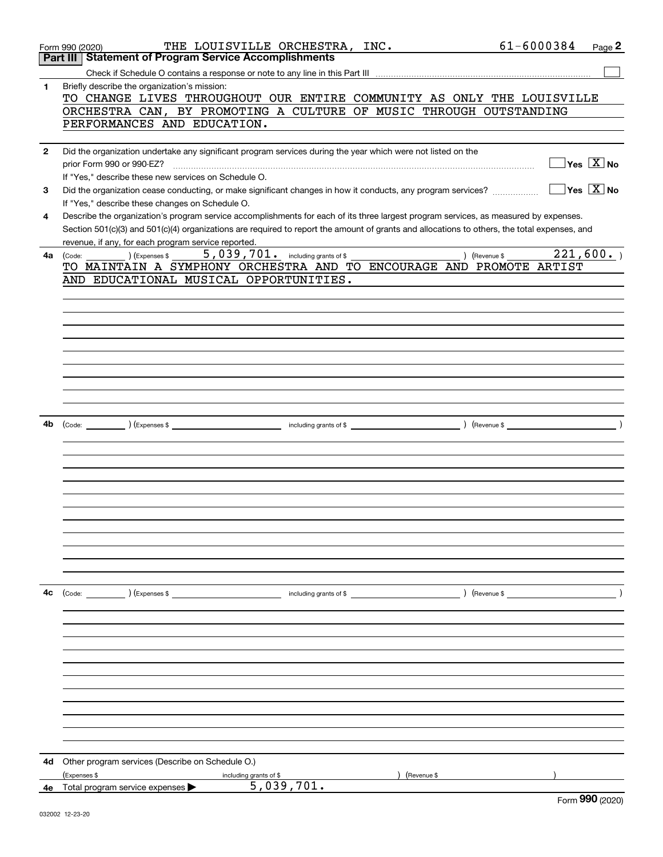|              | 61-6000384<br>THE LOUISVILLE ORCHESTRA, INC.<br>Page 2<br>Form 990 (2020)                                                                      |
|--------------|------------------------------------------------------------------------------------------------------------------------------------------------|
|              | <b>Statement of Program Service Accomplishments</b><br>Part III                                                                                |
|              |                                                                                                                                                |
| 1.           | Briefly describe the organization's mission:                                                                                                   |
|              | TO CHANGE LIVES THROUGHOUT OUR ENTIRE COMMUNITY AS ONLY THE LOUISVILLE                                                                         |
|              | ORCHESTRA CAN, BY PROMOTING A CULTURE OF MUSIC THROUGH OUTSTANDING                                                                             |
|              | PERFORMANCES AND EDUCATION.                                                                                                                    |
|              |                                                                                                                                                |
| $\mathbf{2}$ | Did the organization undertake any significant program services during the year which were not listed on the                                   |
|              | $ {\mathsf Y}{\mathsf e}{\mathsf s} \ \overline{{\mathsf X}}$ No<br>prior Form 990 or 990-EZ?                                                  |
|              | If "Yes," describe these new services on Schedule O.                                                                                           |
| 3            | $\overline{\mathsf{Yes} \mathrel{\;\; X} \mathsf{No}}$                                                                                         |
|              |                                                                                                                                                |
|              | If "Yes," describe these changes on Schedule O.                                                                                                |
| 4            | Describe the organization's program service accomplishments for each of its three largest program services, as measured by expenses.           |
|              | Section 501(c)(3) and 501(c)(4) organizations are required to report the amount of grants and allocations to others, the total expenses, and   |
|              | revenue, if any, for each program service reported.                                                                                            |
| 4a           | $\overline{221,600}$ .<br>$5,039,701.$ including grants of \$<br>$\left(\text{Code:}\right)$ $\left(\text{Expenses $}\right)$<br>) (Revenue \$ |
|              | TO MAINTAIN A SYMPHONY ORCHESTRA AND TO ENCOURAGE AND PROMOTE ARTIST                                                                           |
|              | AND EDUCATIONAL MUSICAL OPPORTUNITIES.                                                                                                         |
|              |                                                                                                                                                |
|              |                                                                                                                                                |
|              |                                                                                                                                                |
|              |                                                                                                                                                |
|              |                                                                                                                                                |
|              |                                                                                                                                                |
|              |                                                                                                                                                |
|              |                                                                                                                                                |
|              |                                                                                                                                                |
|              |                                                                                                                                                |
|              |                                                                                                                                                |
| 4b           |                                                                                                                                                |
|              |                                                                                                                                                |
|              |                                                                                                                                                |
|              |                                                                                                                                                |
|              |                                                                                                                                                |
|              |                                                                                                                                                |
|              |                                                                                                                                                |
|              |                                                                                                                                                |
|              |                                                                                                                                                |
|              |                                                                                                                                                |
|              |                                                                                                                                                |
|              |                                                                                                                                                |
|              |                                                                                                                                                |
| 4с           | $\text{(Code:} \qquad \qquad \text{)} \text{ (Express } $$<br>including grants of \$ (Revenue \$) (Revenue \$                                  |
|              |                                                                                                                                                |
|              |                                                                                                                                                |
|              |                                                                                                                                                |
|              |                                                                                                                                                |
|              |                                                                                                                                                |
|              |                                                                                                                                                |
|              |                                                                                                                                                |
|              |                                                                                                                                                |
|              |                                                                                                                                                |
|              |                                                                                                                                                |
|              |                                                                                                                                                |
|              |                                                                                                                                                |
|              |                                                                                                                                                |
| 4d           | Other program services (Describe on Schedule O.)                                                                                               |
|              | (Expenses \$<br>(Revenue \$<br>including grants of \$                                                                                          |
|              | 5,039,701.<br>4e Total program service expenses                                                                                                |
|              | ററെ .                                                                                                                                          |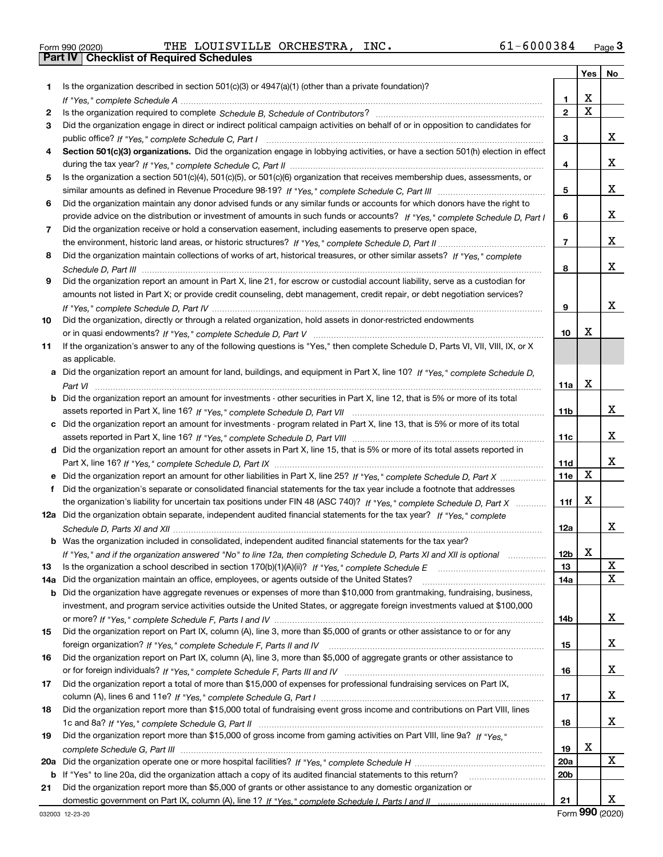|  | Form 990 (2020) |
|--|-----------------|

Form 990 (2020) THE LOUISVILLE ORCHESTRA, INC**.** 61-6000384 <sub>Page</sub> 3<br>**Part IV | Checklist of Required Schedules** 

|     |                                                                                                                                                                                                                                                   |                 | Yes         | No |
|-----|---------------------------------------------------------------------------------------------------------------------------------------------------------------------------------------------------------------------------------------------------|-----------------|-------------|----|
| 1.  | Is the organization described in section $501(c)(3)$ or $4947(a)(1)$ (other than a private foundation)?                                                                                                                                           |                 |             |    |
|     |                                                                                                                                                                                                                                                   | 1               | X           |    |
| 2   |                                                                                                                                                                                                                                                   | $\overline{2}$  | $\mathbf X$ |    |
| 3   | Did the organization engage in direct or indirect political campaign activities on behalf of or in opposition to candidates for                                                                                                                   |                 |             |    |
|     |                                                                                                                                                                                                                                                   | 3               |             | х  |
| 4   | Section 501(c)(3) organizations. Did the organization engage in lobbying activities, or have a section 501(h) election in effect                                                                                                                  |                 |             |    |
|     |                                                                                                                                                                                                                                                   | 4               |             | x  |
| 5   | Is the organization a section 501(c)(4), 501(c)(5), or 501(c)(6) organization that receives membership dues, assessments, or                                                                                                                      |                 |             |    |
|     |                                                                                                                                                                                                                                                   | 5               |             | х  |
| 6   | Did the organization maintain any donor advised funds or any similar funds or accounts for which donors have the right to                                                                                                                         |                 |             |    |
|     | provide advice on the distribution or investment of amounts in such funds or accounts? If "Yes," complete Schedule D, Part I                                                                                                                      | 6               |             | х  |
| 7   | Did the organization receive or hold a conservation easement, including easements to preserve open space,                                                                                                                                         |                 |             |    |
|     |                                                                                                                                                                                                                                                   | $\overline{7}$  |             | х  |
| 8   | Did the organization maintain collections of works of art, historical treasures, or other similar assets? If "Yes," complete                                                                                                                      |                 |             |    |
|     |                                                                                                                                                                                                                                                   | 8               |             | х  |
| 9   | Did the organization report an amount in Part X, line 21, for escrow or custodial account liability, serve as a custodian for                                                                                                                     |                 |             |    |
|     | amounts not listed in Part X; or provide credit counseling, debt management, credit repair, or debt negotiation services?                                                                                                                         |                 |             |    |
|     |                                                                                                                                                                                                                                                   | 9               |             | х  |
| 10  | Did the organization, directly or through a related organization, hold assets in donor-restricted endowments                                                                                                                                      |                 |             |    |
|     |                                                                                                                                                                                                                                                   | 10              | X           |    |
| 11  | If the organization's answer to any of the following questions is "Yes," then complete Schedule D, Parts VI, VII, VIII, IX, or X                                                                                                                  |                 |             |    |
|     | as applicable.                                                                                                                                                                                                                                    |                 |             |    |
| a   | Did the organization report an amount for land, buildings, and equipment in Part X, line 10? If "Yes." complete Schedule D.                                                                                                                       |                 |             |    |
|     |                                                                                                                                                                                                                                                   | 11a             | X           |    |
| b   | Did the organization report an amount for investments - other securities in Part X, line 12, that is 5% or more of its total                                                                                                                      |                 |             |    |
|     |                                                                                                                                                                                                                                                   | 11b             |             | x  |
| c   | Did the organization report an amount for investments - program related in Part X, line 13, that is 5% or more of its total                                                                                                                       |                 |             |    |
|     |                                                                                                                                                                                                                                                   | 11c             |             | х  |
|     | d Did the organization report an amount for other assets in Part X, line 15, that is 5% or more of its total assets reported in                                                                                                                   |                 |             | х  |
|     |                                                                                                                                                                                                                                                   | 11d             | $\mathbf X$ |    |
|     | Did the organization report an amount for other liabilities in Part X, line 25? If "Yes," complete Schedule D, Part X                                                                                                                             | 11e             |             |    |
| f   | Did the organization's separate or consolidated financial statements for the tax year include a footnote that addresses                                                                                                                           |                 | х           |    |
|     | the organization's liability for uncertain tax positions under FIN 48 (ASC 740)? If "Yes," complete Schedule D, Part X<br>12a Did the organization obtain separate, independent audited financial statements for the tax year? If "Yes," complete | 11f             |             |    |
|     |                                                                                                                                                                                                                                                   | 12a             |             | х  |
|     | <b>b</b> Was the organization included in consolidated, independent audited financial statements for the tax year?                                                                                                                                |                 |             |    |
|     |                                                                                                                                                                                                                                                   | 12b             | X           |    |
| 13  | If "Yes," and if the organization answered "No" to line 12a, then completing Schedule D, Parts XI and XII is optional<br>Is the organization a school described in section $170(b)(1)(A)(ii)?$ If "Yes," complete Schedule E                      | 13              |             | X  |
| 14a | Did the organization maintain an office, employees, or agents outside of the United States?                                                                                                                                                       | 14a             |             | х  |
| b   | Did the organization have aggregate revenues or expenses of more than \$10,000 from grantmaking, fundraising, business,                                                                                                                           |                 |             |    |
|     | investment, and program service activities outside the United States, or aggregate foreign investments valued at \$100,000                                                                                                                        |                 |             |    |
|     |                                                                                                                                                                                                                                                   | 14b             |             | x  |
| 15  | Did the organization report on Part IX, column (A), line 3, more than \$5,000 of grants or other assistance to or for any                                                                                                                         |                 |             |    |
|     |                                                                                                                                                                                                                                                   | 15              |             | x  |
| 16  | Did the organization report on Part IX, column (A), line 3, more than \$5,000 of aggregate grants or other assistance to                                                                                                                          |                 |             |    |
|     |                                                                                                                                                                                                                                                   | 16              |             | x  |
| 17  | Did the organization report a total of more than \$15,000 of expenses for professional fundraising services on Part IX,                                                                                                                           |                 |             |    |
|     |                                                                                                                                                                                                                                                   | 17              |             | x  |
| 18  | Did the organization report more than \$15,000 total of fundraising event gross income and contributions on Part VIII, lines                                                                                                                      |                 |             |    |
|     |                                                                                                                                                                                                                                                   | 18              |             | x  |
| 19  | Did the organization report more than \$15,000 of gross income from gaming activities on Part VIII, line 9a? If "Yes."                                                                                                                            |                 |             |    |
|     |                                                                                                                                                                                                                                                   | 19              | х           |    |
| 20a |                                                                                                                                                                                                                                                   | 20a             |             | x  |
| b   | If "Yes" to line 20a, did the organization attach a copy of its audited financial statements to this return?                                                                                                                                      | 20 <sub>b</sub> |             |    |
| 21  | Did the organization report more than \$5,000 of grants or other assistance to any domestic organization or                                                                                                                                       |                 |             |    |
|     |                                                                                                                                                                                                                                                   | 21              |             | x  |

Form (2020) **990**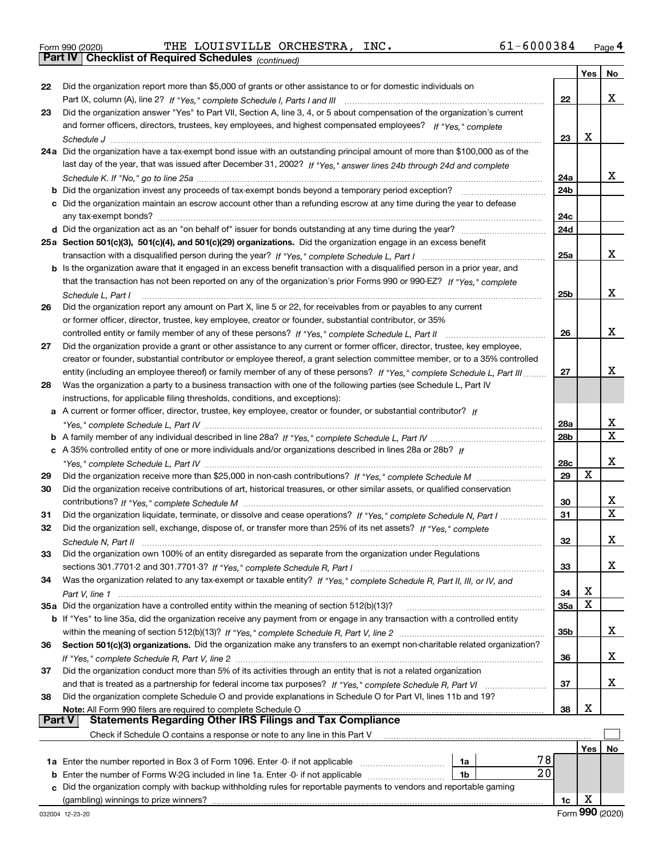|  | Form 990 (2020) |
|--|-----------------|
|  |                 |

*(continued)* Form 990 (2020) THE LOUISVILLE ORCHESTRA, INC**.** 61-6000384 <sub>Page</sub> 4<br>**Part IV | Checklist of Required Schedules** <sub>(continued)</sub>

|        |                                                                                                                                                                                                                                                         |                 | Yes | No          |
|--------|---------------------------------------------------------------------------------------------------------------------------------------------------------------------------------------------------------------------------------------------------------|-----------------|-----|-------------|
| 22     | Did the organization report more than \$5,000 of grants or other assistance to or for domestic individuals on                                                                                                                                           |                 |     |             |
|        |                                                                                                                                                                                                                                                         | 22              |     | x           |
| 23     | Did the organization answer "Yes" to Part VII, Section A, line 3, 4, or 5 about compensation of the organization's current                                                                                                                              |                 |     |             |
|        | and former officers, directors, trustees, key employees, and highest compensated employees? If "Yes," complete                                                                                                                                          |                 |     |             |
|        |                                                                                                                                                                                                                                                         | 23              | x   |             |
|        | 24a Did the organization have a tax-exempt bond issue with an outstanding principal amount of more than \$100,000 as of the                                                                                                                             |                 |     |             |
|        | last day of the year, that was issued after December 31, 2002? If "Yes," answer lines 24b through 24d and complete                                                                                                                                      |                 |     |             |
|        |                                                                                                                                                                                                                                                         | 24a             |     | x           |
|        |                                                                                                                                                                                                                                                         | 24 <sub>b</sub> |     |             |
|        | c Did the organization maintain an escrow account other than a refunding escrow at any time during the year to defease                                                                                                                                  |                 |     |             |
|        |                                                                                                                                                                                                                                                         | 24c             |     |             |
|        |                                                                                                                                                                                                                                                         | 24d             |     |             |
|        | 25a Section 501(c)(3), 501(c)(4), and 501(c)(29) organizations. Did the organization engage in an excess benefit                                                                                                                                        |                 |     |             |
|        |                                                                                                                                                                                                                                                         | 25a             |     | х           |
|        | b Is the organization aware that it engaged in an excess benefit transaction with a disqualified person in a prior year, and                                                                                                                            |                 |     |             |
|        | that the transaction has not been reported on any of the organization's prior Forms 990 or 990-EZ? If "Yes," complete                                                                                                                                   |                 |     |             |
|        | Schedule L, Part I                                                                                                                                                                                                                                      | 25b             |     | x           |
| 26     | Did the organization report any amount on Part X, line 5 or 22, for receivables from or payables to any current                                                                                                                                         |                 |     |             |
|        | or former officer, director, trustee, key employee, creator or founder, substantial contributor, or 35%                                                                                                                                                 |                 |     | X           |
|        | controlled entity or family member of any of these persons? If "Yes," complete Schedule L, Part II                                                                                                                                                      | 26              |     |             |
| 27     | Did the organization provide a grant or other assistance to any current or former officer, director, trustee, key employee,                                                                                                                             |                 |     |             |
|        | creator or founder, substantial contributor or employee thereof, a grant selection committee member, or to a 35% controlled<br>entity (including an employee thereof) or family member of any of these persons? If "Yes," complete Schedule L, Part III | 27              |     | х           |
| 28     | Was the organization a party to a business transaction with one of the following parties (see Schedule L, Part IV                                                                                                                                       |                 |     |             |
|        | instructions, for applicable filing thresholds, conditions, and exceptions):                                                                                                                                                                            |                 |     |             |
|        | a A current or former officer, director, trustee, key employee, creator or founder, or substantial contributor? If                                                                                                                                      |                 |     |             |
|        |                                                                                                                                                                                                                                                         | 28a             |     | x           |
|        |                                                                                                                                                                                                                                                         | 28 <sub>b</sub> |     | $\mathbf X$ |
|        | c A 35% controlled entity of one or more individuals and/or organizations described in lines 28a or 28b? If                                                                                                                                             |                 |     |             |
|        |                                                                                                                                                                                                                                                         | 28c             |     | х           |
| 29     |                                                                                                                                                                                                                                                         | 29              | X   |             |
| 30     | Did the organization receive contributions of art, historical treasures, or other similar assets, or qualified conservation                                                                                                                             |                 |     |             |
|        |                                                                                                                                                                                                                                                         | 30              |     | x           |
| 31     | Did the organization liquidate, terminate, or dissolve and cease operations? If "Yes," complete Schedule N, Part I                                                                                                                                      | 31              |     | $\mathbf X$ |
| 32     | Did the organization sell, exchange, dispose of, or transfer more than 25% of its net assets? If "Yes," complete                                                                                                                                        |                 |     |             |
|        |                                                                                                                                                                                                                                                         | 32              |     | х           |
| 33     | Did the organization own 100% of an entity disregarded as separate from the organization under Regulations                                                                                                                                              |                 |     |             |
|        |                                                                                                                                                                                                                                                         | 33              |     | x           |
| 34     | Was the organization related to any tax-exempt or taxable entity? If "Yes," complete Schedule R, Part II, III, or IV, and                                                                                                                               |                 |     |             |
|        |                                                                                                                                                                                                                                                         | 34              | х   |             |
|        | 35a Did the organization have a controlled entity within the meaning of section 512(b)(13)?                                                                                                                                                             | <b>35a</b>      | X   |             |
|        | b If "Yes" to line 35a, did the organization receive any payment from or engage in any transaction with a controlled entity                                                                                                                             |                 |     |             |
|        |                                                                                                                                                                                                                                                         | 35b             |     | X           |
| 36     | Section 501(c)(3) organizations. Did the organization make any transfers to an exempt non-charitable related organization?                                                                                                                              |                 |     |             |
|        |                                                                                                                                                                                                                                                         | 36              |     | x           |
| 37     | Did the organization conduct more than 5% of its activities through an entity that is not a related organization                                                                                                                                        |                 |     |             |
|        | and that is treated as a partnership for federal income tax purposes? If "Yes," complete Schedule R, Part VI                                                                                                                                            | 37              |     | x           |
| 38     | Did the organization complete Schedule O and provide explanations in Schedule O for Part VI, lines 11b and 19?                                                                                                                                          |                 |     |             |
| Part V | <b>Statements Regarding Other IRS Filings and Tax Compliance</b>                                                                                                                                                                                        | 38              | х   |             |
|        | Check if Schedule O contains a response or note to any line in this Part V                                                                                                                                                                              |                 |     |             |
|        |                                                                                                                                                                                                                                                         |                 | Yes | No          |
|        | 78<br>1a Enter the number reported in Box 3 of Form 1096. Enter -0- if not applicable<br>1a                                                                                                                                                             |                 |     |             |
| b      | $\overline{20}$<br>Enter the number of Forms W-2G included in line 1a. Enter -0- if not applicable<br>1b                                                                                                                                                |                 |     |             |
|        | Did the organization comply with backup withholding rules for reportable payments to vendors and reportable gaming                                                                                                                                      |                 |     |             |
|        |                                                                                                                                                                                                                                                         | 1c              | х   |             |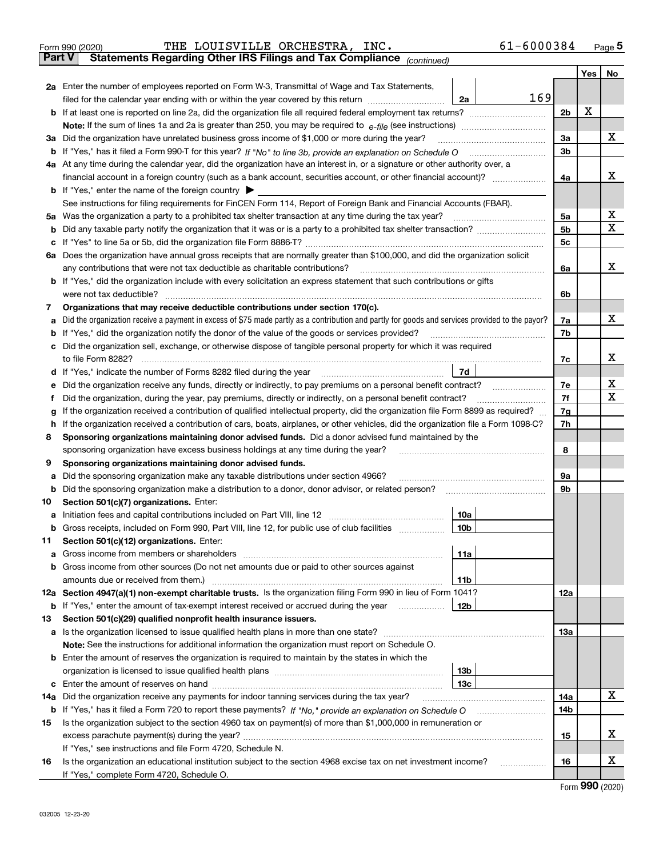|               | THE LOUISVILLE ORCHESTRA, INC.<br>61-6000384<br>Form 990 (2020)                                                                                                                                                                                  |          |     | $_{\text{Page}}$ 5          |
|---------------|--------------------------------------------------------------------------------------------------------------------------------------------------------------------------------------------------------------------------------------------------|----------|-----|-----------------------------|
| <b>Part V</b> | Statements Regarding Other IRS Filings and Tax Compliance (continued)                                                                                                                                                                            |          |     |                             |
|               |                                                                                                                                                                                                                                                  |          | Yes | No                          |
|               | 2a Enter the number of employees reported on Form W-3, Transmittal of Wage and Tax Statements,                                                                                                                                                   |          |     |                             |
|               | 169<br>filed for the calendar year ending with or within the year covered by this return<br>2a                                                                                                                                                   |          |     |                             |
|               |                                                                                                                                                                                                                                                  | 2b       | х   |                             |
|               |                                                                                                                                                                                                                                                  |          |     |                             |
|               | 3a Did the organization have unrelated business gross income of \$1,000 or more during the year?                                                                                                                                                 | 3a       |     | х                           |
|               |                                                                                                                                                                                                                                                  | 3b       |     |                             |
|               | 4a At any time during the calendar year, did the organization have an interest in, or a signature or other authority over, a                                                                                                                     |          |     |                             |
|               | financial account in a foreign country (such as a bank account, securities account, or other financial account)?                                                                                                                                 | 4a       |     | х                           |
|               | <b>b</b> If "Yes," enter the name of the foreign country $\triangleright$                                                                                                                                                                        |          |     |                             |
|               | See instructions for filing requirements for FinCEN Form 114, Report of Foreign Bank and Financial Accounts (FBAR).                                                                                                                              |          |     |                             |
|               |                                                                                                                                                                                                                                                  | 5a       |     | х                           |
| b             |                                                                                                                                                                                                                                                  | 5b       |     | х                           |
|               |                                                                                                                                                                                                                                                  | 5c       |     |                             |
|               | 6a Does the organization have annual gross receipts that are normally greater than \$100,000, and did the organization solicit                                                                                                                   |          |     |                             |
|               | any contributions that were not tax deductible as charitable contributions?                                                                                                                                                                      | 6a       |     | x                           |
|               | <b>b</b> If "Yes," did the organization include with every solicitation an express statement that such contributions or gifts                                                                                                                    |          |     |                             |
|               | were not tax deductible?                                                                                                                                                                                                                         | 6b       |     |                             |
| 7             | Organizations that may receive deductible contributions under section 170(c).                                                                                                                                                                    |          |     |                             |
| а             | Did the organization receive a payment in excess of \$75 made partly as a contribution and partly for goods and services provided to the payor?                                                                                                  | 7a       |     | х                           |
|               | <b>b</b> If "Yes," did the organization notify the donor of the value of the goods or services provided?                                                                                                                                         | 7b       |     |                             |
| c             | Did the organization sell, exchange, or otherwise dispose of tangible personal property for which it was required                                                                                                                                |          |     | х                           |
|               |                                                                                                                                                                                                                                                  | 7c       |     |                             |
|               | 7d  <br>d If "Yes," indicate the number of Forms 8282 filed during the year [11] [11] No. 2010 [12] Henry Marian Marian Marian Marian Marian Marian Marian Marian Marian Marian Marian Marian Marian Marian Marian Marian Marian Maria           |          |     | х                           |
| е             | Did the organization receive any funds, directly or indirectly, to pay premiums on a personal benefit contract?                                                                                                                                  | 7е<br>7f |     | х                           |
| f             | Did the organization, during the year, pay premiums, directly or indirectly, on a personal benefit contract?<br>If the organization received a contribution of qualified intellectual property, did the organization file Form 8899 as required? | 7g       |     |                             |
| g<br>h.       | If the organization received a contribution of cars, boats, airplanes, or other vehicles, did the organization file a Form 1098-C?                                                                                                               | 7h       |     |                             |
| 8             | Sponsoring organizations maintaining donor advised funds. Did a donor advised fund maintained by the                                                                                                                                             |          |     |                             |
|               | sponsoring organization have excess business holdings at any time during the year?                                                                                                                                                               | 8        |     |                             |
| 9             | Sponsoring organizations maintaining donor advised funds.                                                                                                                                                                                        |          |     |                             |
| а             | Did the sponsoring organization make any taxable distributions under section 4966?                                                                                                                                                               | 9а       |     |                             |
| b             |                                                                                                                                                                                                                                                  | 9b       |     |                             |
| 10            | Section 501(c)(7) organizations. Enter:                                                                                                                                                                                                          |          |     |                             |
|               | 10a                                                                                                                                                                                                                                              |          |     |                             |
|               | 10 <sub>b</sub><br>Gross receipts, included on Form 990, Part VIII, line 12, for public use of club facilities                                                                                                                                   |          |     |                             |
| 11            | Section 501(c)(12) organizations. Enter:                                                                                                                                                                                                         |          |     |                             |
| а             | Gross income from members or shareholders<br>11a                                                                                                                                                                                                 |          |     |                             |
|               | b Gross income from other sources (Do not net amounts due or paid to other sources against                                                                                                                                                       |          |     |                             |
|               | amounts due or received from them.)<br>11b                                                                                                                                                                                                       |          |     |                             |
|               | 12a Section 4947(a)(1) non-exempt charitable trusts. Is the organization filing Form 990 in lieu of Form 1041?                                                                                                                                   | 12a      |     |                             |
|               | 12b<br><b>b</b> If "Yes," enter the amount of tax-exempt interest received or accrued during the year                                                                                                                                            |          |     |                             |
| 13            | Section 501(c)(29) qualified nonprofit health insurance issuers.                                                                                                                                                                                 |          |     |                             |
| a             | Is the organization licensed to issue qualified health plans in more than one state?                                                                                                                                                             | 13a      |     |                             |
|               | Note: See the instructions for additional information the organization must report on Schedule O.                                                                                                                                                |          |     |                             |
|               | <b>b</b> Enter the amount of reserves the organization is required to maintain by the states in which the                                                                                                                                        |          |     |                             |
|               | 13b                                                                                                                                                                                                                                              |          |     |                             |
|               | 13c                                                                                                                                                                                                                                              |          |     |                             |
|               | 14a Did the organization receive any payments for indoor tanning services during the tax year?                                                                                                                                                   | 14a      |     | х                           |
|               | <b>b</b> If "Yes," has it filed a Form 720 to report these payments? If "No," provide an explanation on Schedule O                                                                                                                               | 14b      |     |                             |
| 15            | Is the organization subject to the section 4960 tax on payment(s) of more than \$1,000,000 in remuneration or                                                                                                                                    |          |     |                             |
|               |                                                                                                                                                                                                                                                  | 15       |     | х                           |
|               | If "Yes," see instructions and file Form 4720, Schedule N.                                                                                                                                                                                       |          |     |                             |
| 16            | Is the organization an educational institution subject to the section 4968 excise tax on net investment income?                                                                                                                                  | 16       |     | х                           |
|               | If "Yes," complete Form 4720, Schedule O.                                                                                                                                                                                                        |          |     | $F_{\text{arm}}$ 990 (2020) |
|               |                                                                                                                                                                                                                                                  |          |     |                             |

|  | Form 990 (2020) |
|--|-----------------|
|--|-----------------|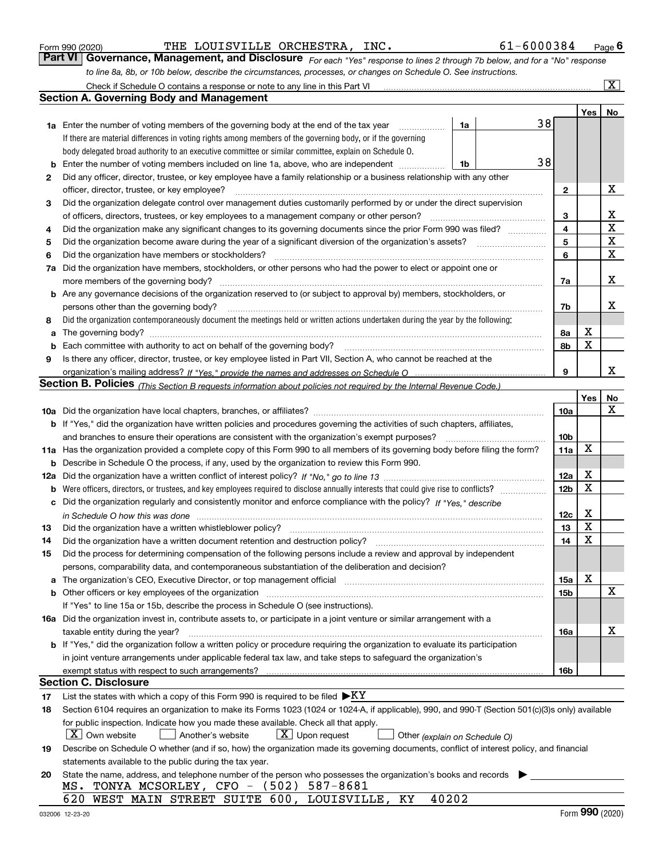|  | Form 990 (2020) |
|--|-----------------|
|  |                 |

| Form 990 (2020) | THE LOUISVILLE ORCHESTRA, INC. |  | 61-6000384                                                                                                                  | $P_{\text{aqe}}$ 6 |
|-----------------|--------------------------------|--|-----------------------------------------------------------------------------------------------------------------------------|--------------------|
|                 |                                |  | Part VI Governance, Management, and Disclosure For each "Yes" response to lines 2 through 7b below, and for a "No" response |                    |
|                 |                                |  | to line 8a, 8b, or 10b below, describe the circumstances, processes, or changes on Schedule O. See instructions.            |                    |

|     |                                                                                                                                                                                                                      |                 |             | $\overline{\mathbf{x}}$ |
|-----|----------------------------------------------------------------------------------------------------------------------------------------------------------------------------------------------------------------------|-----------------|-------------|-------------------------|
|     | <b>Section A. Governing Body and Management</b>                                                                                                                                                                      |                 |             |                         |
|     |                                                                                                                                                                                                                      |                 | Yes         | No                      |
|     | 38<br><b>1a</b> Enter the number of voting members of the governing body at the end of the tax year<br>1a                                                                                                            |                 |             |                         |
|     | If there are material differences in voting rights among members of the governing body, or if the governing                                                                                                          |                 |             |                         |
|     | body delegated broad authority to an executive committee or similar committee, explain on Schedule O.                                                                                                                |                 |             |                         |
|     | 38                                                                                                                                                                                                                   |                 |             |                         |
| b   | Enter the number of voting members included on line 1a, above, who are independent<br>1b<br>Did any officer, director, trustee, or key employee have a family relationship or a business relationship with any other |                 |             |                         |
| 2   |                                                                                                                                                                                                                      |                 |             | х                       |
|     | officer, director, trustee, or key employee?<br>Did the organization delegate control over management duties customarily performed by or under the direct supervision                                                | $\mathbf{2}$    |             |                         |
| 3   |                                                                                                                                                                                                                      |                 |             |                         |
|     | of officers, directors, trustees, or key employees to a management company or other person?                                                                                                                          | 3               |             | х<br>$\mathbf X$        |
| 4   | Did the organization make any significant changes to its governing documents since the prior Form 990 was filed?                                                                                                     | 4               |             |                         |
| 5   | Did the organization become aware during the year of a significant diversion of the organization's assets?                                                                                                           | 5               |             | X<br>$\mathbf X$        |
| 6   | Did the organization have members or stockholders?                                                                                                                                                                   | 6               |             |                         |
| 7a  | Did the organization have members, stockholders, or other persons who had the power to elect or appoint one or                                                                                                       |                 |             |                         |
|     | more members of the governing body?                                                                                                                                                                                  | 7a              |             | x                       |
|     | b Are any governance decisions of the organization reserved to (or subject to approval by) members, stockholders, or                                                                                                 |                 |             |                         |
|     | persons other than the governing body?                                                                                                                                                                               | 7b              |             | х                       |
| 8   | Did the organization contemporaneously document the meetings held or written actions undertaken during the year by the following:                                                                                    |                 |             |                         |
| a   | The governing body?                                                                                                                                                                                                  | 8а              | X           |                         |
| b   | Each committee with authority to act on behalf of the governing body?                                                                                                                                                | 8b              | $\mathbf X$ |                         |
| 9   | Is there any officer, director, trustee, or key employee listed in Part VII, Section A, who cannot be reached at the                                                                                                 |                 |             |                         |
|     |                                                                                                                                                                                                                      | 9               |             | x                       |
|     | <b>Section B. Policies</b> (This Section B requests information about policies not required by the Internal Revenue Code.)                                                                                           |                 |             |                         |
|     |                                                                                                                                                                                                                      |                 | Yes         | No                      |
|     |                                                                                                                                                                                                                      | 10a             |             | x                       |
|     | <b>b</b> If "Yes," did the organization have written policies and procedures governing the activities of such chapters, affiliates,                                                                                  |                 |             |                         |
|     | and branches to ensure their operations are consistent with the organization's exempt purposes?                                                                                                                      | 10 <sub>b</sub> |             |                         |
|     | 11a Has the organization provided a complete copy of this Form 990 to all members of its governing body before filing the form?                                                                                      | 11a             | X           |                         |
| b   | Describe in Schedule O the process, if any, used by the organization to review this Form 990.                                                                                                                        |                 |             |                         |
| 12a |                                                                                                                                                                                                                      | 12a             | X           |                         |
| b   | Were officers, directors, or trustees, and key employees required to disclose annually interests that could give rise to conflicts?                                                                                  | 12 <sub>b</sub> | $\mathbf X$ |                         |
|     | c Did the organization regularly and consistently monitor and enforce compliance with the policy? If "Yes," describe                                                                                                 |                 |             |                         |
|     | in Schedule O how this was done <i>manually contained as a series of the series</i> and the series of the series of th                                                                                               | 12c             | X           |                         |
| 13  | Did the organization have a written whistleblower policy?                                                                                                                                                            | 13              | X           |                         |
| 14  | Did the organization have a written document retention and destruction policy?                                                                                                                                       | 14              | X           |                         |
| 15  | Did the process for determining compensation of the following persons include a review and approval by independent                                                                                                   |                 |             |                         |
|     | persons, comparability data, and contemporaneous substantiation of the deliberation and decision?                                                                                                                    |                 |             |                         |
|     |                                                                                                                                                                                                                      | 15a             | X           |                         |
|     | <b>b</b> Other officers or key employees of the organization                                                                                                                                                         | 15b             |             | х                       |
|     | If "Yes" to line 15a or 15b, describe the process in Schedule O (see instructions).                                                                                                                                  |                 |             |                         |
|     | 16a Did the organization invest in, contribute assets to, or participate in a joint venture or similar arrangement with a                                                                                            |                 |             |                         |
|     | taxable entity during the year?                                                                                                                                                                                      | 16a             |             | X                       |
|     | <b>b</b> If "Yes," did the organization follow a written policy or procedure requiring the organization to evaluate its participation                                                                                |                 |             |                         |
|     | in joint venture arrangements under applicable federal tax law, and take steps to safeguard the organization's                                                                                                       |                 |             |                         |
|     | exempt status with respect to such arrangements?                                                                                                                                                                     | 16b             |             |                         |
|     | <b>Section C. Disclosure</b>                                                                                                                                                                                         |                 |             |                         |
| 17  | List the states with which a copy of this Form 990 is required to be filed $\blacktriangleright$ KY                                                                                                                  |                 |             |                         |
| 18  | Section 6104 requires an organization to make its Forms 1023 (1024 or 1024-A, if applicable), 990, and 990-T (Section 501(c)(3)s only) available                                                                     |                 |             |                         |
|     | for public inspection. Indicate how you made these available. Check all that apply.                                                                                                                                  |                 |             |                         |
|     | X   Own website<br>$X$ Upon request<br>Another's website<br>Other (explain on Schedule O)                                                                                                                            |                 |             |                         |
| 19  | Describe on Schedule O whether (and if so, how) the organization made its governing documents, conflict of interest policy, and financial                                                                            |                 |             |                         |
|     | statements available to the public during the tax year.                                                                                                                                                              |                 |             |                         |
| 20  | State the name, address, and telephone number of the person who possesses the organization's books and records                                                                                                       |                 |             |                         |
|     | TONYA MCSORLEY, CFO - (502) 587-8681<br>MS.                                                                                                                                                                          |                 |             |                         |
|     | 40202<br>620<br>WEST MAIN STREET SUITE 600, LOUISVILLE, KY                                                                                                                                                           |                 |             |                         |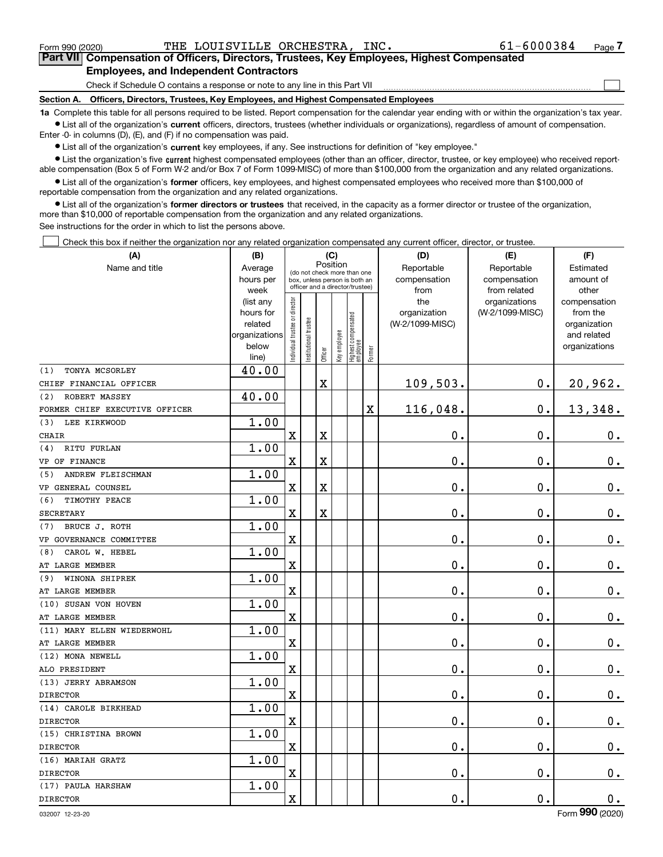|  | Form 990 (2020) |
|--|-----------------|
|  |                 |

<code>Form</code> 990 (2020) THE <code>LOUISVILLE ORCHESTRA, INC</code> .  $61-6000384$  <code>Page</code>

 $\mathcal{L}^{\text{max}}$ 

**7Part VII Compensation of Officers, Directors, Trustees, Key Employees, Highest Compensated Employees, and Independent Contractors**

Check if Schedule O contains a response or note to any line in this Part VII

**Section A. Officers, Directors, Trustees, Key Employees, and Highest Compensated Employees**

**1a**  Complete this table for all persons required to be listed. Report compensation for the calendar year ending with or within the organization's tax year. **•** List all of the organization's current officers, directors, trustees (whether individuals or organizations), regardless of amount of compensation.

Enter -0- in columns (D), (E), and (F) if no compensation was paid.

 $\bullet$  List all of the organization's  $\,$ current key employees, if any. See instructions for definition of "key employee."

**•** List the organization's five current highest compensated employees (other than an officer, director, trustee, or key employee) who received reportable compensation (Box 5 of Form W-2 and/or Box 7 of Form 1099-MISC) of more than \$100,000 from the organization and any related organizations.

**•** List all of the organization's former officers, key employees, and highest compensated employees who received more than \$100,000 of reportable compensation from the organization and any related organizations.

**former directors or trustees**  ¥ List all of the organization's that received, in the capacity as a former director or trustee of the organization, more than \$10,000 of reportable compensation from the organization and any related organizations.

See instructions for the order in which to list the persons above.

Check this box if neither the organization nor any related organization compensated any current officer, director, or trustee.  $\mathcal{L}^{\text{max}}$ 

| (A)                            | (B)                                                                  |                               |                                                                                                 | (C)                     |              |                                   |        | (D)                                                                              | (E)                              | (F)                                                                      |  |
|--------------------------------|----------------------------------------------------------------------|-------------------------------|-------------------------------------------------------------------------------------------------|-------------------------|--------------|-----------------------------------|--------|----------------------------------------------------------------------------------|----------------------------------|--------------------------------------------------------------------------|--|
| Name and title                 | Average<br>hours per<br>week                                         |                               | (do not check more than one<br>box, unless person is both an<br>officer and a director/trustee) | Position                |              |                                   |        | Reportable<br>Reportable<br>compensation<br>compensation<br>from related<br>from |                                  | Estimated<br>amount of<br>other                                          |  |
|                                | (list any<br>hours for<br>related<br>organizations<br>below<br>line) | ndividual trustee or director | nstitutional trustee                                                                            | Officer                 | Key employee | Highest compensated<br>  employee | Former | the<br>organization<br>(W-2/1099-MISC)                                           | organizations<br>(W-2/1099-MISC) | compensation<br>from the<br>organization<br>and related<br>organizations |  |
| TONYA MCSORLEY<br>(1)          | 40.00                                                                |                               |                                                                                                 |                         |              |                                   |        |                                                                                  |                                  |                                                                          |  |
| CHIEF FINANCIAL OFFICER        |                                                                      |                               |                                                                                                 | $\mathbf X$             |              |                                   |        | 109,503.                                                                         | 0.                               | 20,962.                                                                  |  |
| ROBERT MASSEY<br>(2)           | 40.00                                                                |                               |                                                                                                 |                         |              |                                   |        |                                                                                  |                                  |                                                                          |  |
| FORMER CHIEF EXECUTIVE OFFICER |                                                                      |                               |                                                                                                 |                         |              |                                   | X      | 116,048.                                                                         | $\mathbf 0$ .                    | 13,348.                                                                  |  |
| LEE KIRKWOOD<br>(3)            | 1.00                                                                 |                               |                                                                                                 |                         |              |                                   |        |                                                                                  |                                  |                                                                          |  |
| <b>CHAIR</b>                   |                                                                      | X                             |                                                                                                 | $\overline{\textbf{X}}$ |              |                                   |        | $\mathbf 0$ .                                                                    | 0.                               | 0.                                                                       |  |
| RITU FURLAN<br>(4)             | 1.00                                                                 |                               |                                                                                                 |                         |              |                                   |        |                                                                                  |                                  |                                                                          |  |
| VP OF FINANCE                  |                                                                      | X                             |                                                                                                 | X                       |              |                                   |        | 0.                                                                               | $\mathbf 0$ .                    | $0_{.}$                                                                  |  |
| ANDREW FLEISCHMAN<br>(5)       | 1.00                                                                 |                               |                                                                                                 |                         |              |                                   |        |                                                                                  |                                  |                                                                          |  |
| VP GENERAL COUNSEL             |                                                                      | X                             |                                                                                                 | X                       |              |                                   |        | 0.                                                                               | $\mathbf 0$ .                    | $0_{.}$                                                                  |  |
| (6)<br>TIMOTHY PEACE           | 1.00                                                                 |                               |                                                                                                 |                         |              |                                   |        |                                                                                  |                                  |                                                                          |  |
| <b>SECRETARY</b>               |                                                                      | X                             |                                                                                                 | $\overline{\textbf{X}}$ |              |                                   |        | 0.                                                                               | $\mathbf 0$ .                    | $\mathbf 0$ .                                                            |  |
| BRUCE J. ROTH<br>(7)           | 1.00                                                                 |                               |                                                                                                 |                         |              |                                   |        |                                                                                  |                                  |                                                                          |  |
| VP GOVERNANCE COMMITTEE        |                                                                      | X                             |                                                                                                 |                         |              |                                   |        | 0.                                                                               | $\mathbf 0$ .                    | $0_{.}$                                                                  |  |
| CAROL W. HEBEL<br>(8)          | 1.00                                                                 |                               |                                                                                                 |                         |              |                                   |        |                                                                                  |                                  |                                                                          |  |
| AT LARGE MEMBER                |                                                                      | X                             |                                                                                                 |                         |              |                                   |        | 0.                                                                               | $\mathbf 0$ .                    | $0_{.}$                                                                  |  |
| WINONA SHIPREK<br>(9)          | 1.00                                                                 |                               |                                                                                                 |                         |              |                                   |        |                                                                                  |                                  |                                                                          |  |
| AT LARGE MEMBER                |                                                                      | X                             |                                                                                                 |                         |              |                                   |        | 0.                                                                               | $\mathbf 0$ .                    | $0_{.}$                                                                  |  |
| (10) SUSAN VON HOVEN           | 1.00                                                                 |                               |                                                                                                 |                         |              |                                   |        |                                                                                  |                                  |                                                                          |  |
| AT LARGE MEMBER                |                                                                      | X                             |                                                                                                 |                         |              |                                   |        | 0.                                                                               | $\mathbf 0$ .                    | $\mathbf 0$ .                                                            |  |
| (11) MARY ELLEN WIEDERWOHL     | 1.00                                                                 |                               |                                                                                                 |                         |              |                                   |        |                                                                                  |                                  |                                                                          |  |
| AT LARGE MEMBER                |                                                                      | X                             |                                                                                                 |                         |              |                                   |        | 0.                                                                               | $\mathbf 0$ .                    | $\mathbf 0$ .                                                            |  |
| (12) MONA NEWELL               | 1.00                                                                 |                               |                                                                                                 |                         |              |                                   |        |                                                                                  |                                  |                                                                          |  |
| ALO PRESIDENT                  |                                                                      | X                             |                                                                                                 |                         |              |                                   |        | 0.                                                                               | $\mathbf 0$ .                    | $\mathbf 0$ .                                                            |  |
| (13) JERRY ABRAMSON            | 1.00                                                                 |                               |                                                                                                 |                         |              |                                   |        |                                                                                  |                                  |                                                                          |  |
| <b>DIRECTOR</b>                |                                                                      | X                             |                                                                                                 |                         |              |                                   |        | 0.                                                                               | $\mathbf 0$ .                    | $\mathbf 0$ .                                                            |  |
| (14) CAROLE BIRKHEAD           | 1.00                                                                 |                               |                                                                                                 |                         |              |                                   |        |                                                                                  |                                  |                                                                          |  |
| <b>DIRECTOR</b>                |                                                                      | X                             |                                                                                                 |                         |              |                                   |        | 0.                                                                               | $\mathbf 0$ .                    | $\mathbf 0$ .                                                            |  |
| (15) CHRISTINA BROWN           | 1.00                                                                 |                               |                                                                                                 |                         |              |                                   |        |                                                                                  |                                  |                                                                          |  |
| <b>DIRECTOR</b>                |                                                                      | X                             |                                                                                                 |                         |              |                                   |        | 0.                                                                               | $\mathbf 0$ .                    | $\mathbf 0$ .                                                            |  |
| (16) MARIAH GRATZ              | 1.00                                                                 |                               |                                                                                                 |                         |              |                                   |        |                                                                                  |                                  |                                                                          |  |
| <b>DIRECTOR</b>                |                                                                      | X                             |                                                                                                 |                         |              |                                   |        | 0.                                                                               | $\mathbf 0$ .                    | $\mathbf 0$ .                                                            |  |
| (17) PAULA HARSHAW             | 1.00                                                                 |                               |                                                                                                 |                         |              |                                   |        |                                                                                  |                                  |                                                                          |  |
| <b>DIRECTOR</b>                |                                                                      | $\rm X$                       |                                                                                                 |                         |              |                                   |        | 0.                                                                               | 0.                               | $\mathbf 0$ .                                                            |  |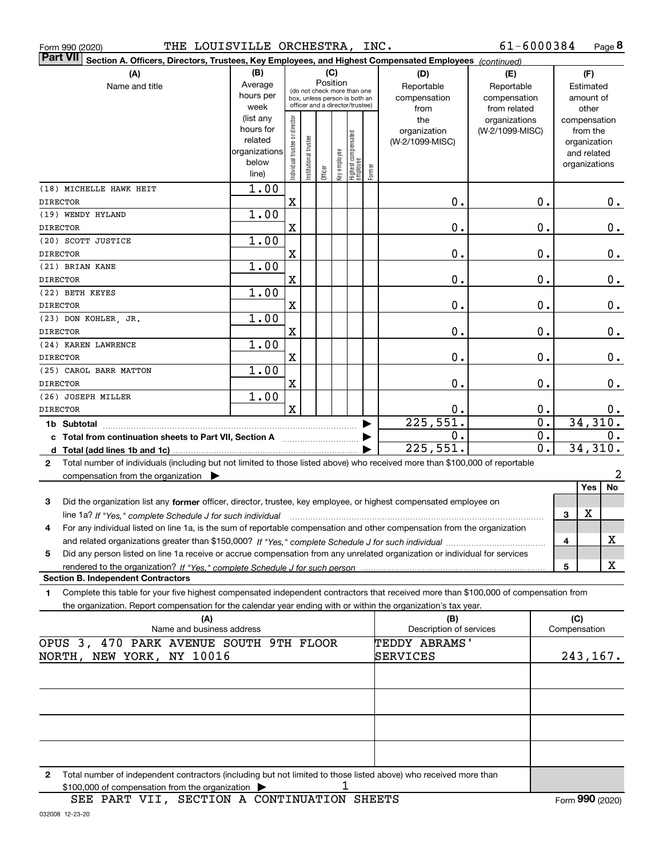| THE LOUISVILLE ORCHESTRA, INC.<br>Form 990 (2020)                                                                                               |                        |                                |                       |         |              |                                                              |        |                                | 61-6000384       |                     | Page $8$ |
|-------------------------------------------------------------------------------------------------------------------------------------------------|------------------------|--------------------------------|-----------------------|---------|--------------|--------------------------------------------------------------|--------|--------------------------------|------------------|---------------------|----------|
| <b>Part VII</b><br>Section A. Officers, Directors, Trustees, Key Employees, and Highest Compensated Employees (continued)                       |                        |                                |                       |         |              |                                                              |        |                                |                  |                     |          |
| (A)                                                                                                                                             | (B)                    |                                |                       |         | (C)          |                                                              |        | (D)                            | (E)              | (F)                 |          |
| Name and title                                                                                                                                  | Average                |                                |                       |         | Position     |                                                              |        | Reportable                     | Reportable       | Estimated           |          |
|                                                                                                                                                 | hours per              |                                |                       |         |              | (do not check more than one<br>box, unless person is both an |        | compensation                   | compensation     | amount of           |          |
|                                                                                                                                                 | week                   |                                |                       |         |              | officer and a director/trustee)                              |        | from                           | from related     | other               |          |
|                                                                                                                                                 | (list any              |                                |                       |         |              |                                                              |        | the                            | organizations    | compensation        |          |
|                                                                                                                                                 | hours for              |                                |                       |         |              |                                                              |        | organization                   | (W-2/1099-MISC)  | from the            |          |
|                                                                                                                                                 | related                |                                |                       |         |              |                                                              |        | (W-2/1099-MISC)                |                  | organization        |          |
|                                                                                                                                                 | organizations<br>below |                                |                       |         |              |                                                              |        |                                |                  | and related         |          |
|                                                                                                                                                 | line)                  | Individual trustee or director | Institutional trustee | Officer | Key employee | Highest compensated<br>  employee                            | Former |                                |                  | organizations       |          |
|                                                                                                                                                 | 1.00                   |                                |                       |         |              |                                                              |        |                                |                  |                     |          |
| (18) MICHELLE HAWK HEIT<br><b>DIRECTOR</b>                                                                                                      |                        | X                              |                       |         |              |                                                              |        | 0.                             | 0.               |                     | 0.       |
| (19) WENDY HYLAND                                                                                                                               | 1.00                   |                                |                       |         |              |                                                              |        |                                |                  |                     |          |
| <b>DIRECTOR</b>                                                                                                                                 |                        | X                              |                       |         |              |                                                              |        | 0.                             | 0.               |                     | 0.       |
| (20) SCOTT JUSTICE                                                                                                                              | 1.00                   |                                |                       |         |              |                                                              |        |                                |                  |                     |          |
| <b>DIRECTOR</b>                                                                                                                                 |                        | X                              |                       |         |              |                                                              |        | 0.                             | 0.               |                     | 0.       |
| (21) BRIAN KANE                                                                                                                                 | 1.00                   |                                |                       |         |              |                                                              |        |                                |                  |                     |          |
| <b>DIRECTOR</b>                                                                                                                                 |                        | $\mathbf X$                    |                       |         |              |                                                              |        | 0.                             | 0.               |                     | 0.       |
| (22) BETH KEYES                                                                                                                                 | 1.00                   |                                |                       |         |              |                                                              |        |                                |                  |                     |          |
| <b>DIRECTOR</b>                                                                                                                                 |                        | $\mathbf X$                    |                       |         |              |                                                              |        | 0.                             | 0.               |                     | 0.       |
| (23) DON KOHLER, JR.                                                                                                                            | 1.00                   |                                |                       |         |              |                                                              |        |                                |                  |                     |          |
| DIRECTOR                                                                                                                                        |                        | X                              |                       |         |              |                                                              |        | 0.                             | 0.               |                     | 0.       |
| (24) KAREN LAWRENCE                                                                                                                             | 1.00                   |                                |                       |         |              |                                                              |        |                                |                  |                     |          |
| <b>DIRECTOR</b>                                                                                                                                 |                        | X                              |                       |         |              |                                                              |        | 0.                             | 0.               |                     | 0.       |
| (25) CAROL BARR MATTON                                                                                                                          | 1.00                   |                                |                       |         |              |                                                              |        |                                |                  |                     |          |
| <b>DIRECTOR</b>                                                                                                                                 |                        | X                              |                       |         |              |                                                              |        | 0.                             | 0.               |                     | 0.       |
| (26) JOSEPH MILLER                                                                                                                              | 1.00                   |                                |                       |         |              |                                                              |        |                                |                  |                     |          |
| <b>DIRECTOR</b>                                                                                                                                 |                        | $\mathbf x$                    |                       |         |              |                                                              |        | 0.                             | 0.               |                     | $0$ .    |
| 1b Subtotal                                                                                                                                     |                        |                                |                       |         |              |                                                              | ▶      | 225,551.                       | $\overline{0}$ . |                     | 34,310.  |
| c Total from continuation sheets to Part VII, Section A                                                                                         |                        |                                |                       |         |              |                                                              |        | 0.                             | 0.               |                     | 0.       |
|                                                                                                                                                 |                        |                                |                       |         |              |                                                              |        | 225,551.                       | 0.               |                     | 34,310.  |
| Total number of individuals (including but not limited to those listed above) who received more than \$100,000 of reportable<br>2               |                        |                                |                       |         |              |                                                              |        |                                |                  |                     |          |
| compensation from the organization $\blacktriangleright$                                                                                        |                        |                                |                       |         |              |                                                              |        |                                |                  |                     | 2        |
|                                                                                                                                                 |                        |                                |                       |         |              |                                                              |        |                                |                  | Yes                 | No       |
| 3<br>Did the organization list any former officer, director, trustee, key employee, or highest compensated employee on                          |                        |                                |                       |         |              |                                                              |        |                                |                  |                     |          |
| line 1a? If "Yes," complete Schedule J for such individual manufactured contained and the 1a? If "Yes," complete Schedule J for such individual |                        |                                |                       |         |              |                                                              |        |                                |                  | X<br>3              |          |
| For any individual listed on line 1a, is the sum of reportable compensation and other compensation from the organization                        |                        |                                |                       |         |              |                                                              |        |                                |                  |                     |          |
|                                                                                                                                                 |                        |                                |                       |         |              |                                                              |        |                                |                  | 4                   | х        |
| Did any person listed on line 1a receive or accrue compensation from any unrelated organization or individual for services<br>5                 |                        |                                |                       |         |              |                                                              |        |                                |                  |                     |          |
|                                                                                                                                                 |                        |                                |                       |         |              |                                                              |        |                                |                  | 5                   | х        |
| <b>Section B. Independent Contractors</b>                                                                                                       |                        |                                |                       |         |              |                                                              |        |                                |                  |                     |          |
| Complete this table for your five highest compensated independent contractors that received more than \$100,000 of compensation from<br>1.      |                        |                                |                       |         |              |                                                              |        |                                |                  |                     |          |
| the organization. Report compensation for the calendar year ending with or within the organization's tax year.                                  |                        |                                |                       |         |              |                                                              |        |                                |                  |                     |          |
| (A)<br>Name and business address                                                                                                                |                        |                                |                       |         |              |                                                              |        | (B)<br>Description of services |                  | (C)<br>Compensation |          |
| OPUS 3, 470 PARK AVENUE SOUTH 9TH FLOOR                                                                                                         |                        |                                |                       |         |              |                                                              |        | TEDDY ABRAMS'                  |                  |                     |          |
| NORTH, NEW YORK, NY 10016                                                                                                                       |                        |                                |                       |         |              |                                                              |        | SERVICES                       |                  |                     | 243,167. |
|                                                                                                                                                 |                        |                                |                       |         |              |                                                              |        |                                |                  |                     |          |
|                                                                                                                                                 |                        |                                |                       |         |              |                                                              |        |                                |                  |                     |          |
|                                                                                                                                                 |                        |                                |                       |         |              |                                                              |        |                                |                  |                     |          |
|                                                                                                                                                 |                        |                                |                       |         |              |                                                              |        |                                |                  |                     |          |
|                                                                                                                                                 |                        |                                |                       |         |              |                                                              |        |                                |                  |                     |          |
|                                                                                                                                                 |                        |                                |                       |         |              |                                                              |        |                                |                  |                     |          |
|                                                                                                                                                 |                        |                                |                       |         |              |                                                              |        |                                |                  |                     |          |

**2** Total number of independent contractors (including but not limited to those listed above) who received more than \$100,000 of compensation from the organization | 1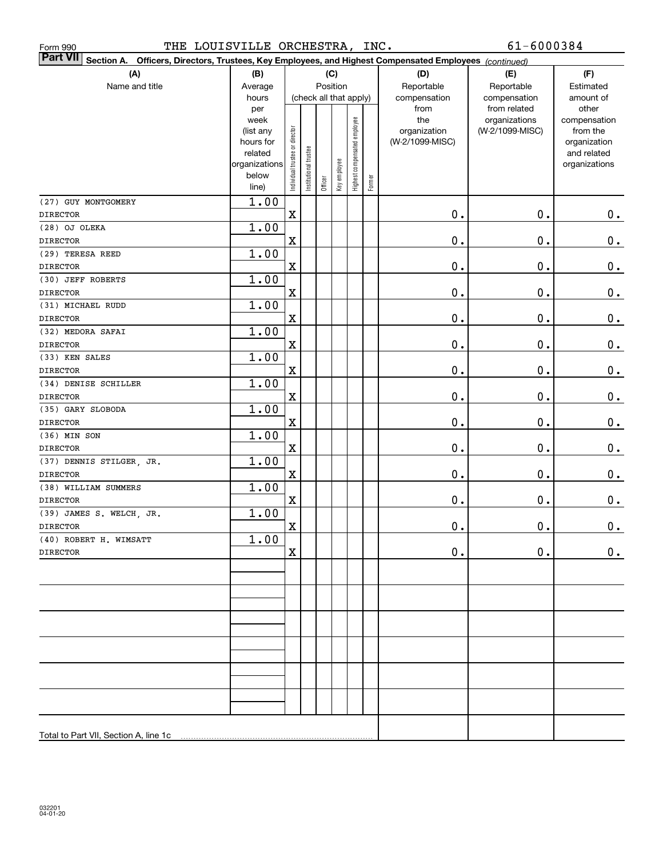| THE LOUISVILLE ORCHESTRA, INC.<br>Form 990                                                                                |                        |                                |                       |         |              |                              |        |                 | 61-6000384                    |                       |
|---------------------------------------------------------------------------------------------------------------------------|------------------------|--------------------------------|-----------------------|---------|--------------|------------------------------|--------|-----------------|-------------------------------|-----------------------|
| <b>Part VII</b><br>Section A. Officers, Directors, Trustees, Key Employees, and Highest Compensated Employees (continued) |                        |                                |                       |         |              |                              |        |                 |                               |                       |
| (A)                                                                                                                       | (B)                    |                                |                       |         | (C)          |                              |        | (D)             | (E)                           | (F)                   |
| Name and title                                                                                                            | Average                |                                |                       |         | Position     |                              |        | Reportable      | Reportable                    | Estimated             |
|                                                                                                                           | hours                  |                                |                       |         |              | (check all that apply)       |        | compensation    | compensation                  | amount of             |
|                                                                                                                           | per<br>week            |                                |                       |         |              |                              |        | from<br>the     | from related<br>organizations | other<br>compensation |
|                                                                                                                           | (list any              |                                |                       |         |              |                              |        | organization    | (W-2/1099-MISC)               | from the              |
|                                                                                                                           | hours for              |                                |                       |         |              |                              |        | (W-2/1099-MISC) |                               | organization          |
|                                                                                                                           | related                |                                |                       |         |              |                              |        |                 |                               | and related           |
|                                                                                                                           | organizations<br>below |                                |                       |         |              |                              |        |                 |                               | organizations         |
|                                                                                                                           | line)                  | Individual trustee or director | Institutional trustee | Officer | Key employee | Highest compensated employee | Former |                 |                               |                       |
| (27) GUY MONTGOMERY                                                                                                       | 1.00                   |                                |                       |         |              |                              |        |                 |                               |                       |
| <b>DIRECTOR</b>                                                                                                           |                        | $\mathbf X$                    |                       |         |              |                              |        | $\mathbf 0$ .   | 0.                            | $0_{.}$               |
| (28) OJ OLEKA                                                                                                             | 1.00                   |                                |                       |         |              |                              |        |                 |                               |                       |
| <b>DIRECTOR</b>                                                                                                           |                        | $\mathbf X$                    |                       |         |              |                              |        | $\mathbf 0$ .   | $\mathbf 0$ .                 | 0.                    |
| (29) TERESA REED                                                                                                          | 1.00                   |                                |                       |         |              |                              |        |                 |                               |                       |
| <b>DIRECTOR</b>                                                                                                           |                        | $\mathbf X$                    |                       |         |              |                              |        | $\mathbf 0$ .   | $\mathbf 0$ .                 | $\mathbf 0$ .         |
| (30) JEFF ROBERTS                                                                                                         | 1.00                   |                                |                       |         |              |                              |        |                 |                               |                       |
| <b>DIRECTOR</b>                                                                                                           |                        | $\mathbf X$                    |                       |         |              |                              |        | $\mathbf 0$ .   | $\mathbf 0$ .                 | $0_{.}$               |
| (31) MICHAEL RUDD                                                                                                         | 1.00                   |                                |                       |         |              |                              |        |                 |                               |                       |
| <b>DIRECTOR</b>                                                                                                           |                        | $\mathbf X$                    |                       |         |              |                              |        | $\mathbf 0$ .   | $\mathbf 0$ .                 | $0_{.}$               |
| (32) MEDORA SAFAI                                                                                                         | 1.00                   |                                |                       |         |              |                              |        |                 |                               |                       |
| <b>DIRECTOR</b>                                                                                                           |                        | $\mathbf X$                    |                       |         |              |                              |        | $\mathbf 0$ .   | $\mathbf 0$ .                 | $0_{.}$               |
| (33) KEN SALES                                                                                                            | 1.00                   |                                |                       |         |              |                              |        |                 |                               |                       |
| <b>DIRECTOR</b>                                                                                                           |                        | $\mathbf X$                    |                       |         |              |                              |        | $\mathbf 0$ .   | $\mathbf 0$ .                 | $0_{.}$               |
| (34) DENISE SCHILLER                                                                                                      | 1.00                   |                                |                       |         |              |                              |        |                 |                               |                       |
| <b>DIRECTOR</b>                                                                                                           |                        | $\mathbf X$                    |                       |         |              |                              |        | $\mathbf 0$ .   | $\mathbf 0$ .                 | $0_{.}$               |
| (35) GARY SLOBODA                                                                                                         | 1.00                   |                                |                       |         |              |                              |        |                 |                               |                       |
| <b>DIRECTOR</b>                                                                                                           |                        | $\mathbf X$                    |                       |         |              |                              |        | $\mathbf 0$ .   | $\mathbf 0$ .                 | $0_{.}$               |
| (36) MIN SON                                                                                                              | 1.00                   |                                |                       |         |              |                              |        |                 |                               |                       |
| <b>DIRECTOR</b>                                                                                                           |                        | $\mathbf X$                    |                       |         |              |                              |        | $\mathbf 0$ .   | $\mathbf 0$ .                 | 0.                    |
| (37) DENNIS STILGER, JR.                                                                                                  | 1.00                   |                                |                       |         |              |                              |        |                 |                               |                       |
| <b>DIRECTOR</b>                                                                                                           |                        | $\mathbf X$                    |                       |         |              |                              |        | $\mathbf 0$ .   | $\mathbf 0$ .                 | $\mathbf 0$ .         |
| (38) WILLIAM SUMMERS                                                                                                      | 1.00                   |                                |                       |         |              |                              |        |                 |                               |                       |
| <b>DIRECTOR</b>                                                                                                           |                        | $\mathbf X$                    |                       |         |              |                              |        | 0.              | 0.                            | 0.                    |
| (39) JAMES S. WELCH, JR.                                                                                                  | 1.00                   |                                |                       |         |              |                              |        |                 |                               |                       |
| <b>DIRECTOR</b>                                                                                                           | 1.00                   | X,                             |                       |         |              |                              |        | $\mathbf 0$ .   | $\mathbf 0$ .                 | $\mathbf{0}$ .        |
| (40) ROBERT H. WIMSATT<br><b>DIRECTOR</b>                                                                                 |                        | X                              |                       |         |              |                              |        | $\mathbf 0$ .   | 0.                            | 0.                    |
|                                                                                                                           |                        |                                |                       |         |              |                              |        |                 |                               |                       |
|                                                                                                                           |                        |                                |                       |         |              |                              |        |                 |                               |                       |
|                                                                                                                           |                        |                                |                       |         |              |                              |        |                 |                               |                       |
|                                                                                                                           |                        |                                |                       |         |              |                              |        |                 |                               |                       |
|                                                                                                                           |                        |                                |                       |         |              |                              |        |                 |                               |                       |
|                                                                                                                           |                        |                                |                       |         |              |                              |        |                 |                               |                       |
|                                                                                                                           |                        |                                |                       |         |              |                              |        |                 |                               |                       |
|                                                                                                                           |                        |                                |                       |         |              |                              |        |                 |                               |                       |
|                                                                                                                           |                        |                                |                       |         |              |                              |        |                 |                               |                       |
|                                                                                                                           |                        |                                |                       |         |              |                              |        |                 |                               |                       |
|                                                                                                                           |                        |                                |                       |         |              |                              |        |                 |                               |                       |
|                                                                                                                           |                        |                                |                       |         |              |                              |        |                 |                               |                       |
|                                                                                                                           |                        |                                |                       |         |              |                              |        |                 |                               |                       |
| Total to Part VII, Section A, line 1c                                                                                     |                        |                                |                       |         |              |                              |        |                 |                               |                       |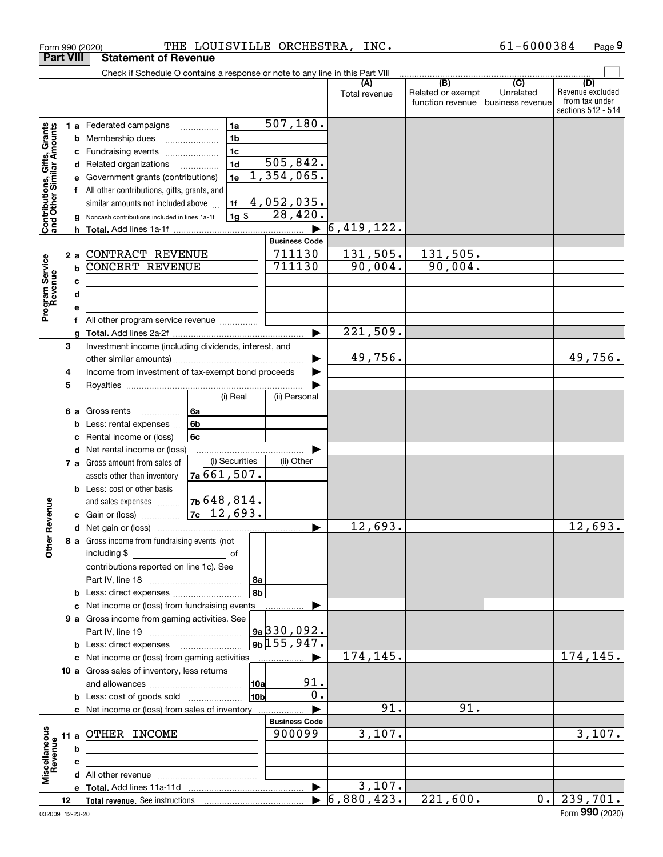|                                                                  | Form 990 (2020)  | THE LOUISVILLE ORCHESTRA, INC.                                                |                       |                             |                                       | 61-6000384                    | Page 9                  |
|------------------------------------------------------------------|------------------|-------------------------------------------------------------------------------|-----------------------|-----------------------------|---------------------------------------|-------------------------------|-------------------------|
|                                                                  | <b>Part VIII</b> | <b>Statement of Revenue</b>                                                   |                       |                             |                                       |                               |                         |
|                                                                  |                  | Check if Schedule O contains a response or note to any line in this Part VIII |                       |                             |                                       |                               |                         |
|                                                                  |                  |                                                                               |                       | (A)<br>Total revenue        | $\overline{(B)}$<br>Related or exempt | $\overline{(C)}$<br>Unrelated | (D)<br>Revenue excluded |
|                                                                  |                  |                                                                               |                       |                             | function revenue                      | business revenue              | from tax under          |
|                                                                  |                  |                                                                               |                       |                             |                                       |                               | sections 512 - 514      |
|                                                                  |                  | 1a<br>1 a Federated campaigns                                                 | 507, 180.             |                             |                                       |                               |                         |
|                                                                  |                  | 1 <sub>b</sub><br><b>b</b> Membership dues                                    |                       |                             |                                       |                               |                         |
|                                                                  | с                | 1 <sub>c</sub><br>Fundraising events                                          |                       |                             |                                       |                               |                         |
|                                                                  |                  | 1 <sub>d</sub><br>d Related organizations                                     | 505,842.              |                             |                                       |                               |                         |
|                                                                  |                  | 1e<br>Government grants (contributions)                                       | 1,354,065.            |                             |                                       |                               |                         |
|                                                                  |                  | f All other contributions, gifts, grants, and                                 |                       |                             |                                       |                               |                         |
| <b>Contributions, Gifts, Grants</b><br>and Other Similar Amounts |                  | similar amounts not included above<br>1f                                      | 4,052,035.            |                             |                                       |                               |                         |
|                                                                  |                  | $1g$ \$<br>Noncash contributions included in lines 1a-1f                      | 28,420.               |                             |                                       |                               |                         |
|                                                                  |                  |                                                                               |                       | 6,419,122.                  |                                       |                               |                         |
|                                                                  |                  |                                                                               | <b>Business Code</b>  |                             |                                       |                               |                         |
|                                                                  | 2a               | CONTRACT REVENUE                                                              | 711130                | 131,505.                    | 131,505.                              |                               |                         |
|                                                                  | b                | <b>CONCERT REVENUE</b>                                                        | 711130                | 90,004.                     | 90,004.                               |                               |                         |
|                                                                  | c                |                                                                               |                       |                             |                                       |                               |                         |
|                                                                  | d                |                                                                               |                       |                             |                                       |                               |                         |
| Program Service<br>Revenue                                       | e                |                                                                               |                       |                             |                                       |                               |                         |
|                                                                  |                  | All other program service revenue <i></i>                                     |                       |                             |                                       |                               |                         |
|                                                                  | a                |                                                                               |                       | 221,509.                    |                                       |                               |                         |
|                                                                  | 3                | Investment income (including dividends, interest, and                         |                       |                             |                                       |                               |                         |
|                                                                  |                  |                                                                               |                       | 49,756.                     |                                       |                               | 49,756.                 |
|                                                                  | 4                | Income from investment of tax-exempt bond proceeds                            |                       |                             |                                       |                               |                         |
|                                                                  | 5                |                                                                               |                       |                             |                                       |                               |                         |
|                                                                  |                  | (i) Real                                                                      | (ii) Personal         |                             |                                       |                               |                         |
|                                                                  | 6а               | Gross rents<br>l 6a<br>.                                                      |                       |                             |                                       |                               |                         |
|                                                                  |                  | 6b<br>Less: rental expenses                                                   |                       |                             |                                       |                               |                         |
|                                                                  |                  | 6c<br>Rental income or (loss)                                                 |                       |                             |                                       |                               |                         |
|                                                                  | d                | Net rental income or (loss)                                                   |                       |                             |                                       |                               |                         |
|                                                                  |                  | (i) Securities<br>7 a Gross amount from sales of                              | (ii) Other            |                             |                                       |                               |                         |
|                                                                  |                  | 7a661,507.<br>assets other than inventory                                     |                       |                             |                                       |                               |                         |
|                                                                  |                  | <b>b</b> Less: cost or other basis                                            |                       |                             |                                       |                               |                         |
|                                                                  |                  | 7 <sub>b</sub> 648,814.<br>and sales expenses                                 |                       |                             |                                       |                               |                         |
| anueve                                                           |                  | $7c \mid 12,693.$<br>c Gain or (loss)                                         |                       |                             |                                       |                               |                         |
|                                                                  |                  |                                                                               |                       | 12,693.                     |                                       |                               | 12,693.                 |
| Other R                                                          |                  | 8 a Gross income from fundraising events (not                                 |                       |                             |                                       |                               |                         |
|                                                                  |                  | including \$<br>of                                                            |                       |                             |                                       |                               |                         |
|                                                                  |                  | contributions reported on line 1c). See                                       |                       |                             |                                       |                               |                         |
|                                                                  |                  | 8a                                                                            |                       |                             |                                       |                               |                         |
|                                                                  |                  | 8 <sub>b</sub><br>Less: direct expenses                                       |                       |                             |                                       |                               |                         |
|                                                                  | c                | Net income or (loss) from fundraising events                                  |                       |                             |                                       |                               |                         |
|                                                                  |                  | 9 a Gross income from gaming activities. See                                  |                       |                             |                                       |                               |                         |
|                                                                  |                  |                                                                               | 9a 330, 092.          |                             |                                       |                               |                         |
|                                                                  |                  |                                                                               | $9b\sqrt{155,947}$ .  |                             |                                       |                               |                         |
|                                                                  |                  | c Net income or (loss) from gaming activities                                 |                       | 174,145.                    |                                       |                               | 174, 145.               |
|                                                                  |                  | 10 a Gross sales of inventory, less returns                                   |                       |                             |                                       |                               |                         |
|                                                                  |                  | 10a                                                                           | 91.                   |                             |                                       |                               |                         |
|                                                                  |                  | 10b<br><b>b</b> Less: cost of goods sold                                      | 0.                    |                             |                                       |                               |                         |
|                                                                  |                  | c Net income or (loss) from sales of inventory                                |                       | 91.                         | 91.                                   |                               |                         |
|                                                                  |                  |                                                                               | <b>Business Code</b>  |                             |                                       |                               |                         |
|                                                                  | 11 a             | OTHER INCOME                                                                  | 900099                | 3,107.                      |                                       |                               | 3,107.                  |
|                                                                  | b                |                                                                               |                       |                             |                                       |                               |                         |
| Revenue                                                          | c                |                                                                               |                       |                             |                                       |                               |                         |
| Miscellaneous                                                    |                  |                                                                               |                       |                             |                                       |                               |                         |
|                                                                  |                  |                                                                               | $\blacktriangleright$ | 3,107.                      |                                       |                               |                         |
|                                                                  | 12               |                                                                               |                       | $\triangleright$ 6,880,423. | 221,600.                              | 0.1                           | 239,701.                |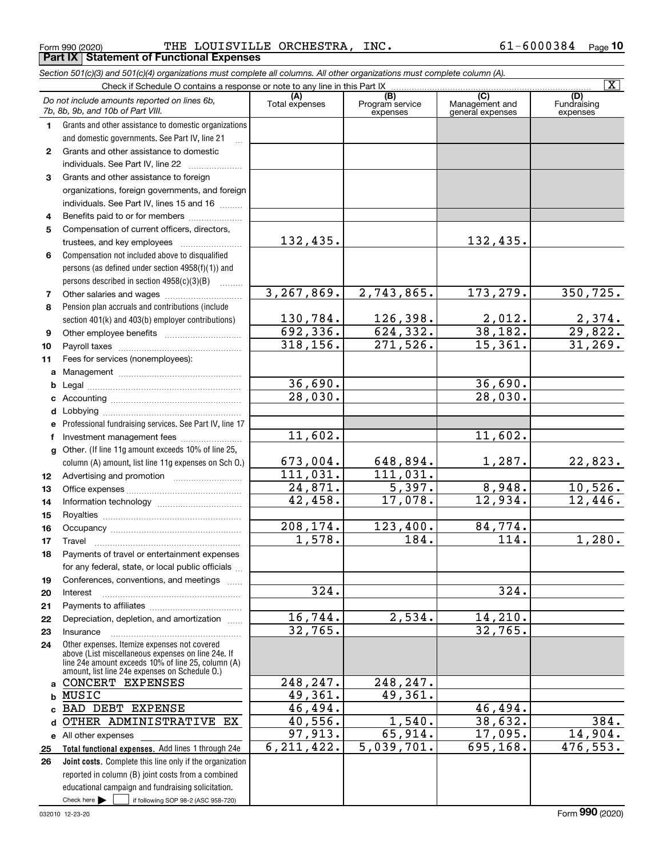Form 990 (2020) Page **Part IX Statement of Functional Expenses** THE LOUISVILLE ORCHESTRA, INC. 61-6000384

*Section 501(c)(3) and 501(c)(4) organizations must complete all columns. All other organizations must complete column (A).*

|              |                                                                                                                               |                       |                                    |                                                      | $\overline{\mathbf{x}}$        |
|--------------|-------------------------------------------------------------------------------------------------------------------------------|-----------------------|------------------------------------|------------------------------------------------------|--------------------------------|
|              | Do not include amounts reported on lines 6b,<br>7b, 8b, 9b, and 10b of Part VIII.                                             | (A)<br>Total expenses | (B)<br>Program service<br>expenses | $\overline{C}$<br>Management and<br>general expenses | (D)<br>Fundraising<br>expenses |
| 1.           | Grants and other assistance to domestic organizations                                                                         |                       |                                    |                                                      |                                |
|              | and domestic governments. See Part IV, line 21                                                                                |                       |                                    |                                                      |                                |
| $\mathbf{2}$ | Grants and other assistance to domestic                                                                                       |                       |                                    |                                                      |                                |
|              | individuals. See Part IV, line 22                                                                                             |                       |                                    |                                                      |                                |
| 3            | Grants and other assistance to foreign                                                                                        |                       |                                    |                                                      |                                |
|              | organizations, foreign governments, and foreign                                                                               |                       |                                    |                                                      |                                |
|              | individuals. See Part IV, lines 15 and 16                                                                                     |                       |                                    |                                                      |                                |
| 4            | Benefits paid to or for members                                                                                               |                       |                                    |                                                      |                                |
| 5            | Compensation of current officers, directors,                                                                                  |                       |                                    |                                                      |                                |
|              | trustees, and key employees                                                                                                   | 132,435.              |                                    | 132,435.                                             |                                |
| 6            | Compensation not included above to disqualified                                                                               |                       |                                    |                                                      |                                |
|              | persons (as defined under section 4958(f)(1)) and                                                                             |                       |                                    |                                                      |                                |
|              | persons described in section $4958(c)(3)(B)$                                                                                  |                       |                                    |                                                      |                                |
| 7            |                                                                                                                               | 3, 267, 869.          | 2,743,865.                         | 173, 279.                                            | 350, 725.                      |
| 8            | Pension plan accruals and contributions (include                                                                              |                       |                                    |                                                      |                                |
|              | section 401(k) and 403(b) employer contributions)                                                                             | 130,784.              | 126,398.                           | 2,012.                                               | 2,374.                         |
| 9            |                                                                                                                               | 692, 336.             | 624, 332.                          | 38,182.                                              | 29,822.                        |
| 10           |                                                                                                                               | 318, 156.             | 271,526.                           | 15,361.                                              | 31,269.                        |
| 11           | Fees for services (nonemployees):                                                                                             |                       |                                    |                                                      |                                |
| a            |                                                                                                                               |                       |                                    |                                                      |                                |
| b            |                                                                                                                               | 36,690.               |                                    | 36,690.                                              |                                |
| с            |                                                                                                                               | 28,030.               |                                    | 28,030.                                              |                                |
| d            |                                                                                                                               |                       |                                    |                                                      |                                |
| е            | Professional fundraising services. See Part IV, line 17                                                                       |                       |                                    |                                                      |                                |
| f            | Investment management fees                                                                                                    | 11,602.               |                                    | 11,602.                                              |                                |
| g            | Other. (If line 11g amount exceeds 10% of line 25,                                                                            |                       |                                    |                                                      |                                |
|              | column (A) amount, list line 11g expenses on Sch O.)                                                                          | 673,004.              | 648,894.                           | 1,287.                                               | 22,823.                        |
| 12           |                                                                                                                               | 111,031.              | 111,031.                           |                                                      |                                |
| 13           |                                                                                                                               | 24,871.               | $\overline{5,397}$ .               | 8,948.                                               | 10,526.                        |
| 14           |                                                                                                                               | 42,458.               | 17,078.                            | 12,934.                                              | 12,446.                        |
| 15           |                                                                                                                               |                       |                                    |                                                      |                                |
| 16           |                                                                                                                               | 208,174.              | 123,400.                           | 84,774.                                              |                                |
| 17           | Travel                                                                                                                        | 1,578.                | 184.                               | $\overline{114}$ .                                   | 1,280.                         |
| 18           | Payments of travel or entertainment expenses                                                                                  |                       |                                    |                                                      |                                |
|              | for any federal, state, or local public officials                                                                             |                       |                                    |                                                      |                                |
| 19           | Conferences, conventions, and meetings                                                                                        |                       |                                    |                                                      |                                |
| 20           | Interest                                                                                                                      | 324.                  |                                    | 324.                                                 |                                |
| 21           |                                                                                                                               |                       |                                    |                                                      |                                |
| 22           | Depreciation, depletion, and amortization                                                                                     | 16,744.               | 2,534.                             | 14, 210.                                             |                                |
| 23           | Insurance                                                                                                                     | 32,765.               |                                    | 32,765.                                              |                                |
| 24           | Other expenses. Itemize expenses not covered<br>above (List miscellaneous expenses on line 24e. If                            |                       |                                    |                                                      |                                |
|              | line 24e amount exceeds 10% of line 25, column (A)                                                                            |                       |                                    |                                                      |                                |
|              | amount, list line 24e expenses on Schedule O.)                                                                                |                       |                                    |                                                      |                                |
| a            | CONCERT EXPENSES                                                                                                              | 248,247.              | 248,247.<br>49,361.                |                                                      |                                |
| b            | MUSIC<br>BAD DEBT EXPENSE                                                                                                     | 49,361.               |                                    |                                                      |                                |
| C.           |                                                                                                                               | 46,494.<br>40,556.    | 1,540.                             | 46,494.<br>38,632.                                   | 384.                           |
| d            | OTHER ADMINISTRATIVE EX                                                                                                       | 97,913.               | 65,914.                            | 17,095.                                              | 14,904.                        |
|              | e All other expenses                                                                                                          | 6, 211, 422.          | 5,039,701.                         | 695,168.                                             | 476, 553.                      |
| 25           | Total functional expenses. Add lines 1 through 24e                                                                            |                       |                                    |                                                      |                                |
| 26           | Joint costs. Complete this line only if the organization                                                                      |                       |                                    |                                                      |                                |
|              | reported in column (B) joint costs from a combined                                                                            |                       |                                    |                                                      |                                |
|              | educational campaign and fundraising solicitation.<br>Check here $\blacktriangleright$<br>if following SOP 98-2 (ASC 958-720) |                       |                                    |                                                      |                                |
|              |                                                                                                                               |                       |                                    |                                                      |                                |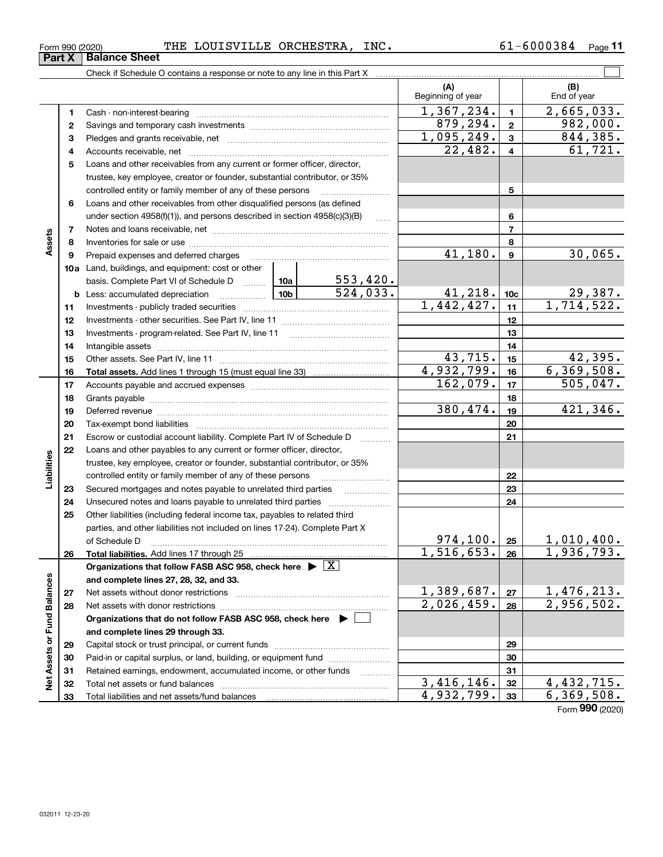| Form 990 (2020) | THE | LOUISVILLE ORCHESTRA, | INC. | L-6000384 | Page |  |
|-----------------|-----|-----------------------|------|-----------|------|--|
|                 |     |                       |      |           |      |  |

|                             |    | Check if Schedule O contains a response or note to any line in this Part X                                                                                                                                                     |       |          |                          |                         |                            |
|-----------------------------|----|--------------------------------------------------------------------------------------------------------------------------------------------------------------------------------------------------------------------------------|-------|----------|--------------------------|-------------------------|----------------------------|
|                             |    |                                                                                                                                                                                                                                |       |          | (A)<br>Beginning of year |                         | (B)<br>End of year         |
|                             | 1  |                                                                                                                                                                                                                                |       |          | 1,367,234.               | $\mathbf{1}$            | 2,665,033.                 |
|                             | 2  |                                                                                                                                                                                                                                |       |          | 879,294.                 | $\mathbf{2}$            | 982,000.                   |
|                             | з  |                                                                                                                                                                                                                                |       |          | 1,095,249.               | $\mathbf{3}$            | 844,385.                   |
|                             | 4  |                                                                                                                                                                                                                                |       |          | 22,482.                  | $\overline{\mathbf{4}}$ | 61,721.                    |
|                             | 5  | Loans and other receivables from any current or former officer, director,                                                                                                                                                      |       |          |                          |                         |                            |
|                             |    | trustee, key employee, creator or founder, substantial contributor, or 35%                                                                                                                                                     |       |          |                          |                         |                            |
|                             |    | controlled entity or family member of any of these persons                                                                                                                                                                     |       |          |                          | 5                       |                            |
|                             | 6  | Loans and other receivables from other disqualified persons (as defined                                                                                                                                                        |       |          |                          |                         |                            |
|                             |    | under section $4958(f)(1)$ , and persons described in section $4958(c)(3)(B)$                                                                                                                                                  |       | $\ldots$ |                          | 6                       |                            |
|                             | 7  |                                                                                                                                                                                                                                |       |          |                          | $\overline{7}$          |                            |
| Assets                      | 8  |                                                                                                                                                                                                                                |       |          |                          | 8                       |                            |
|                             | 9  | Prepaid expenses and deferred charges                                                                                                                                                                                          |       |          | $\overline{41,180}$ .    | $\boldsymbol{9}$        | 30,065.                    |
|                             |    | 10a Land, buildings, and equipment: cost or other                                                                                                                                                                              |       |          |                          |                         |                            |
|                             |    | basis. Complete Part VI of Schedule D  10a                                                                                                                                                                                     |       | 553,420. |                          |                         |                            |
|                             |    | <b>b</b> Less: accumulated depreciation                                                                                                                                                                                        | 10b l | 524,033. | 41,218.                  | 10 <sub>c</sub>         | $\frac{29,387}{1,714,522}$ |
|                             | 11 |                                                                                                                                                                                                                                |       |          | 1,442,427.               | 11                      |                            |
|                             | 12 |                                                                                                                                                                                                                                |       |          |                          | 12                      |                            |
|                             | 13 |                                                                                                                                                                                                                                |       |          |                          | 13                      |                            |
|                             | 14 |                                                                                                                                                                                                                                |       |          |                          | 14                      |                            |
|                             | 15 |                                                                                                                                                                                                                                |       |          | 43,715.                  | 15                      | 42,395.                    |
|                             | 16 |                                                                                                                                                                                                                                |       |          | 4,932,799.               | 16                      | 6, 369, 508.               |
|                             | 17 |                                                                                                                                                                                                                                |       |          | 162,079.                 | 17                      | 505,047.                   |
|                             | 18 |                                                                                                                                                                                                                                |       |          |                          | 18                      |                            |
|                             | 19 | Deferred revenue manual contracts and contracts are contracted and contract and contract are contracted and contract are contracted and contract are contracted and contract are contracted and contract are contracted and co |       |          | 380,474.                 | 19                      | 421,346.                   |
|                             | 20 |                                                                                                                                                                                                                                |       |          |                          | 20                      |                            |
|                             | 21 | Escrow or custodial account liability. Complete Part IV of Schedule D                                                                                                                                                          |       |          |                          | 21                      |                            |
|                             | 22 | Loans and other payables to any current or former officer, director,                                                                                                                                                           |       |          |                          |                         |                            |
| Liabilities                 |    | trustee, key employee, creator or founder, substantial contributor, or 35%                                                                                                                                                     |       |          |                          |                         |                            |
|                             |    | controlled entity or family member of any of these persons                                                                                                                                                                     |       |          |                          | 22                      |                            |
|                             | 23 | Secured mortgages and notes payable to unrelated third parties                                                                                                                                                                 |       |          |                          | 23                      |                            |
|                             | 24 | Unsecured notes and loans payable to unrelated third parties                                                                                                                                                                   |       |          |                          | 24                      |                            |
|                             | 25 | Other liabilities (including federal income tax, payables to related third                                                                                                                                                     |       |          |                          |                         |                            |
|                             |    | parties, and other liabilities not included on lines 17-24). Complete Part X                                                                                                                                                   |       |          |                          |                         |                            |
|                             |    | of Schedule D                                                                                                                                                                                                                  |       |          | 974, 100.<br>1,516,653.  | 25                      | 1,010,400.<br>1,936,793.   |
|                             | 26 | Total liabilities. Add lines 17 through 25                                                                                                                                                                                     |       |          |                          | 26                      |                            |
|                             |    | Organizations that follow FASB ASC 958, check here $\triangleright \lfloor X \rfloor$                                                                                                                                          |       |          |                          |                         |                            |
|                             |    | and complete lines 27, 28, 32, and 33.                                                                                                                                                                                         |       |          | 1,389,687.               |                         | 1,476,213.                 |
|                             | 27 |                                                                                                                                                                                                                                |       |          | $\overline{2,026,459}$ . | 27                      | 2,956,502.                 |
|                             | 28 |                                                                                                                                                                                                                                |       |          |                          | 28                      |                            |
|                             |    | Organizations that do not follow FASB ASC 958, check here ▶ □                                                                                                                                                                  |       |          |                          |                         |                            |
| Net Assets or Fund Balances |    | and complete lines 29 through 33.                                                                                                                                                                                              |       |          |                          |                         |                            |
|                             | 29 |                                                                                                                                                                                                                                |       |          |                          | 29                      |                            |
|                             | 30 | Paid-in or capital surplus, or land, building, or equipment fund                                                                                                                                                               |       |          |                          | 30                      |                            |
|                             | 31 | Retained earnings, endowment, accumulated income, or other funds                                                                                                                                                               |       |          | $\overline{3,416,146}$ . | 31                      | $\overline{4, 432}$ , 715. |
|                             | 32 |                                                                                                                                                                                                                                |       |          | 4,932,799.               | 32                      | 6, 369, 508.               |
|                             | 33 |                                                                                                                                                                                                                                |       |          |                          | 33                      |                            |

Form (2020) **990**

# **Part X Balance Sheet**

| Form 990 (202) |  |
|----------------|--|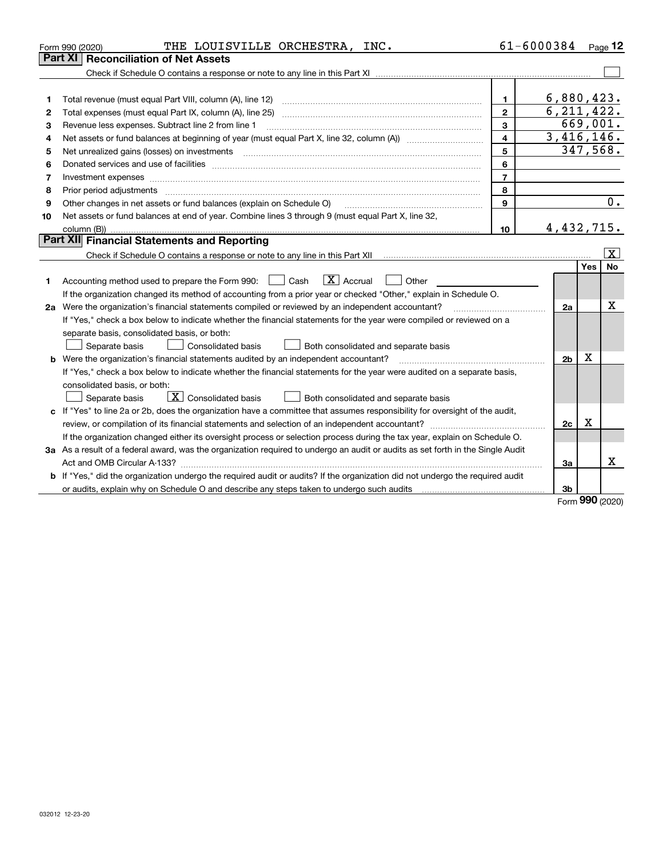|    | THE LOUISVILLE ORCHESTRA, INC.<br>Form 990 (2020)                                                                                                                                                                              | 61-6000384     |                |          | $P_{aqe}$ 12            |
|----|--------------------------------------------------------------------------------------------------------------------------------------------------------------------------------------------------------------------------------|----------------|----------------|----------|-------------------------|
|    | <b>Reconciliation of Net Assets</b><br><b>Part XI</b>                                                                                                                                                                          |                |                |          |                         |
|    |                                                                                                                                                                                                                                |                |                |          |                         |
|    |                                                                                                                                                                                                                                |                |                |          |                         |
| 1  | Total revenue (must equal Part VIII, column (A), line 12)                                                                                                                                                                      | 1.             | 6,880,423.     |          |                         |
| 2  | Total expenses (must equal Part IX, column (A), line 25)                                                                                                                                                                       | $\overline{2}$ | 6, 211, 422.   |          |                         |
| З  | Revenue less expenses. Subtract line 2 from line 1                                                                                                                                                                             | 3              |                | 669,001. |                         |
| 4  |                                                                                                                                                                                                                                | 4              | 3,416,146.     |          |                         |
| 5  | Net unrealized gains (losses) on investments                                                                                                                                                                                   | 5              |                |          | 347,568.                |
| 6  | Donated services and use of facilities [111] processes and the service of facilities [11] processes and use of facilities [11] processes and the service of facilities [11] processes and the service of the service of the se | 6              |                |          |                         |
| 7  |                                                                                                                                                                                                                                | $\overline{7}$ |                |          |                         |
| 8  | Prior period adjustments                                                                                                                                                                                                       | 8              |                |          |                         |
| 9  | Other changes in net assets or fund balances (explain on Schedule O)                                                                                                                                                           | $\mathbf{Q}$   |                |          | 0.                      |
| 10 | Net assets or fund balances at end of year. Combine lines 3 through 9 (must equal Part X, line 32,                                                                                                                             |                |                |          |                         |
|    | column (B))                                                                                                                                                                                                                    | 10             | 4,432,715.     |          |                         |
|    | Part XII Financial Statements and Reporting                                                                                                                                                                                    |                |                |          |                         |
|    |                                                                                                                                                                                                                                |                |                |          | $\overline{\mathbf{X}}$ |
|    |                                                                                                                                                                                                                                |                |                | Yes      | No                      |
| 1  | $\boxed{\mathbf{X}}$ Accrual<br>Accounting method used to prepare the Form 990: <u>I</u> Cash<br>Other                                                                                                                         |                |                |          |                         |
|    | If the organization changed its method of accounting from a prior year or checked "Other," explain in Schedule O.                                                                                                              |                |                |          |                         |
|    | 2a Were the organization's financial statements compiled or reviewed by an independent accountant?                                                                                                                             |                | 2a             |          | x                       |
|    | If "Yes," check a box below to indicate whether the financial statements for the year were compiled or reviewed on a                                                                                                           |                |                |          |                         |
|    | separate basis, consolidated basis, or both:                                                                                                                                                                                   |                |                |          |                         |
|    | Separate basis<br><b>Consolidated basis</b><br>Both consolidated and separate basis                                                                                                                                            |                |                |          |                         |
|    | <b>b</b> Were the organization's financial statements audited by an independent accountant?                                                                                                                                    |                | 2 <sub>b</sub> | Χ        |                         |
|    | If "Yes," check a box below to indicate whether the financial statements for the year were audited on a separate basis,                                                                                                        |                |                |          |                         |
|    | consolidated basis, or both:                                                                                                                                                                                                   |                |                |          |                         |
|    | $\overline{X}$ Consolidated basis<br>Separate basis<br>Both consolidated and separate basis                                                                                                                                    |                |                |          |                         |
| c  | If "Yes" to line 2a or 2b, does the organization have a committee that assumes responsibility for oversight of the audit,                                                                                                      |                |                |          |                         |
|    | review, or compilation of its financial statements and selection of an independent accountant?                                                                                                                                 |                | 2c             | x        |                         |
|    | If the organization changed either its oversight process or selection process during the tax year, explain on Schedule O.                                                                                                      |                |                |          |                         |
|    | 3a As a result of a federal award, was the organization required to undergo an audit or audits as set forth in the Single Audit                                                                                                |                |                |          |                         |
|    |                                                                                                                                                                                                                                |                | За             |          | X                       |
|    | b If "Yes," did the organization undergo the required audit or audits? If the organization did not undergo the required audit                                                                                                  |                |                |          |                         |
|    |                                                                                                                                                                                                                                |                | 3b             | nnn      |                         |

Form (2020) **990**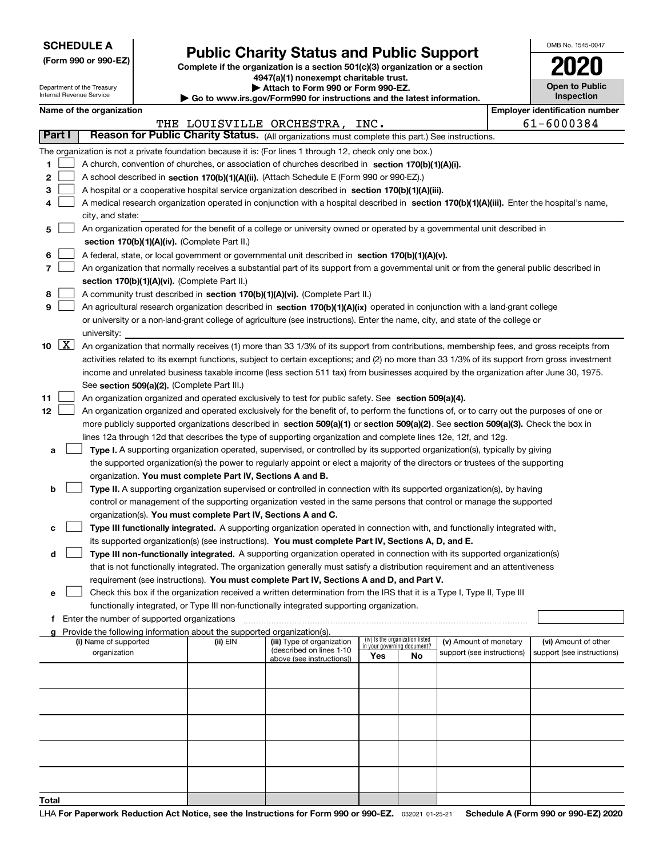| <b>SCHEDULE A</b> |
|-------------------|
|-------------------|

Department of the Treasury Internal Revenue Service

**(Form 990 or 990-EZ)**

# **Public Charity Status and Public Support**

**Complete if the organization is a section 501(c)(3) organization or a section 4947(a)(1) nonexempt charitable trust.**

| Attach to Form 990 or Form 990-EZ. |  |
|------------------------------------|--|
|------------------------------------|--|

**| Go to www.irs.gov/Form990 for instructions and the latest information.**

| OMB No. 1545-0047                   |
|-------------------------------------|
|                                     |
| <b>Open to Public</b><br>Inspection |

|  | Name of the organization |
|--|--------------------------|
|--|--------------------------|

|               |                     | Name of the organization                                                                                                                          |          |                                                        |                                                                |    |                            |  | <b>Employer identification number</b> |
|---------------|---------------------|---------------------------------------------------------------------------------------------------------------------------------------------------|----------|--------------------------------------------------------|----------------------------------------------------------------|----|----------------------------|--|---------------------------------------|
|               |                     |                                                                                                                                                   |          | THE LOUISVILLE ORCHESTRA, INC.                         |                                                                |    |                            |  | 61-6000384                            |
| <b>Part I</b> |                     | Reason for Public Charity Status. (All organizations must complete this part.) See instructions.                                                  |          |                                                        |                                                                |    |                            |  |                                       |
|               |                     | The organization is not a private foundation because it is: (For lines 1 through 12, check only one box.)                                         |          |                                                        |                                                                |    |                            |  |                                       |
| 1             |                     | A church, convention of churches, or association of churches described in section 170(b)(1)(A)(i).                                                |          |                                                        |                                                                |    |                            |  |                                       |
| 2             |                     | A school described in section 170(b)(1)(A)(ii). (Attach Schedule E (Form 990 or 990-EZ).)                                                         |          |                                                        |                                                                |    |                            |  |                                       |
| з             |                     | A hospital or a cooperative hospital service organization described in section 170(b)(1)(A)(iii).                                                 |          |                                                        |                                                                |    |                            |  |                                       |
|               |                     | A medical research organization operated in conjunction with a hospital described in section 170(b)(1)(A)(iii). Enter the hospital's name,        |          |                                                        |                                                                |    |                            |  |                                       |
|               |                     | city, and state:                                                                                                                                  |          |                                                        |                                                                |    |                            |  |                                       |
| 5             |                     | An organization operated for the benefit of a college or university owned or operated by a governmental unit described in                         |          |                                                        |                                                                |    |                            |  |                                       |
|               |                     | section 170(b)(1)(A)(iv). (Complete Part II.)<br>A federal, state, or local government or governmental unit described in section 170(b)(1)(A)(v). |          |                                                        |                                                                |    |                            |  |                                       |
| 6             |                     |                                                                                                                                                   |          |                                                        |                                                                |    |                            |  |                                       |
| 7             |                     | An organization that normally receives a substantial part of its support from a governmental unit or from the general public described in         |          |                                                        |                                                                |    |                            |  |                                       |
|               |                     | section 170(b)(1)(A)(vi). (Complete Part II.)                                                                                                     |          |                                                        |                                                                |    |                            |  |                                       |
| 8             |                     | A community trust described in section 170(b)(1)(A)(vi). (Complete Part II.)                                                                      |          |                                                        |                                                                |    |                            |  |                                       |
| 9             |                     | An agricultural research organization described in section 170(b)(1)(A)(ix) operated in conjunction with a land-grant college                     |          |                                                        |                                                                |    |                            |  |                                       |
|               |                     | or university or a non-land-grant college of agriculture (see instructions). Enter the name, city, and state of the college or                    |          |                                                        |                                                                |    |                            |  |                                       |
|               |                     | university:                                                                                                                                       |          |                                                        |                                                                |    |                            |  |                                       |
| 10            | $\lfloor x \rfloor$ | An organization that normally receives (1) more than 33 1/3% of its support from contributions, membership fees, and gross receipts from          |          |                                                        |                                                                |    |                            |  |                                       |
|               |                     | activities related to its exempt functions, subject to certain exceptions; and (2) no more than 33 1/3% of its support from gross investment      |          |                                                        |                                                                |    |                            |  |                                       |
|               |                     | income and unrelated business taxable income (less section 511 tax) from businesses acquired by the organization after June 30, 1975.             |          |                                                        |                                                                |    |                            |  |                                       |
|               |                     | See section 509(a)(2). (Complete Part III.)                                                                                                       |          |                                                        |                                                                |    |                            |  |                                       |
| 11            |                     | An organization organized and operated exclusively to test for public safety. See section 509(a)(4).                                              |          |                                                        |                                                                |    |                            |  |                                       |
| 12            |                     | An organization organized and operated exclusively for the benefit of, to perform the functions of, or to carry out the purposes of one or        |          |                                                        |                                                                |    |                            |  |                                       |
|               |                     | more publicly supported organizations described in section 509(a)(1) or section 509(a)(2). See section 509(a)(3). Check the box in                |          |                                                        |                                                                |    |                            |  |                                       |
|               |                     | lines 12a through 12d that describes the type of supporting organization and complete lines 12e, 12f, and 12g.                                    |          |                                                        |                                                                |    |                            |  |                                       |
| а             |                     | Type I. A supporting organization operated, supervised, or controlled by its supported organization(s), typically by giving                       |          |                                                        |                                                                |    |                            |  |                                       |
|               |                     | the supported organization(s) the power to regularly appoint or elect a majority of the directors or trustees of the supporting                   |          |                                                        |                                                                |    |                            |  |                                       |
|               |                     | organization. You must complete Part IV, Sections A and B.                                                                                        |          |                                                        |                                                                |    |                            |  |                                       |
| b             |                     | Type II. A supporting organization supervised or controlled in connection with its supported organization(s), by having                           |          |                                                        |                                                                |    |                            |  |                                       |
|               |                     | control or management of the supporting organization vested in the same persons that control or manage the supported                              |          |                                                        |                                                                |    |                            |  |                                       |
|               |                     | organization(s). You must complete Part IV, Sections A and C.                                                                                     |          |                                                        |                                                                |    |                            |  |                                       |
| c             |                     | Type III functionally integrated. A supporting organization operated in connection with, and functionally integrated with,                        |          |                                                        |                                                                |    |                            |  |                                       |
|               |                     | its supported organization(s) (see instructions). You must complete Part IV, Sections A, D, and E.                                                |          |                                                        |                                                                |    |                            |  |                                       |
| d             |                     | Type III non-functionally integrated. A supporting organization operated in connection with its supported organization(s)                         |          |                                                        |                                                                |    |                            |  |                                       |
|               |                     | that is not functionally integrated. The organization generally must satisfy a distribution requirement and an attentiveness                      |          |                                                        |                                                                |    |                            |  |                                       |
|               |                     | requirement (see instructions). You must complete Part IV, Sections A and D, and Part V.                                                          |          |                                                        |                                                                |    |                            |  |                                       |
| е             |                     | Check this box if the organization received a written determination from the IRS that it is a Type I, Type II, Type III                           |          |                                                        |                                                                |    |                            |  |                                       |
|               |                     | functionally integrated, or Type III non-functionally integrated supporting organization.                                                         |          |                                                        |                                                                |    |                            |  |                                       |
|               |                     | f Enter the number of supported organizations                                                                                                     |          |                                                        |                                                                |    |                            |  |                                       |
|               |                     | g Provide the following information about the supported organization(s).                                                                          |          |                                                        |                                                                |    |                            |  |                                       |
|               |                     | (i) Name of supported                                                                                                                             | (ii) EIN | (iii) Type of organization<br>(described on lines 1-10 | (iv) Is the organization listed<br>in your governing document? |    | (v) Amount of monetary     |  | (vi) Amount of other                  |
|               |                     | organization                                                                                                                                      |          | above (see instructions))                              | Yes                                                            | No | support (see instructions) |  | support (see instructions)            |
|               |                     |                                                                                                                                                   |          |                                                        |                                                                |    |                            |  |                                       |
|               |                     |                                                                                                                                                   |          |                                                        |                                                                |    |                            |  |                                       |
|               |                     |                                                                                                                                                   |          |                                                        |                                                                |    |                            |  |                                       |
|               |                     |                                                                                                                                                   |          |                                                        |                                                                |    |                            |  |                                       |
|               |                     |                                                                                                                                                   |          |                                                        |                                                                |    |                            |  |                                       |
|               |                     |                                                                                                                                                   |          |                                                        |                                                                |    |                            |  |                                       |
|               |                     |                                                                                                                                                   |          |                                                        |                                                                |    |                            |  |                                       |
|               |                     |                                                                                                                                                   |          |                                                        |                                                                |    |                            |  |                                       |
|               |                     |                                                                                                                                                   |          |                                                        |                                                                |    |                            |  |                                       |
| Total         |                     |                                                                                                                                                   |          |                                                        |                                                                |    |                            |  |                                       |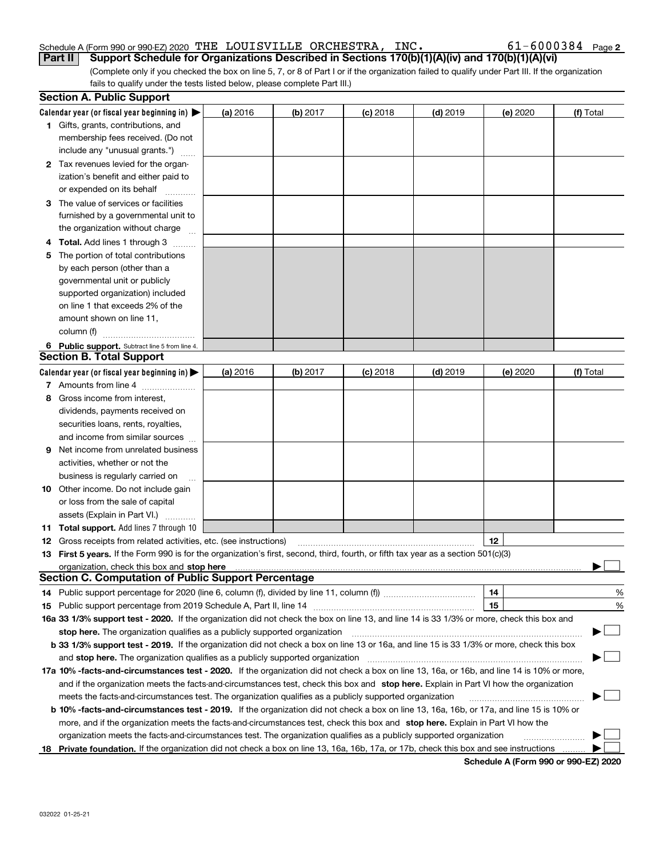## Schedule A (Form 990 or 990-EZ) 2020 Page THE LOUISVILLE ORCHESTRA, INC. 61-6000384

| $61 - 6000384$ Page 2 |  |
|-----------------------|--|
|-----------------------|--|

(Complete only if you checked the box on line 5, 7, or 8 of Part I or if the organization failed to qualify under Part III. If the organization fails to qualify under the tests listed below, please complete Part III.) **Part II Support Schedule for Organizations Described in Sections 170(b)(1)(A)(iv) and 170(b)(1)(A)(vi)**

|    | <b>Section A. Public Support</b>                                                                                                               |          |          |            |            |          |           |
|----|------------------------------------------------------------------------------------------------------------------------------------------------|----------|----------|------------|------------|----------|-----------|
|    | Calendar year (or fiscal year beginning in) $\blacktriangleright$                                                                              | (a) 2016 | (b) 2017 | $(c)$ 2018 | $(d)$ 2019 | (e) 2020 | (f) Total |
|    | <b>1</b> Gifts, grants, contributions, and                                                                                                     |          |          |            |            |          |           |
|    | membership fees received. (Do not                                                                                                              |          |          |            |            |          |           |
|    | include any "unusual grants.")                                                                                                                 |          |          |            |            |          |           |
|    | 2 Tax revenues levied for the organ-                                                                                                           |          |          |            |            |          |           |
|    | ization's benefit and either paid to                                                                                                           |          |          |            |            |          |           |
|    | or expended on its behalf                                                                                                                      |          |          |            |            |          |           |
|    | 3 The value of services or facilities                                                                                                          |          |          |            |            |          |           |
|    | furnished by a governmental unit to                                                                                                            |          |          |            |            |          |           |
|    | the organization without charge                                                                                                                |          |          |            |            |          |           |
|    | <b>4 Total.</b> Add lines 1 through 3                                                                                                          |          |          |            |            |          |           |
| 5. | The portion of total contributions                                                                                                             |          |          |            |            |          |           |
|    | by each person (other than a                                                                                                                   |          |          |            |            |          |           |
|    | governmental unit or publicly                                                                                                                  |          |          |            |            |          |           |
|    | supported organization) included                                                                                                               |          |          |            |            |          |           |
|    | on line 1 that exceeds 2% of the                                                                                                               |          |          |            |            |          |           |
|    | amount shown on line 11,                                                                                                                       |          |          |            |            |          |           |
|    | column (f)                                                                                                                                     |          |          |            |            |          |           |
|    | 6 Public support. Subtract line 5 from line 4.                                                                                                 |          |          |            |            |          |           |
|    | <b>Section B. Total Support</b>                                                                                                                |          |          |            |            |          |           |
|    | Calendar year (or fiscal year beginning in) $\blacktriangleright$                                                                              | (a) 2016 | (b) 2017 | $(c)$ 2018 | $(d)$ 2019 | (e) 2020 | (f) Total |
|    | 7 Amounts from line 4                                                                                                                          |          |          |            |            |          |           |
| 8  | Gross income from interest,                                                                                                                    |          |          |            |            |          |           |
|    | dividends, payments received on                                                                                                                |          |          |            |            |          |           |
|    | securities loans, rents, royalties,                                                                                                            |          |          |            |            |          |           |
|    | and income from similar sources                                                                                                                |          |          |            |            |          |           |
|    | <b>9</b> Net income from unrelated business                                                                                                    |          |          |            |            |          |           |
|    | activities, whether or not the                                                                                                                 |          |          |            |            |          |           |
|    | business is regularly carried on                                                                                                               |          |          |            |            |          |           |
|    | <b>10</b> Other income. Do not include gain                                                                                                    |          |          |            |            |          |           |
|    | or loss from the sale of capital                                                                                                               |          |          |            |            |          |           |
|    | assets (Explain in Part VI.)                                                                                                                   |          |          |            |            |          |           |
|    | 11 Total support. Add lines 7 through 10                                                                                                       |          |          |            |            |          |           |
|    | <b>12</b> Gross receipts from related activities, etc. (see instructions)                                                                      |          |          |            |            | 12       |           |
|    | 13 First 5 years. If the Form 990 is for the organization's first, second, third, fourth, or fifth tax year as a section 501(c)(3)             |          |          |            |            |          |           |
|    | organization, check this box and stop here manufactured and content to the state of the state of the state of                                  |          |          |            |            |          |           |
|    | <b>Section C. Computation of Public Support Percentage</b>                                                                                     |          |          |            |            |          |           |
|    |                                                                                                                                                |          |          |            |            | 14       | %         |
|    |                                                                                                                                                |          |          |            |            | 15       | %         |
|    | 16a 33 1/3% support test - 2020. If the organization did not check the box on line 13, and line 14 is 33 1/3% or more, check this box and      |          |          |            |            |          |           |
|    | stop here. The organization qualifies as a publicly supported organization                                                                     |          |          |            |            |          | $\sim$    |
|    | b 33 1/3% support test - 2019. If the organization did not check a box on line 13 or 16a, and line 15 is 33 1/3% or more, check this box       |          |          |            |            |          |           |
|    | and stop here. The organization qualifies as a publicly supported organization                                                                 |          |          |            |            |          |           |
|    | 17a 10% -facts-and-circumstances test - 2020. If the organization did not check a box on line 13, 16a, or 16b, and line 14 is 10% or more,     |          |          |            |            |          |           |
|    | and if the organization meets the facts-and-circumstances test, check this box and stop here. Explain in Part VI how the organization          |          |          |            |            |          |           |
|    | meets the facts-and-circumstances test. The organization qualifies as a publicly supported organization                                        |          |          |            |            |          |           |
|    | <b>b 10% -facts-and-circumstances test - 2019.</b> If the organization did not check a box on line 13, 16a, 16b, or 17a, and line 15 is 10% or |          |          |            |            |          |           |
|    | more, and if the organization meets the facts-and-circumstances test, check this box and stop here. Explain in Part VI how the                 |          |          |            |            |          |           |
|    | organization meets the facts-and-circumstances test. The organization qualifies as a publicly supported organization                           |          |          |            |            |          |           |
|    | 18 Private foundation. If the organization did not check a box on line 13, 16a, 16b, 17a, or 17b, check this box and see instructions          |          |          |            |            |          |           |

**Schedule A (Form 990 or 990-EZ) 2020**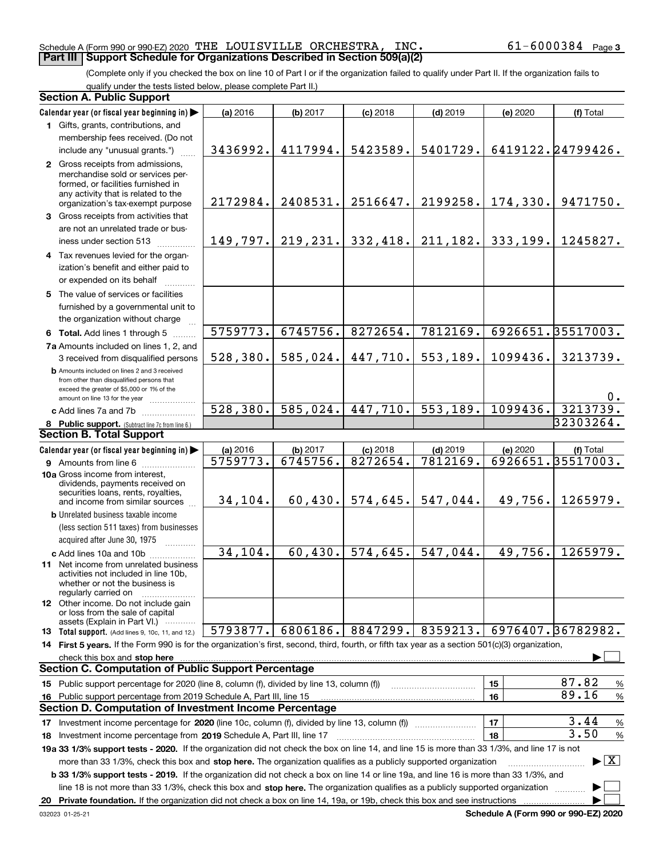#### Schedule A (Form 990 or 990-EZ) 2020 Page THE LOUISVILLE ORCHESTRA, INC. 61-6000384 **Part III Support Schedule for Organizations Described in Section 509(a)(2)**

(Complete only if you checked the box on line 10 of Part I or if the organization failed to qualify under Part II. If the organization fails to qualify under the tests listed below, please complete Part II.)

| <b>Section A. Public Support</b>                                                                                                                                                                                                                                                             |           |           |            |            |          |                                          |
|----------------------------------------------------------------------------------------------------------------------------------------------------------------------------------------------------------------------------------------------------------------------------------------------|-----------|-----------|------------|------------|----------|------------------------------------------|
| Calendar year (or fiscal year beginning in)                                                                                                                                                                                                                                                  | (a) 2016  | (b) 2017  | $(c)$ 2018 | $(d)$ 2019 | (e) 2020 | (f) Total                                |
| 1 Gifts, grants, contributions, and                                                                                                                                                                                                                                                          |           |           |            |            |          |                                          |
| membership fees received. (Do not                                                                                                                                                                                                                                                            |           |           |            |            |          |                                          |
| include any "unusual grants.")                                                                                                                                                                                                                                                               | 3436992.  | 4117994.  | 5423589.   | 5401729.   |          | 6419122.24799426.                        |
| 2 Gross receipts from admissions,                                                                                                                                                                                                                                                            |           |           |            |            |          |                                          |
| merchandise sold or services per-                                                                                                                                                                                                                                                            |           |           |            |            |          |                                          |
| formed, or facilities furnished in<br>any activity that is related to the                                                                                                                                                                                                                    |           |           |            |            |          |                                          |
| organization's tax-exempt purpose                                                                                                                                                                                                                                                            | 2172984.  | 2408531.  | 2516647.   | 2199258.   | 174,330. | 9471750.                                 |
| 3 Gross receipts from activities that                                                                                                                                                                                                                                                        |           |           |            |            |          |                                          |
| are not an unrelated trade or bus-                                                                                                                                                                                                                                                           |           |           |            |            |          |                                          |
| iness under section 513                                                                                                                                                                                                                                                                      | 149, 797. | 219, 231. | 332,418.   | 211, 182.  | 333,199. | 1245827.                                 |
| 4 Tax revenues levied for the organ-                                                                                                                                                                                                                                                         |           |           |            |            |          |                                          |
| ization's benefit and either paid to                                                                                                                                                                                                                                                         |           |           |            |            |          |                                          |
| or expended on its behalf                                                                                                                                                                                                                                                                    |           |           |            |            |          |                                          |
| 5 The value of services or facilities                                                                                                                                                                                                                                                        |           |           |            |            |          |                                          |
| furnished by a governmental unit to                                                                                                                                                                                                                                                          |           |           |            |            |          |                                          |
| the organization without charge                                                                                                                                                                                                                                                              |           |           |            |            |          |                                          |
| 6 Total. Add lines 1 through 5                                                                                                                                                                                                                                                               | 5759773.  | 6745756.  | 8272654.   | 7812169.   |          | 6926651.35517003.                        |
| 7a Amounts included on lines 1, 2, and                                                                                                                                                                                                                                                       |           |           |            |            |          |                                          |
| 3 received from disqualified persons                                                                                                                                                                                                                                                         | 528,380.  | 585,024.  | 447,710.   | 553,189.   | 1099436. | 3213739.                                 |
| <b>b</b> Amounts included on lines 2 and 3 received                                                                                                                                                                                                                                          |           |           |            |            |          |                                          |
| from other than disqualified persons that                                                                                                                                                                                                                                                    |           |           |            |            |          |                                          |
| exceed the greater of \$5,000 or 1% of the<br>amount on line 13 for the year                                                                                                                                                                                                                 |           |           |            |            |          | 0.                                       |
| c Add lines 7a and 7b                                                                                                                                                                                                                                                                        | 528, 380. | 585,024.  | 447,710.   | 553,189.   | 1099436. | 3213739.                                 |
| 8 Public support. (Subtract line 7c from line 6.)                                                                                                                                                                                                                                            |           |           |            |            |          | 32303264.                                |
| <b>Section B. Total Support</b>                                                                                                                                                                                                                                                              |           |           |            |            |          |                                          |
| Calendar year (or fiscal year beginning in)                                                                                                                                                                                                                                                  | (a) 2016  | (b) 2017  | $(c)$ 2018 | $(d)$ 2019 | (e) 2020 | (f) Total                                |
| <b>9</b> Amounts from line 6                                                                                                                                                                                                                                                                 | 5759773.  | 6745756.  | 8272654.   | 7812169.   |          | 6926651.35517003.                        |
| 10a Gross income from interest,                                                                                                                                                                                                                                                              |           |           |            |            |          |                                          |
| dividends, payments received on                                                                                                                                                                                                                                                              |           |           |            |            |          |                                          |
| securities loans, rents, royalties,<br>and income from similar sources                                                                                                                                                                                                                       | 34,104.   | 60, 430.  | 574,645.   | 547,044.   | 49,756.  | 1265979.                                 |
| <b>b</b> Unrelated business taxable income                                                                                                                                                                                                                                                   |           |           |            |            |          |                                          |
| (less section 511 taxes) from businesses                                                                                                                                                                                                                                                     |           |           |            |            |          |                                          |
| acquired after June 30, 1975                                                                                                                                                                                                                                                                 |           |           |            |            |          |                                          |
| c Add lines 10a and 10b                                                                                                                                                                                                                                                                      | 34, 104.  | 60,430.   | 574,645.   | 547,044.   | 49,756.  | 1265979.                                 |
| 11 Net income from unrelated business                                                                                                                                                                                                                                                        |           |           |            |            |          |                                          |
| activities not included in line 10b,                                                                                                                                                                                                                                                         |           |           |            |            |          |                                          |
| whether or not the business is                                                                                                                                                                                                                                                               |           |           |            |            |          |                                          |
| regularly carried on<br><b>12</b> Other income. Do not include gain                                                                                                                                                                                                                          |           |           |            |            |          |                                          |
| or loss from the sale of capital                                                                                                                                                                                                                                                             |           |           |            |            |          |                                          |
| assets (Explain in Part VI.)                                                                                                                                                                                                                                                                 | 5793877.  | 6806186.  | 8847299.   | 8359213.   |          | 6976407.36782982.                        |
| 13 Total support. (Add lines 9, 10c, 11, and 12.)                                                                                                                                                                                                                                            |           |           |            |            |          |                                          |
| 14 First 5 years. If the Form 990 is for the organization's first, second, third, fourth, or fifth tax year as a section 501(c)(3) organization,                                                                                                                                             |           |           |            |            |          |                                          |
| check this box and stop here measurements and contact the state of the state of the state of the state of the state of the state of the state of the state of the state of the state of the state of the state of the state of<br><b>Section C. Computation of Public Support Percentage</b> |           |           |            |            |          |                                          |
|                                                                                                                                                                                                                                                                                              |           |           |            |            |          | 87.82                                    |
| 15 Public support percentage for 2020 (line 8, column (f), divided by line 13, column (f))                                                                                                                                                                                                   |           |           |            |            | 15       | %<br>89.16                               |
| 16 Public support percentage from 2019 Schedule A, Part III, line 15<br><b>Section D. Computation of Investment Income Percentage</b>                                                                                                                                                        |           |           |            |            | 16       | $\%$                                     |
|                                                                                                                                                                                                                                                                                              |           |           |            |            |          | 3.44                                     |
| 17 Investment income percentage for 2020 (line 10c, column (f), divided by line 13, column (f))                                                                                                                                                                                              |           |           |            |            | 17       | $\%$<br>3.50                             |
| 18 Investment income percentage from 2019 Schedule A, Part III, line 17                                                                                                                                                                                                                      |           |           |            |            | 18       | $\%$                                     |
| 19a 33 1/3% support tests - 2020. If the organization did not check the box on line 14, and line 15 is more than 33 1/3%, and line 17 is not                                                                                                                                                 |           |           |            |            |          |                                          |
| more than 33 1/3%, check this box and stop here. The organization qualifies as a publicly supported organization                                                                                                                                                                             |           |           |            |            |          | $\blacktriangleright$ $\boxed{\text{X}}$ |
| <b>b 33 1/3% support tests - 2019.</b> If the organization did not check a box on line 14 or line 19a, and line 16 is more than 33 1/3%, and                                                                                                                                                 |           |           |            |            |          |                                          |
| line 18 is not more than 33 1/3%, check this box and stop here. The organization qualifies as a publicly supported organization                                                                                                                                                              |           |           |            |            |          |                                          |
| 20 Private foundation. If the organization did not check a box on line 14, 19a, or 19b, check this box and see instructions                                                                                                                                                                  |           |           |            |            |          |                                          |

**Schedule A (Form 990 or 990-EZ) 2020**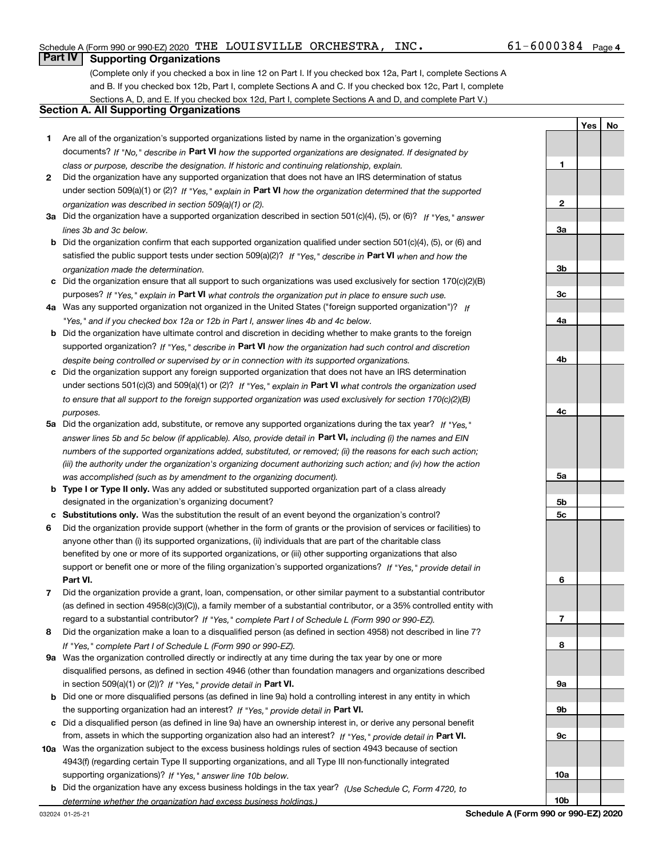**1**

**YesNo**

# **Part IV Supporting Organizations**

(Complete only if you checked a box in line 12 on Part I. If you checked box 12a, Part I, complete Sections A and B. If you checked box 12b, Part I, complete Sections A and C. If you checked box 12c, Part I, complete Sections A, D, and E. If you checked box 12d, Part I, complete Sections A and D, and complete Part V.)

# **Section A. All Supporting Organizations**

- **1** Are all of the organization's supported organizations listed by name in the organization's governing documents? If "No," describe in **Part VI** how the supported organizations are designated. If designated by *class or purpose, describe the designation. If historic and continuing relationship, explain.*
- **2** Did the organization have any supported organization that does not have an IRS determination of status under section 509(a)(1) or (2)? If "Yes," explain in Part VI how the organization determined that the supported *organization was described in section 509(a)(1) or (2).*
- **3a** Did the organization have a supported organization described in section 501(c)(4), (5), or (6)? If "Yes," answer *lines 3b and 3c below.*
- **b** Did the organization confirm that each supported organization qualified under section 501(c)(4), (5), or (6) and satisfied the public support tests under section 509(a)(2)? If "Yes," describe in **Part VI** when and how the *organization made the determination.*
- **c**Did the organization ensure that all support to such organizations was used exclusively for section 170(c)(2)(B) purposes? If "Yes," explain in **Part VI** what controls the organization put in place to ensure such use.
- **4a***If* Was any supported organization not organized in the United States ("foreign supported organization")? *"Yes," and if you checked box 12a or 12b in Part I, answer lines 4b and 4c below.*
- **b** Did the organization have ultimate control and discretion in deciding whether to make grants to the foreign supported organization? If "Yes," describe in **Part VI** how the organization had such control and discretion *despite being controlled or supervised by or in connection with its supported organizations.*
- **c** Did the organization support any foreign supported organization that does not have an IRS determination under sections 501(c)(3) and 509(a)(1) or (2)? If "Yes," explain in **Part VI** what controls the organization used *to ensure that all support to the foreign supported organization was used exclusively for section 170(c)(2)(B) purposes.*
- **5a***If "Yes,"* Did the organization add, substitute, or remove any supported organizations during the tax year? answer lines 5b and 5c below (if applicable). Also, provide detail in **Part VI,** including (i) the names and EIN *numbers of the supported organizations added, substituted, or removed; (ii) the reasons for each such action; (iii) the authority under the organization's organizing document authorizing such action; and (iv) how the action was accomplished (such as by amendment to the organizing document).*
- **b** Type I or Type II only. Was any added or substituted supported organization part of a class already designated in the organization's organizing document?
- **cSubstitutions only.**  Was the substitution the result of an event beyond the organization's control?
- **6** Did the organization provide support (whether in the form of grants or the provision of services or facilities) to **Part VI.** *If "Yes," provide detail in* support or benefit one or more of the filing organization's supported organizations? anyone other than (i) its supported organizations, (ii) individuals that are part of the charitable class benefited by one or more of its supported organizations, or (iii) other supporting organizations that also
- **7**Did the organization provide a grant, loan, compensation, or other similar payment to a substantial contributor *If "Yes," complete Part I of Schedule L (Form 990 or 990-EZ).* regard to a substantial contributor? (as defined in section 4958(c)(3)(C)), a family member of a substantial contributor, or a 35% controlled entity with
- **8** Did the organization make a loan to a disqualified person (as defined in section 4958) not described in line 7? *If "Yes," complete Part I of Schedule L (Form 990 or 990-EZ).*
- **9a** Was the organization controlled directly or indirectly at any time during the tax year by one or more in section 509(a)(1) or (2))? If "Yes," *provide detail in* <code>Part VI.</code> disqualified persons, as defined in section 4946 (other than foundation managers and organizations described
- **b** Did one or more disqualified persons (as defined in line 9a) hold a controlling interest in any entity in which the supporting organization had an interest? If "Yes," provide detail in P**art VI**.
- **c**Did a disqualified person (as defined in line 9a) have an ownership interest in, or derive any personal benefit from, assets in which the supporting organization also had an interest? If "Yes," provide detail in P**art VI.**
- **10a** Was the organization subject to the excess business holdings rules of section 4943 because of section supporting organizations)? If "Yes," answer line 10b below. 4943(f) (regarding certain Type II supporting organizations, and all Type III non-functionally integrated
- **b** Did the organization have any excess business holdings in the tax year? (Use Schedule C, Form 4720, to *determine whether the organization had excess business holdings.)*

**23a3b3c4a4b4c5a5b5c6789a 9b9c**

**10a**

**10b**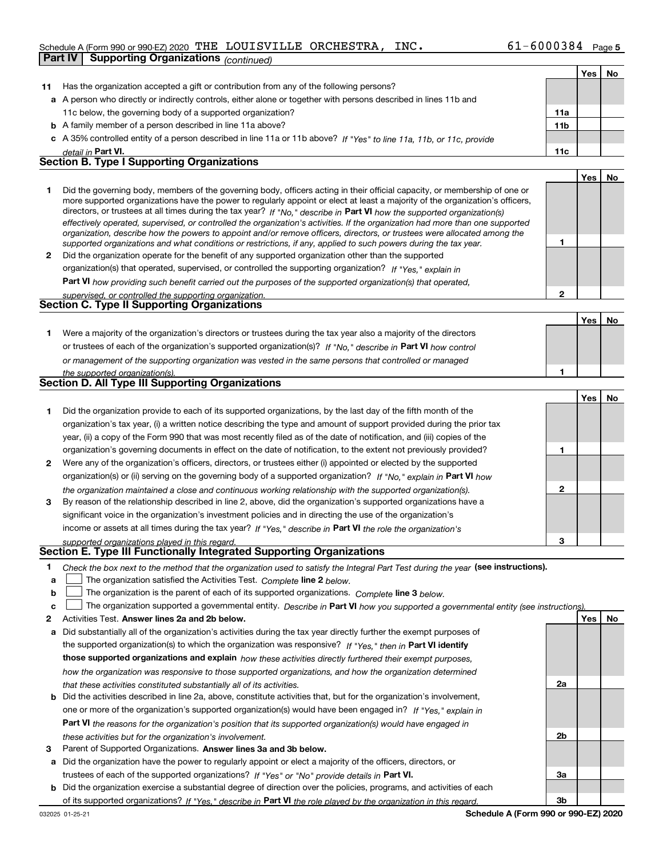### Schedule A (Form 990 or 990-EZ) 2020 Page THE LOUISVILLE ORCHESTRA, INC. 61-6000384

|                                                   | Part IV<br><b>Supporting Organizations (continued)</b>                                                                                                                                                                                                    |                 |            |    |  |
|---------------------------------------------------|-----------------------------------------------------------------------------------------------------------------------------------------------------------------------------------------------------------------------------------------------------------|-----------------|------------|----|--|
|                                                   |                                                                                                                                                                                                                                                           |                 | <b>Yes</b> | No |  |
| 11                                                | Has the organization accepted a gift or contribution from any of the following persons?                                                                                                                                                                   |                 |            |    |  |
|                                                   | a A person who directly or indirectly controls, either alone or together with persons described in lines 11b and                                                                                                                                          |                 |            |    |  |
|                                                   | 11c below, the governing body of a supported organization?                                                                                                                                                                                                | 11a             |            |    |  |
|                                                   | <b>b</b> A family member of a person described in line 11a above?                                                                                                                                                                                         | 11 <sub>b</sub> |            |    |  |
|                                                   | c A 35% controlled entity of a person described in line 11a or 11b above? If "Yes" to line 11a, 11b, or 11c, provide                                                                                                                                      |                 |            |    |  |
|                                                   | detail in Part VI.                                                                                                                                                                                                                                        | 11c             |            |    |  |
| <b>Section B. Type I Supporting Organizations</b> |                                                                                                                                                                                                                                                           |                 |            |    |  |
|                                                   |                                                                                                                                                                                                                                                           |                 | Yes        | No |  |
| 1                                                 | Did the governing body, members of the governing body, officers acting in their official capacity, or membership of one or                                                                                                                                |                 |            |    |  |
|                                                   | more supported organizations have the power to regularly appoint or elect at least a majority of the organization's officers,                                                                                                                             |                 |            |    |  |
|                                                   | directors, or trustees at all times during the tax year? If "No," describe in Part VI how the supported organization(s)<br>effectively operated, supervised, or controlled the organization's activities. If the organization had more than one supported |                 |            |    |  |
|                                                   | organization, describe how the powers to appoint and/or remove officers, directors, or trustees were allocated among the                                                                                                                                  |                 |            |    |  |
|                                                   | supported organizations and what conditions or restrictions, if any, applied to such powers during the tax year.                                                                                                                                          | 1               |            |    |  |
| $\mathbf{2}$                                      | Did the organization operate for the benefit of any supported organization other than the supported                                                                                                                                                       |                 |            |    |  |
|                                                   | organization(s) that operated, supervised, or controlled the supporting organization? If "Yes." explain in                                                                                                                                                |                 |            |    |  |
|                                                   | Part VI how providing such benefit carried out the purposes of the supported organization(s) that operated,                                                                                                                                               |                 |            |    |  |
|                                                   | supervised, or controlled the supporting organization.                                                                                                                                                                                                    | $\mathbf{2}$    |            |    |  |
|                                                   | <b>Section C. Type II Supporting Organizations</b>                                                                                                                                                                                                        |                 |            |    |  |
|                                                   |                                                                                                                                                                                                                                                           |                 | <b>Yes</b> | No |  |
| 1                                                 | Were a majority of the organization's directors or trustees during the tax year also a majority of the directors                                                                                                                                          |                 |            |    |  |
|                                                   | or trustees of each of the organization's supported organization(s)? If "No," describe in Part VI how control                                                                                                                                             |                 |            |    |  |
|                                                   | or management of the supporting organization was vested in the same persons that controlled or managed                                                                                                                                                    |                 |            |    |  |
|                                                   | the supported organization(s).                                                                                                                                                                                                                            | 1               |            |    |  |
|                                                   | Section D. All Type III Supporting Organizations                                                                                                                                                                                                          |                 |            |    |  |
|                                                   |                                                                                                                                                                                                                                                           |                 | <b>Yes</b> | No |  |
| 1.                                                | Did the organization provide to each of its supported organizations, by the last day of the fifth month of the                                                                                                                                            |                 |            |    |  |
|                                                   | organization's tax year, (i) a written notice describing the type and amount of support provided during the prior tax                                                                                                                                     |                 |            |    |  |
|                                                   | year, (ii) a copy of the Form 990 that was most recently filed as of the date of notification, and (iii) copies of the                                                                                                                                    |                 |            |    |  |
|                                                   | organization's governing documents in effect on the date of notification, to the extent not previously provided?                                                                                                                                          | 1               |            |    |  |
| $\mathbf{2}$                                      | Were any of the organization's officers, directors, or trustees either (i) appointed or elected by the supported                                                                                                                                          |                 |            |    |  |
|                                                   | organization(s) or (ii) serving on the governing body of a supported organization? If "No." explain in Part VI how                                                                                                                                        |                 |            |    |  |
|                                                   | the organization maintained a close and continuous working relationship with the supported organization(s).                                                                                                                                               | $\mathbf{2}$    |            |    |  |
| 3                                                 | By reason of the relationship described in line 2, above, did the organization's supported organizations have a                                                                                                                                           |                 |            |    |  |
|                                                   | significant voice in the organization's investment policies and in directing the use of the organization's                                                                                                                                                |                 |            |    |  |
|                                                   | income or assets at all times during the tax year? If "Yes," describe in Part VI the role the organization's                                                                                                                                              |                 |            |    |  |
|                                                   | supported organizations played in this regard.<br>Section E. Type III Functionally Integrated Supporting Organizations                                                                                                                                    | 3               |            |    |  |
| 1                                                 | Check the box next to the method that the organization used to satisfy the Integral Part Test during the year (see instructions).                                                                                                                         |                 |            |    |  |
| a                                                 | The organization satisfied the Activities Test. Complete line 2 below.                                                                                                                                                                                    |                 |            |    |  |
| b                                                 | The organization is the parent of each of its supported organizations. Complete line 3 below.                                                                                                                                                             |                 |            |    |  |
|                                                   |                                                                                                                                                                                                                                                           |                 |            |    |  |

c **I** The organization supported a governmental entity. Describe in Part VI how you supported a governmental entity (see instructions).

| 2 | Activities Test. Answer lines 2a and 2b below.                                                                               |                | Yes I | No |
|---|------------------------------------------------------------------------------------------------------------------------------|----------------|-------|----|
| a | Did substantially all of the organization's activities during the tax year directly further the exempt purposes of           |                |       |    |
|   | the supported organization(s) to which the organization was responsive? If "Yes," then in Part VI identify                   |                |       |    |
|   | those supported organizations and explain how these activities directly furthered their exempt purposes,                     |                |       |    |
|   | how the organization was responsive to those supported organizations, and how the organization determined                    |                |       |    |
|   | that these activities constituted substantially all of its activities.                                                       | 2a             |       |    |
|   | <b>b</b> Did the activities described in line 2a, above, constitute activities that, but for the organization's involvement, |                |       |    |
|   | one or more of the organization's supported organization(s) would have been engaged in? If "Yes." explain in                 |                |       |    |
|   | <b>Part VI</b> the reasons for the organization's position that its supported organization(s) would have engaged in          |                |       |    |
|   | these activities but for the organization's involvement.                                                                     | 2 <sub>b</sub> |       |    |
| 3 | Parent of Supported Organizations. Answer lines 3a and 3b below.                                                             |                |       |    |
| a | Did the organization have the power to regularly appoint or elect a majority of the officers, directors, or                  |                |       |    |
|   | trustees of each of the supported organizations? If "Yes" or "No" provide details in Part VI.                                | За             |       |    |
|   | <b>b</b> Did the organization exercise a substantial degree of direction over the policies, programs, and activities of each |                |       |    |
|   | of its supported organizations? If "Yes." describe in Part VI the role played by the organization in this regard.            | 3b             |       |    |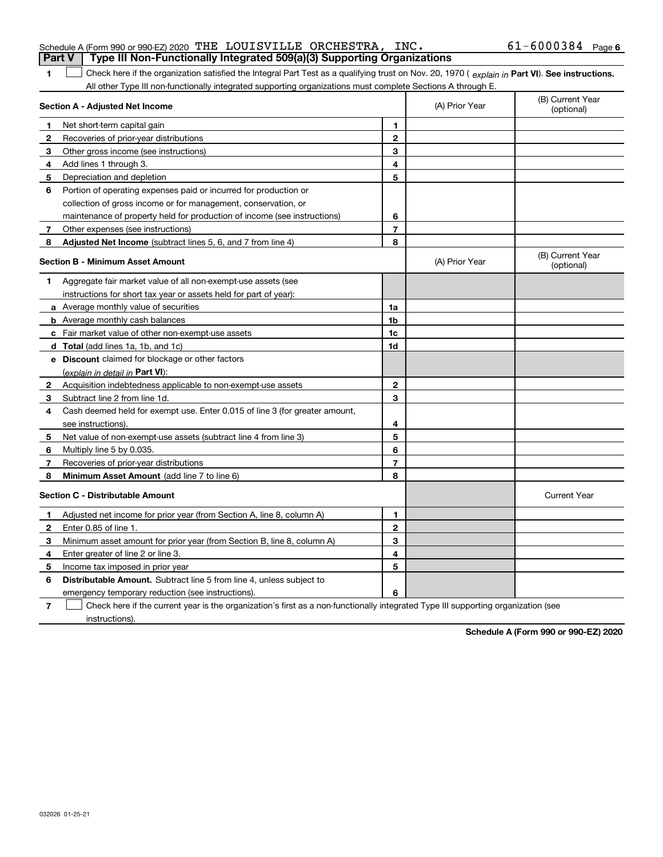|  | <b>Part V</b> Type III Non-Functionally Integrated 509(a)(3) Supporting Organizations |                       |  |
|--|---------------------------------------------------------------------------------------|-----------------------|--|
|  | Schedule A (Form 990 or 990-EZ) 2020 THE LOUISVILLE ORCHESTRA, INC.                   | $61 - 6000384$ Page 6 |  |

**Part VI** Check here if the organization satisfied the Integral Part Test as a qualifying trust on Nov. 20, 1970 ( *explain in* Part **VI**). See instructions. All other Type III non-functionally integrated supporting organizations must complete Sections A through E.  $\mathcal{L}^{\text{max}}$ 

|              | Section A - Adjusted Net Income                                             |                | (A) Prior Year | (B) Current Year<br>(optional) |
|--------------|-----------------------------------------------------------------------------|----------------|----------------|--------------------------------|
| 1            | Net short-term capital gain                                                 | 1              |                |                                |
| $\mathbf{2}$ | Recoveries of prior-year distributions                                      | $\mathbf{2}$   |                |                                |
| 3            | Other gross income (see instructions)                                       | 3              |                |                                |
| 4            | Add lines 1 through 3.                                                      | 4              |                |                                |
| 5            | Depreciation and depletion                                                  | 5              |                |                                |
| 6            | Portion of operating expenses paid or incurred for production or            |                |                |                                |
|              | collection of gross income or for management, conservation, or              |                |                |                                |
|              | maintenance of property held for production of income (see instructions)    | 6              |                |                                |
| 7            | Other expenses (see instructions)                                           | $\overline{7}$ |                |                                |
| 8            | Adjusted Net Income (subtract lines 5, 6, and 7 from line 4)                | 8              |                |                                |
|              | <b>Section B - Minimum Asset Amount</b>                                     |                | (A) Prior Year | (B) Current Year<br>(optional) |
| 1            | Aggregate fair market value of all non-exempt-use assets (see               |                |                |                                |
|              | instructions for short tax year or assets held for part of year):           |                |                |                                |
|              | a Average monthly value of securities                                       | 1a             |                |                                |
|              | <b>b</b> Average monthly cash balances                                      | 1b             |                |                                |
|              | <b>c</b> Fair market value of other non-exempt-use assets                   | 1c             |                |                                |
|              | d Total (add lines 1a, 1b, and 1c)                                          | 1d             |                |                                |
|              | e Discount claimed for blockage or other factors                            |                |                |                                |
|              | (explain in detail in Part VI):                                             |                |                |                                |
| 2            | Acquisition indebtedness applicable to non-exempt-use assets                | $\mathbf{2}$   |                |                                |
| 3            | Subtract line 2 from line 1d.                                               | 3              |                |                                |
| 4            | Cash deemed held for exempt use. Enter 0.015 of line 3 (for greater amount, |                |                |                                |
|              | see instructions).                                                          | 4              |                |                                |
| 5            | Net value of non-exempt-use assets (subtract line 4 from line 3)            | 5              |                |                                |
| 6            | Multiply line 5 by 0.035.                                                   | 6              |                |                                |
| 7            | Recoveries of prior-year distributions                                      | 7              |                |                                |
| 8            | Minimum Asset Amount (add line 7 to line 6)                                 | 8              |                |                                |
|              | <b>Section C - Distributable Amount</b>                                     |                |                | <b>Current Year</b>            |
| $\mathbf 1$  | Adjusted net income for prior year (from Section A, line 8, column A)       | 1              |                |                                |
| $\mathbf{2}$ | Enter 0.85 of line 1.                                                       | $\overline{2}$ |                |                                |
| З            | Minimum asset amount for prior year (from Section B, line 8, column A)      | 3              |                |                                |
| 4            | Enter greater of line 2 or line 3.                                          | 4              |                |                                |
| 5            | Income tax imposed in prior year                                            | 5              |                |                                |
| 6            | <b>Distributable Amount.</b> Subtract line 5 from line 4, unless subject to |                |                |                                |
|              | emergency temporary reduction (see instructions).                           | 6              |                |                                |

**7**Check here if the current year is the organization's first as a non-functionally integrated Type III supporting organization (see instructions).

**Schedule A (Form 990 or 990-EZ) 2020**

**1**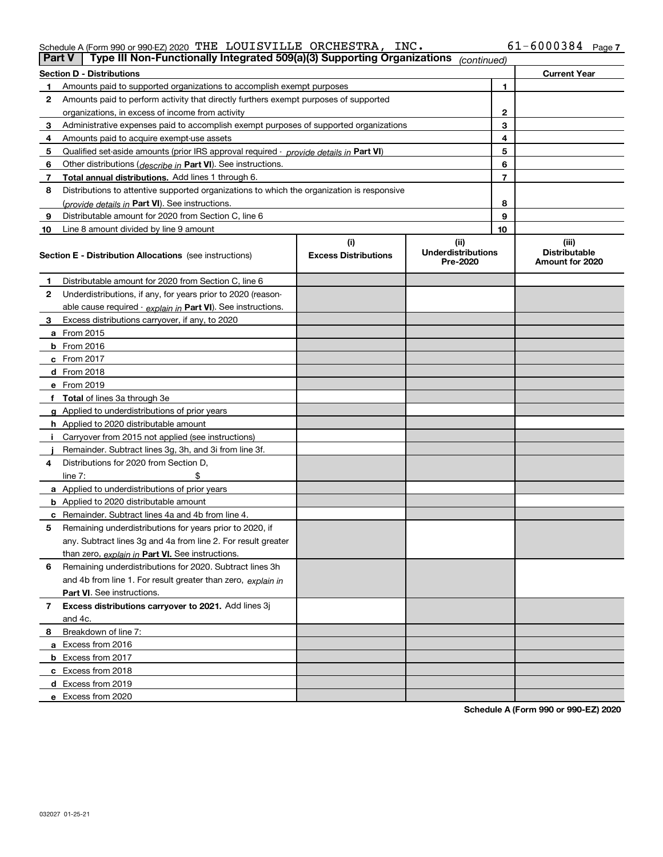### Schedule A (Form 990 or 990-EZ) 2020 Page THE LOUISVILLE ORCHESTRA, INC. 61-6000384

| ∣ Part V | Type III Non-Functionally Integrated 509(a)(3) Supporting Organizations                    |                             | (continued)                           |              |                                         |
|----------|--------------------------------------------------------------------------------------------|-----------------------------|---------------------------------------|--------------|-----------------------------------------|
|          | Section D - Distributions                                                                  |                             |                                       |              | <b>Current Year</b>                     |
| 1        | Amounts paid to supported organizations to accomplish exempt purposes                      |                             |                                       | 1            |                                         |
| 2        | Amounts paid to perform activity that directly furthers exempt purposes of supported       |                             |                                       |              |                                         |
|          | organizations, in excess of income from activity                                           |                             |                                       | $\mathbf{2}$ |                                         |
| 3        | Administrative expenses paid to accomplish exempt purposes of supported organizations      |                             |                                       | 3            |                                         |
| 4        | Amounts paid to acquire exempt-use assets                                                  |                             |                                       | 4            |                                         |
| 5        | Qualified set aside amounts (prior IRS approval required - provide details in Part VI)     |                             |                                       | 5            |                                         |
| 6        | Other distributions ( <i>describe in</i> Part VI). See instructions.                       |                             |                                       | 6            |                                         |
| 7        | Total annual distributions. Add lines 1 through 6.                                         |                             |                                       | 7            |                                         |
| 8        | Distributions to attentive supported organizations to which the organization is responsive |                             |                                       |              |                                         |
|          | (provide details in Part VI). See instructions.                                            |                             |                                       | 8            |                                         |
| 9        | Distributable amount for 2020 from Section C, line 6                                       |                             |                                       | 9            |                                         |
| 10       | Line 8 amount divided by line 9 amount                                                     |                             |                                       | 10           |                                         |
|          |                                                                                            | (i)                         | (ii)                                  |              | (iii)                                   |
|          | <b>Section E - Distribution Allocations</b> (see instructions)                             | <b>Excess Distributions</b> | <b>Underdistributions</b><br>Pre-2020 |              | <b>Distributable</b><br>Amount for 2020 |
| 1        | Distributable amount for 2020 from Section C, line 6                                       |                             |                                       |              |                                         |
| 2        | Underdistributions, if any, for years prior to 2020 (reason-                               |                             |                                       |              |                                         |
|          | able cause required - explain in Part VI). See instructions.                               |                             |                                       |              |                                         |
| 3        | Excess distributions carryover, if any, to 2020                                            |                             |                                       |              |                                         |
|          | <b>a</b> From 2015                                                                         |                             |                                       |              |                                         |
|          | <b>b</b> From 2016                                                                         |                             |                                       |              |                                         |
|          | <b>c</b> From 2017                                                                         |                             |                                       |              |                                         |
|          | d From 2018                                                                                |                             |                                       |              |                                         |
|          | e From 2019                                                                                |                             |                                       |              |                                         |
|          | f Total of lines 3a through 3e                                                             |                             |                                       |              |                                         |
|          | g Applied to underdistributions of prior years                                             |                             |                                       |              |                                         |
|          | <b>h</b> Applied to 2020 distributable amount                                              |                             |                                       |              |                                         |
|          | Carryover from 2015 not applied (see instructions)                                         |                             |                                       |              |                                         |
|          | Remainder. Subtract lines 3g, 3h, and 3i from line 3f.                                     |                             |                                       |              |                                         |
| 4        | Distributions for 2020 from Section D,                                                     |                             |                                       |              |                                         |
|          | line $7:$                                                                                  |                             |                                       |              |                                         |
|          | a Applied to underdistributions of prior years                                             |                             |                                       |              |                                         |
|          | <b>b</b> Applied to 2020 distributable amount                                              |                             |                                       |              |                                         |
|          | c Remainder. Subtract lines 4a and 4b from line 4.                                         |                             |                                       |              |                                         |
| 5        | Remaining underdistributions for years prior to 2020, if                                   |                             |                                       |              |                                         |
|          | any. Subtract lines 3g and 4a from line 2. For result greater                              |                             |                                       |              |                                         |
|          | than zero, explain in Part VI. See instructions.                                           |                             |                                       |              |                                         |
| 6        | Remaining underdistributions for 2020. Subtract lines 3h                                   |                             |                                       |              |                                         |
|          | and 4b from line 1. For result greater than zero, explain in                               |                             |                                       |              |                                         |
|          | Part VI. See instructions.                                                                 |                             |                                       |              |                                         |
| 7        | Excess distributions carryover to 2021. Add lines 3j                                       |                             |                                       |              |                                         |
|          | and 4c.                                                                                    |                             |                                       |              |                                         |
| 8        | Breakdown of line 7:                                                                       |                             |                                       |              |                                         |
|          | a Excess from 2016                                                                         |                             |                                       |              |                                         |
|          | <b>b</b> Excess from 2017                                                                  |                             |                                       |              |                                         |
|          | c Excess from 2018                                                                         |                             |                                       |              |                                         |
|          | d Excess from 2019                                                                         |                             |                                       |              |                                         |
|          | e Excess from 2020                                                                         |                             |                                       |              |                                         |
|          |                                                                                            |                             |                                       |              |                                         |

**Schedule A (Form 990 or 990-EZ) 2020**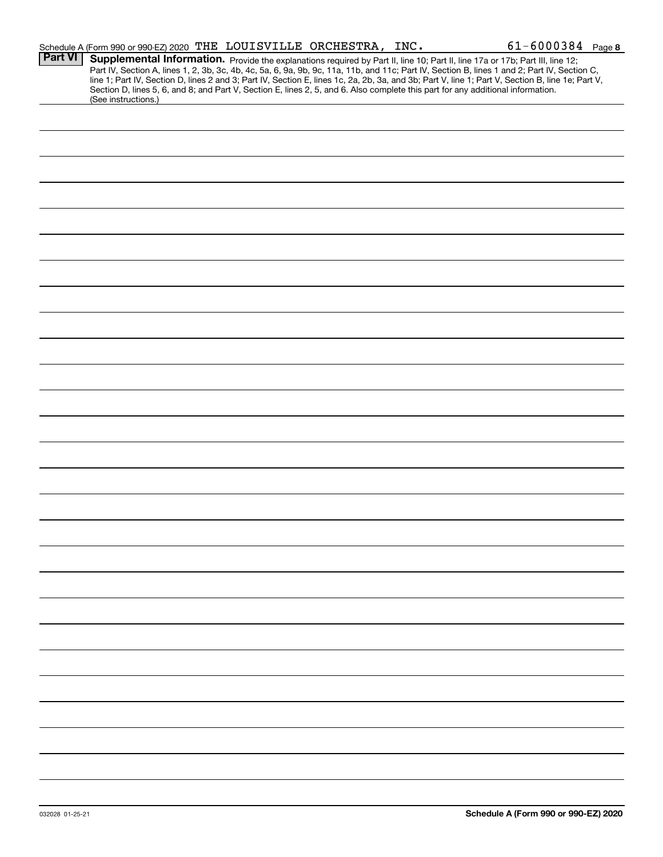|                | Schedule A (Form 990 or 990-EZ) 2020 THE LOUISVILLE ORCHESTRA, INC.                                                                                                                                                                                                                                                                                                                                                                                                                                                                                                                         | $61 - 6000384$ Page 8 |  |
|----------------|---------------------------------------------------------------------------------------------------------------------------------------------------------------------------------------------------------------------------------------------------------------------------------------------------------------------------------------------------------------------------------------------------------------------------------------------------------------------------------------------------------------------------------------------------------------------------------------------|-----------------------|--|
| <b>Part VI</b> | Supplemental Information. Provide the explanations required by Part II, line 10; Part II, line 17a or 17b; Part III, line 12;<br>Part IV, Section A, lines 1, 2, 3b, 3c, 4b, 4c, 5a, 6, 9a, 9b, 9c, 11a, 11b, and 11c; Part IV, Section B, lines 1 and 2; Part IV, Section C,<br>line 1; Part IV, Section D, lines 2 and 3; Part IV, Section E, lines 1c, 2a, 2b, 3a, and 3b; Part V, line 1; Part V, Section B, line 1e; Part V,<br>Section D, lines 5, 6, and 8; and Part V, Section E, lines 2, 5, and 6. Also complete this part for any additional information.<br>(See instructions.) |                       |  |
|                |                                                                                                                                                                                                                                                                                                                                                                                                                                                                                                                                                                                             |                       |  |
|                |                                                                                                                                                                                                                                                                                                                                                                                                                                                                                                                                                                                             |                       |  |
|                |                                                                                                                                                                                                                                                                                                                                                                                                                                                                                                                                                                                             |                       |  |
|                |                                                                                                                                                                                                                                                                                                                                                                                                                                                                                                                                                                                             |                       |  |
|                |                                                                                                                                                                                                                                                                                                                                                                                                                                                                                                                                                                                             |                       |  |
|                |                                                                                                                                                                                                                                                                                                                                                                                                                                                                                                                                                                                             |                       |  |
|                |                                                                                                                                                                                                                                                                                                                                                                                                                                                                                                                                                                                             |                       |  |
|                |                                                                                                                                                                                                                                                                                                                                                                                                                                                                                                                                                                                             |                       |  |
|                |                                                                                                                                                                                                                                                                                                                                                                                                                                                                                                                                                                                             |                       |  |
|                |                                                                                                                                                                                                                                                                                                                                                                                                                                                                                                                                                                                             |                       |  |
|                |                                                                                                                                                                                                                                                                                                                                                                                                                                                                                                                                                                                             |                       |  |
|                |                                                                                                                                                                                                                                                                                                                                                                                                                                                                                                                                                                                             |                       |  |
|                |                                                                                                                                                                                                                                                                                                                                                                                                                                                                                                                                                                                             |                       |  |
|                |                                                                                                                                                                                                                                                                                                                                                                                                                                                                                                                                                                                             |                       |  |
|                |                                                                                                                                                                                                                                                                                                                                                                                                                                                                                                                                                                                             |                       |  |
|                |                                                                                                                                                                                                                                                                                                                                                                                                                                                                                                                                                                                             |                       |  |
|                |                                                                                                                                                                                                                                                                                                                                                                                                                                                                                                                                                                                             |                       |  |
|                |                                                                                                                                                                                                                                                                                                                                                                                                                                                                                                                                                                                             |                       |  |
|                |                                                                                                                                                                                                                                                                                                                                                                                                                                                                                                                                                                                             |                       |  |
|                |                                                                                                                                                                                                                                                                                                                                                                                                                                                                                                                                                                                             |                       |  |
|                |                                                                                                                                                                                                                                                                                                                                                                                                                                                                                                                                                                                             |                       |  |
|                |                                                                                                                                                                                                                                                                                                                                                                                                                                                                                                                                                                                             |                       |  |
|                |                                                                                                                                                                                                                                                                                                                                                                                                                                                                                                                                                                                             |                       |  |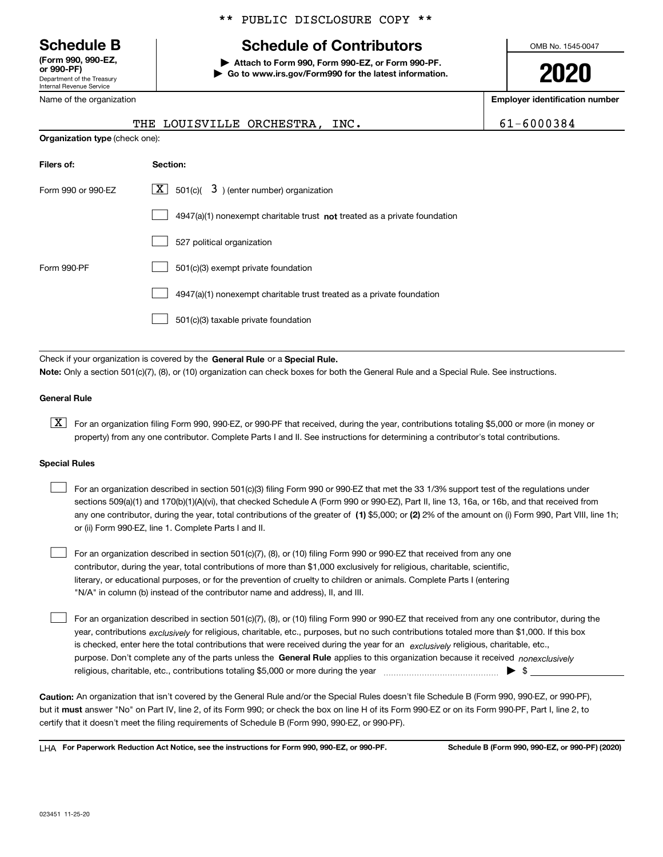Department of the Treasury Internal Revenue Service **(Form 990, 990-EZ, or 990-PF)**

Name of the organization

## \*\* PUBLIC DISCLOSURE COPY \*\*

# **Schedule B Schedule of Contributors**

**| Attach to Form 990, Form 990-EZ, or Form 990-PF. | Go to www.irs.gov/Form990 for the latest information.** OMB No. 1545-0047

**2020**

**Employer identification number**

|                                       | THE LOUISVILLE ORCHESTRA, INC.                                              | 61-6000384 |
|---------------------------------------|-----------------------------------------------------------------------------|------------|
| <b>Organization type (check one):</b> |                                                                             |            |
| Filers of:                            | Section:                                                                    |            |
| Form 990 or 990-FZ                    | $ \mathbf{X} $ 501(c)( 3) (enter number) organization                       |            |
|                                       | $4947(a)(1)$ nonexempt charitable trust not treated as a private foundation |            |
|                                       | 527 political organization                                                  |            |
| Form 990-PF                           | 501(c)(3) exempt private foundation                                         |            |
|                                       | 4947(a)(1) nonexempt charitable trust treated as a private foundation       |            |

501(c)(3) taxable private foundation  $\mathcal{L}^{\text{max}}$ 

Check if your organization is covered by the **General Rule** or a **Special Rule. Note:**  Only a section 501(c)(7), (8), or (10) organization can check boxes for both the General Rule and a Special Rule. See instructions.

### **General Rule**

 $\boxed{\textbf{X}}$  For an organization filing Form 990, 990-EZ, or 990-PF that received, during the year, contributions totaling \$5,000 or more (in money or property) from any one contributor. Complete Parts I and II. See instructions for determining a contributor's total contributions.

#### **Special Rules**

| For an organization described in section 501(c)(3) filing Form 990 or 990-EZ that met the 33 1/3% support test of the regulations under               |
|-------------------------------------------------------------------------------------------------------------------------------------------------------|
| sections 509(a)(1) and 170(b)(1)(A)(vi), that checked Schedule A (Form 990 or 990-EZ), Part II, line 13, 16a, or 16b, and that received from          |
| any one contributor, during the year, total contributions of the greater of (1) \$5,000; or (2) 2% of the amount on (i) Form 990, Part VIII, line 1h; |
| or (ii) Form 990-EZ, line 1. Complete Parts I and II.                                                                                                 |

For an organization described in section 501(c)(7), (8), or (10) filing Form 990 or 990-EZ that received from any one contributor, during the year, total contributions of more than \$1,000 exclusively for religious, charitable, scientific, literary, or educational purposes, or for the prevention of cruelty to children or animals. Complete Parts I (entering "N/A" in column (b) instead of the contributor name and address), II, and III.  $\mathcal{L}^{\text{max}}$ 

purpose. Don't complete any of the parts unless the **General Rule** applies to this organization because it received *nonexclusively* year, contributions <sub>exclusively</sub> for religious, charitable, etc., purposes, but no such contributions totaled more than \$1,000. If this box is checked, enter here the total contributions that were received during the year for an  $\;$ exclusively religious, charitable, etc., For an organization described in section 501(c)(7), (8), or (10) filing Form 990 or 990-EZ that received from any one contributor, during the religious, charitable, etc., contributions totaling \$5,000 or more during the year  $\Box$ — $\Box$   $\Box$  $\mathcal{L}^{\text{max}}$ 

**Caution:**  An organization that isn't covered by the General Rule and/or the Special Rules doesn't file Schedule B (Form 990, 990-EZ, or 990-PF),  **must** but it answer "No" on Part IV, line 2, of its Form 990; or check the box on line H of its Form 990-EZ or on its Form 990-PF, Part I, line 2, to certify that it doesn't meet the filing requirements of Schedule B (Form 990, 990-EZ, or 990-PF).

**For Paperwork Reduction Act Notice, see the instructions for Form 990, 990-EZ, or 990-PF. Schedule B (Form 990, 990-EZ, or 990-PF) (2020)** LHA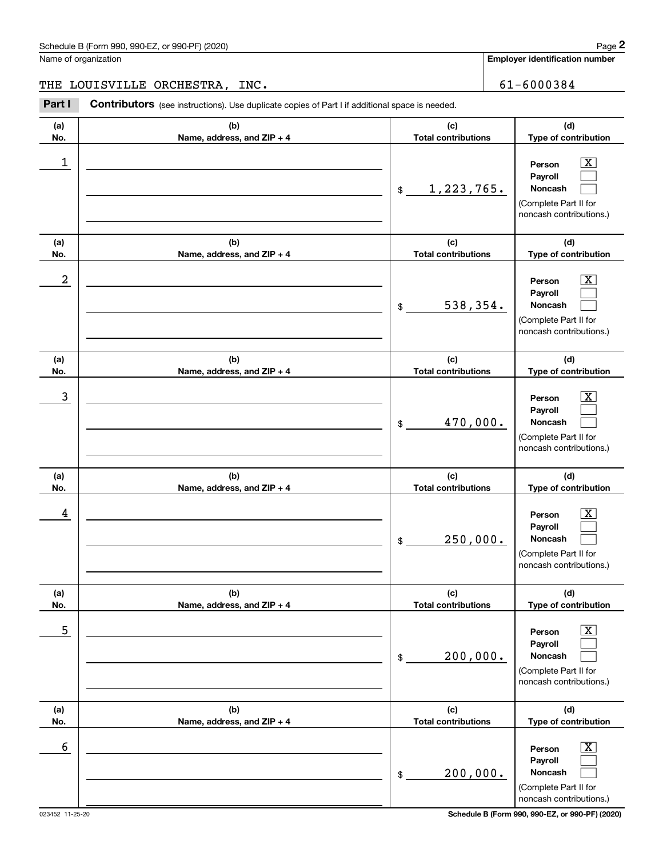**Employer identification number**

THE LOUISVILLE ORCHESTRA, INC. 61-6000384

| (a)<br>No. | (b)<br>Name, address, and ZIP + 4 | (c)<br><b>Total contributions</b>     | (d)<br>Type of contribution                                                                                        |
|------------|-----------------------------------|---------------------------------------|--------------------------------------------------------------------------------------------------------------------|
| 1          |                                   | 1,223,765.<br>$$\tilde{\phantom{a}}$$ | $\overline{\mathbf{X}}$<br>Person<br>Payroll<br>Noncash<br>(Complete Part II for<br>noncash contributions.)        |
| (a)<br>No. | (b)<br>Name, address, and ZIP + 4 | (c)<br><b>Total contributions</b>     | (d)<br>Type of contribution                                                                                        |
| 2          |                                   | 538,354.<br>\$                        | $\overline{\mathbf{X}}$<br>Person<br>Payroll<br>Noncash<br>(Complete Part II for<br>noncash contributions.)        |
| (a)<br>No. | (b)<br>Name, address, and ZIP + 4 | (c)<br><b>Total contributions</b>     | (d)<br>Type of contribution                                                                                        |
| 3          |                                   | 470,000.<br>\$                        | $\overline{\mathbf{X}}$<br>Person<br>Payroll<br><b>Noncash</b><br>(Complete Part II for<br>noncash contributions.) |
| (a)<br>No. | (b)<br>Name, address, and ZIP + 4 | (c)<br><b>Total contributions</b>     | (d)<br>Type of contribution                                                                                        |
| 4          |                                   | 250,000.<br>\$                        | $\overline{\mathbf{X}}$<br>Person<br>Payroll<br>Noncash<br>(Complete Part II for<br>noncash contributions.)        |
| (a)<br>No. | (b)<br>Name, address, and ZIP + 4 | (c)<br><b>Total contributions</b>     | (d)<br>Type of contribution                                                                                        |
| 5          |                                   | 200,000.<br>\$                        | $\boxed{\text{X}}$<br>Person<br>Payroll<br>Noncash<br>(Complete Part II for<br>noncash contributions.)             |
| (a)<br>No. | (b)<br>Name, address, and ZIP + 4 | (c)<br><b>Total contributions</b>     | (d)<br>Type of contribution                                                                                        |
| 6          |                                   | 200,000.<br>\$                        | $\boxed{\text{X}}$<br>Person<br>Payroll<br>Noncash<br>(Complete Part II for<br>noncash contributions.)             |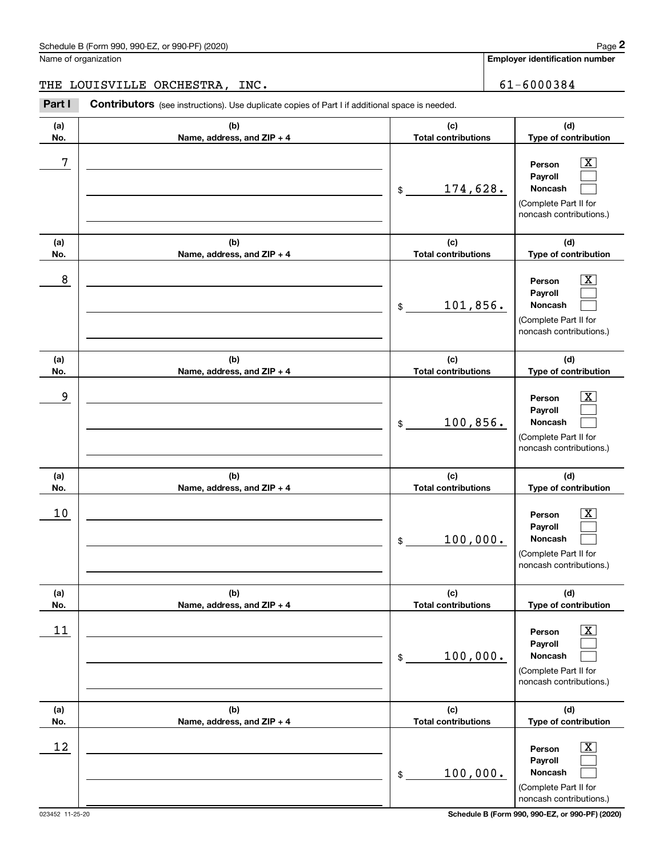**Employer identification number**

THE LOUISVILLE ORCHESTRA, INC. 61-6000384

Chedule B (Form 990, 990-EZ, or 990-PF) (2020)<br>
lame of organization<br> **29 Employer identification number**<br>
29 Employer identification number<br>
29 Employer identification number<br>
29 Employer identification number<br>
29 Employe

| (a)  | (b)                        | (c)                        | (d)                                                                                                         |
|------|----------------------------|----------------------------|-------------------------------------------------------------------------------------------------------------|
| No.  | Name, address, and ZIP + 4 | <b>Total contributions</b> | Type of contribution                                                                                        |
| 7    |                            | 174,628.<br>\$             | X<br>Person<br>Payroll<br>Noncash<br>(Complete Part II for<br>noncash contributions.)                       |
| (a)  | (b)                        | (c)                        | (d)                                                                                                         |
| No.  | Name, address, and ZIP + 4 | <b>Total contributions</b> | Type of contribution                                                                                        |
| 8    |                            | 101,856.<br>$\$$           | $\overline{\text{X}}$<br>Person<br>Payroll<br>Noncash<br>(Complete Part II for<br>noncash contributions.)   |
| (a)  | (b)                        | (c)                        | (d)                                                                                                         |
| No.  | Name, address, and ZIP + 4 | <b>Total contributions</b> | Type of contribution                                                                                        |
| 9    |                            | 100,856.<br>\$             | Х,<br>Person<br>Payroll<br>Noncash<br>(Complete Part II for<br>noncash contributions.)                      |
| (a)  | (b)                        | (c)                        | (d)                                                                                                         |
| No.  | Name, address, and ZIP + 4 | <b>Total contributions</b> | Type of contribution                                                                                        |
| 10   |                            | 100,000.<br>\$             | X,<br>Person<br>Payroll<br>Noncash<br>(Complete Part II for<br>noncash contributions.)                      |
| (a)  | (b)                        | (c)                        | (d)                                                                                                         |
| No.  | Name, address, and ZIP + 4 | <b>Total contributions</b> | Type of contribution                                                                                        |
| $11$ |                            | 100,000.<br>$\$$           | $\overline{\mathbf{X}}$<br>Person<br>Payroll<br>Noncash<br>(Complete Part II for<br>noncash contributions.) |
| (a)  | (b)                        | (c)                        | (d)                                                                                                         |
| No.  | Name, address, and ZIP + 4 | <b>Total contributions</b> | Type of contribution                                                                                        |
| 12   |                            | 100,000.<br>$\$$           | $\overline{\mathbf{X}}$<br>Person<br>Payroll<br>Noncash<br>(Complete Part II for<br>noncash contributions.) |

023452 11-25-20 **Schedule B (Form 990, 990-EZ, or 990-PF) (2020)**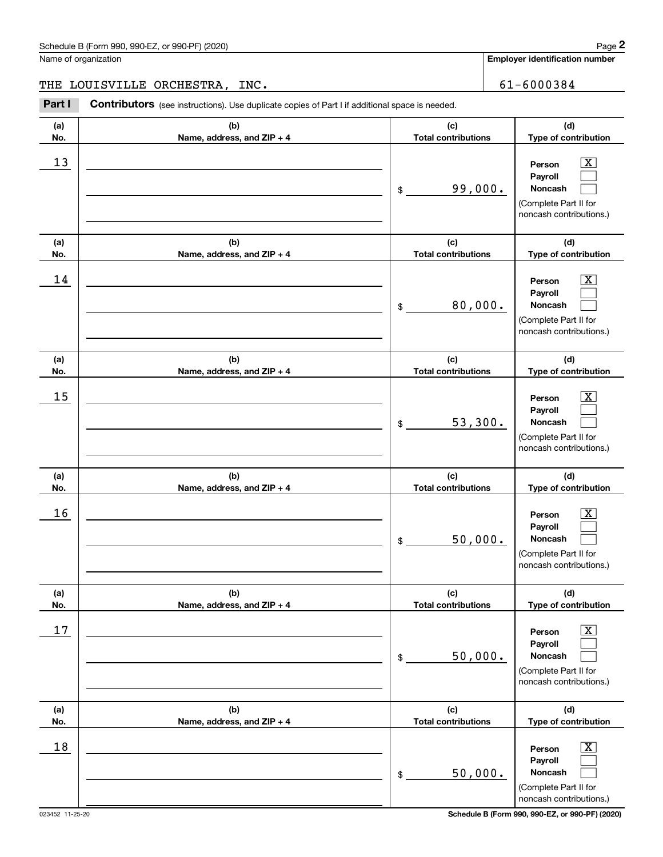**Employer identification number**

THE LOUISVILLE ORCHESTRA, INC. 61-6000384

| (a)<br>No. | (b)<br>Name, address, and ZIP + 4 | (c)<br><b>Total contributions</b> | (d)<br>Type of contribution                                                                                 |
|------------|-----------------------------------|-----------------------------------|-------------------------------------------------------------------------------------------------------------|
| 13         |                                   | 99,000.<br>\$                     | $\overline{\mathbf{x}}$<br>Person<br>Payroll<br>Noncash<br>(Complete Part II for<br>noncash contributions.) |
| (a)<br>No. | (b)<br>Name, address, and ZIP + 4 | (c)<br><b>Total contributions</b> | (d)<br>Type of contribution                                                                                 |
| 14         |                                   | 80,000.<br>\$                     | $\overline{\text{X}}$<br>Person<br>Payroll<br>Noncash<br>(Complete Part II for<br>noncash contributions.)   |
| (a)<br>No. | (b)<br>Name, address, and ZIP + 4 | (c)<br><b>Total contributions</b> | (d)<br>Type of contribution                                                                                 |
| 15         |                                   | 53,300.<br>\$                     | $\overline{\mathbf{X}}$<br>Person<br>Payroll<br>Noncash<br>(Complete Part II for<br>noncash contributions.) |
| (a)<br>No. | (b)<br>Name, address, and ZIP + 4 | (c)<br><b>Total contributions</b> | (d)<br>Type of contribution                                                                                 |
| 16         |                                   | 50,000.<br>\$                     | $\overline{\mathbf{X}}$<br>Person<br>Payroll<br>Noncash<br>(Complete Part II for<br>noncash contributions.) |
| (a)<br>No. | (b)<br>Name, address, and ZIP + 4 | (c)<br><b>Total contributions</b> | (d)<br>Type of contribution                                                                                 |
| 17         |                                   | 50,000.<br>\$                     | $\overline{\mathbf{X}}$<br>Person<br>Payroll<br>Noncash<br>(Complete Part II for<br>noncash contributions.) |
| (a)<br>No. | (b)<br>Name, address, and ZIP + 4 | (c)<br><b>Total contributions</b> | (d)<br>Type of contribution                                                                                 |
| 18         |                                   | 50,000.<br>\$                     | $\overline{\mathbf{X}}$<br>Person<br>Payroll<br>Noncash<br>(Complete Part II for<br>noncash contributions.) |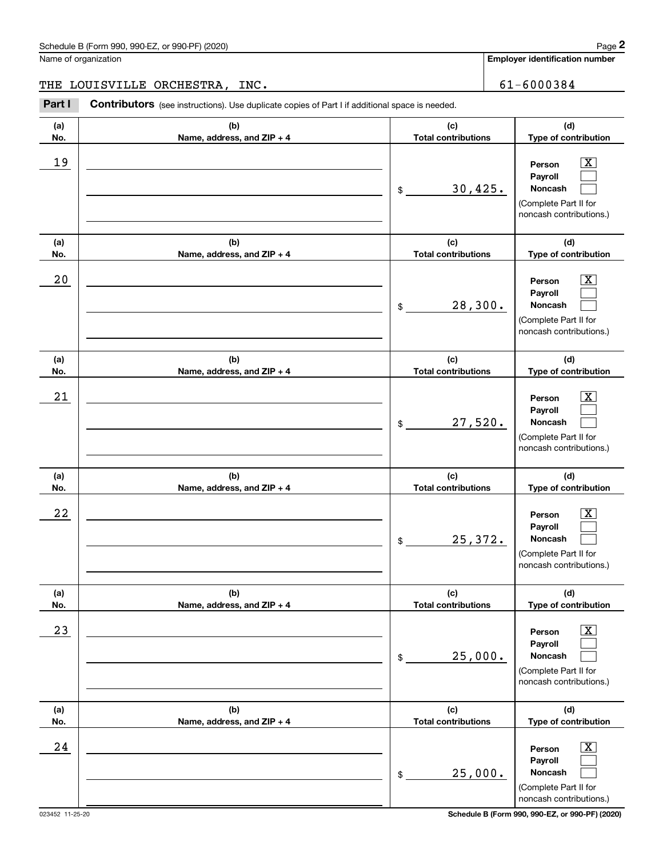**Employer identification number**

# THE LOUISVILLE ORCHESTRA, INC. 61-6000384

| (a)<br>No.  | (b)<br>Name, address, and ZIP + 4 | (c)<br><b>Total contributions</b> | (d)<br>Type of contribution                                                                                      |
|-------------|-----------------------------------|-----------------------------------|------------------------------------------------------------------------------------------------------------------|
| 19          |                                   | 30,425.<br>\$                     | $\overline{\text{X}}$<br>Person<br>Payroll<br><b>Noncash</b><br>(Complete Part II for<br>noncash contributions.) |
| (a)<br>No.  | (b)<br>Name, address, and ZIP + 4 | (c)<br><b>Total contributions</b> | (d)<br>Type of contribution                                                                                      |
| 20          |                                   | 28,300.<br>\$                     | $\overline{\text{X}}$<br>Person<br>Payroll<br>Noncash<br>(Complete Part II for<br>noncash contributions.)        |
| (a)<br>No.  | (b)<br>Name, address, and ZIP + 4 | (c)<br><b>Total contributions</b> | (d)<br>Type of contribution                                                                                      |
| 21          |                                   | 27,520.<br>\$                     | $\overline{\text{X}}$<br>Person<br>Payroll<br>Noncash<br>(Complete Part II for<br>noncash contributions.)        |
| (a)<br>No.  | (b)<br>Name, address, and ZIP + 4 | (c)<br><b>Total contributions</b> | (d)<br>Type of contribution                                                                                      |
| 22          |                                   | 25,372.<br>\$                     | $\overline{\text{X}}$<br>Person<br>Payroll<br>Noncash<br>(Complete Part II for<br>noncash contributions.)        |
| (a)<br>No.  | (b)<br>Name, address, and ZIP + 4 | (c)<br><b>Total contributions</b> | (d)<br>Type of contribution                                                                                      |
| 23          |                                   | 25,000.<br>\$                     | $\overline{\text{X}}$<br>Person<br>Payroll<br>Noncash<br>(Complete Part II for<br>noncash contributions.)        |
| (a)<br>No.  | (b)<br>Name, address, and ZIP + 4 | (c)<br><b>Total contributions</b> | (d)<br>Type of contribution                                                                                      |
| $2\sqrt{4}$ |                                   | 25,000.<br>\$                     | $\overline{\text{X}}$<br>Person<br>Payroll<br>Noncash<br>(Complete Part II for<br>noncash contributions.)        |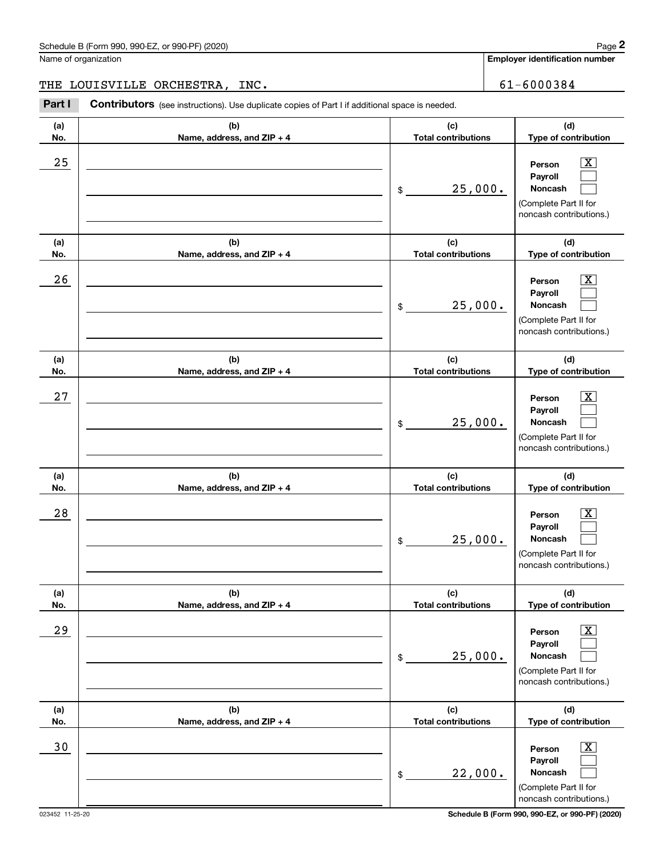**Employer identification number**

THE LOUISVILLE ORCHESTRA, INC. 61-6000384

| (a)        | (b)                                 | (c)                               | (d)                                                                                                       |
|------------|-------------------------------------|-----------------------------------|-----------------------------------------------------------------------------------------------------------|
| No.        | Name, address, and ZIP + 4          | <b>Total contributions</b>        | Type of contribution                                                                                      |
| 25         |                                     | 25,000.<br>\$                     | Person<br>x.<br>Payroll<br>Noncash<br>(Complete Part II for<br>noncash contributions.)                    |
| (a)<br>No. | (b)<br>Name, address, and ZIP + 4   | (c)<br><b>Total contributions</b> | (d)<br>Type of contribution                                                                               |
| 26         |                                     | 25,000.<br>\$                     | Person<br>Payroll<br>Noncash<br>(Complete Part II for<br>noncash contributions.)                          |
| (a)<br>No. | (b)<br>Name, address, and ZIP + 4   | (c)<br><b>Total contributions</b> | (d)<br>Type of contribution                                                                               |
| 27         |                                     | 25,000.<br>\$                     | Person<br>Payroll<br>Noncash<br>(Complete Part II for<br>noncash contributions.)                          |
| (a)<br>No. | (b)<br>Name, address, and ZIP + 4   | (c)<br><b>Total contributions</b> | (d)<br>Type of contribution                                                                               |
| 28         |                                     | 25,000.<br>\$                     | Person<br>Payroll<br>Noncash<br>(Complete Part II for<br>noncash contributions.)                          |
| (a)<br>No. | (b)<br>Name, address, and $ZIP + 4$ | (c)<br>Total contributions        | (d)<br>Type of contribution                                                                               |
| 29         |                                     | 25,000.<br>\$                     | $\overline{\text{X}}$<br>Person<br>Payroll<br>Noncash<br>(Complete Part II for<br>noncash contributions.) |
| (a)<br>No. | (b)<br>Name, address, and ZIP + 4   | (c)<br><b>Total contributions</b> | (d)<br>Type of contribution                                                                               |
| $30$       |                                     | 22,000.<br>\$                     | $\overline{\text{X}}$<br>Person<br>Payroll<br>Noncash<br>(Complete Part II for<br>noncash contributions.) |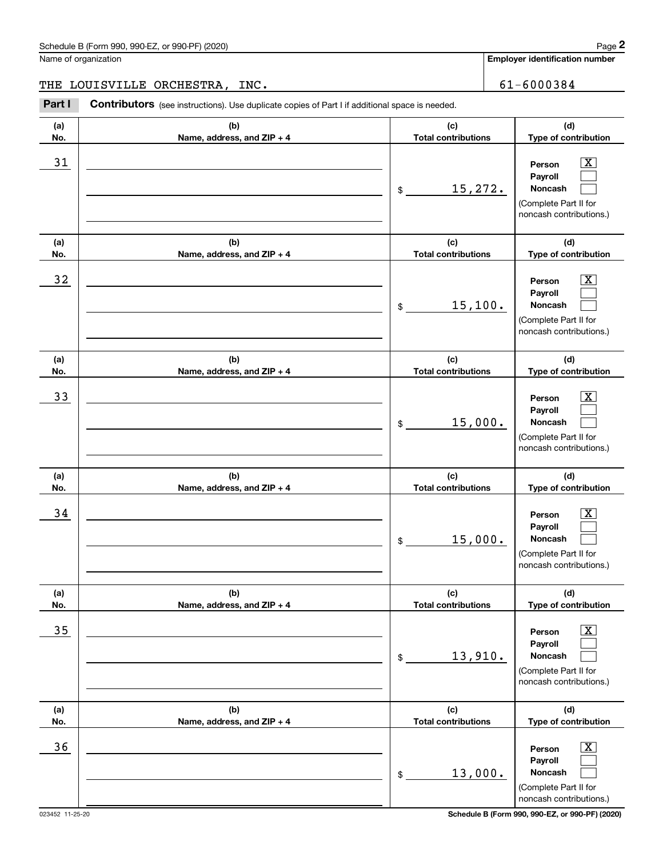**Employer identification number**

THE LOUISVILLE ORCHESTRA, INC. 61-6000384

| (a)<br>No. | (b)<br>Name, address, and ZIP + 4 | (c)<br><b>Total contributions</b> | (d)<br>Type of contribution                                                                                   |
|------------|-----------------------------------|-----------------------------------|---------------------------------------------------------------------------------------------------------------|
| 31         |                                   | 15,272.<br>\$                     | $\boxed{\text{X}}$<br>Person<br>Payroll<br>Noncash<br>(Complete Part II for<br>noncash contributions.)        |
| (a)<br>No. | (b)<br>Name, address, and ZIP + 4 | (c)<br><b>Total contributions</b> | (d)<br>Type of contribution                                                                                   |
| 32         |                                   | 15,100.<br>\$                     | $\boxed{\text{X}}$<br>Person<br>Payroll<br>Noncash<br>(Complete Part II for<br>noncash contributions.)        |
| (a)<br>No. | (b)<br>Name, address, and ZIP + 4 | (c)<br><b>Total contributions</b> | (d)<br>Type of contribution                                                                                   |
| 33         |                                   | 15,000.<br>\$                     | $\boxed{\text{X}}$<br>Person<br>Payroll<br><b>Noncash</b><br>(Complete Part II for<br>noncash contributions.) |
| (a)<br>No. | (b)<br>Name, address, and ZIP + 4 | (c)<br><b>Total contributions</b> | (d)<br>Type of contribution                                                                                   |
| 34         |                                   | 15,000.<br>\$                     | $\boxed{\text{X}}$<br>Person<br>Payroll<br><b>Noncash</b><br>(Complete Part II for<br>noncash contributions.) |
| (a)<br>No. | (b)<br>Name, address, and ZIP + 4 | (c)<br><b>Total contributions</b> | (d)<br>Type of contribution                                                                                   |
| 35         |                                   | 13,910.<br>\$                     | $\boxed{\text{X}}$<br>Person<br>Payroll<br>Noncash<br>(Complete Part II for<br>noncash contributions.)        |
| (a)<br>No. | (b)<br>Name, address, and ZIP + 4 | (c)<br><b>Total contributions</b> | (d)<br>Type of contribution                                                                                   |
| 36         |                                   | 13,000.<br>\$                     | $\boxed{\text{X}}$<br>Person<br>Payroll<br>Noncash<br>(Complete Part II for<br>noncash contributions.)        |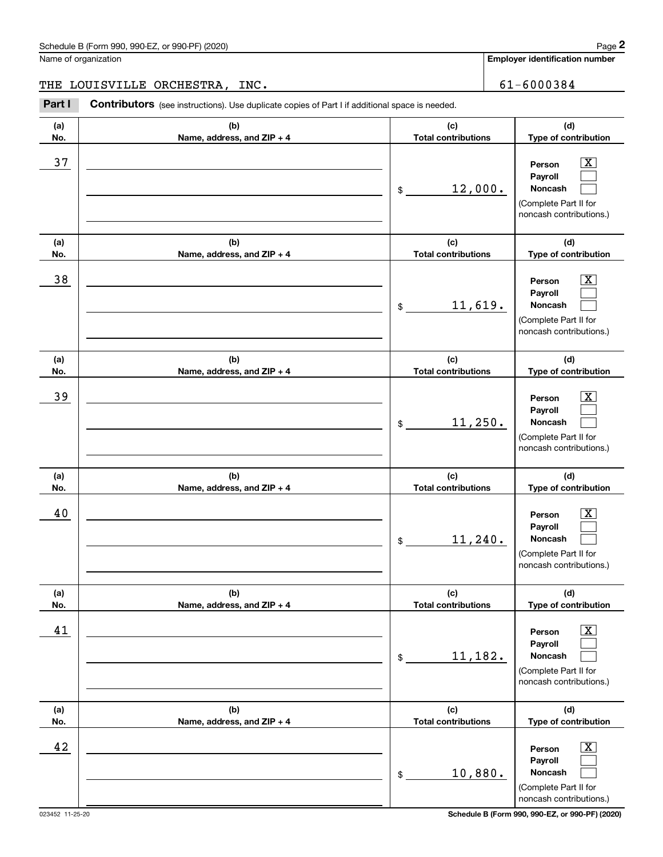**Employer identification number**

THE LOUISVILLE ORCHESTRA, INC. 61-6000384

| (a)<br>No. | (b)<br>Name, address, and ZIP + 4 | (c)<br><b>Total contributions</b>                    | (d)<br>Type of contribution                                                                                 |
|------------|-----------------------------------|------------------------------------------------------|-------------------------------------------------------------------------------------------------------------|
| 37         |                                   | 12,000.<br>\$                                        | $\overline{\mathbf{X}}$<br>Person<br>Payroll<br>Noncash<br>(Complete Part II for<br>noncash contributions.) |
| (a)<br>No. | (b)<br>Name, address, and ZIP + 4 | (c)<br><b>Total contributions</b>                    | (d)<br>Type of contribution                                                                                 |
| 38         |                                   | 11,619.<br>\$                                        | $\overline{\text{X}}$<br>Person<br>Payroll<br>Noncash<br>(Complete Part II for<br>noncash contributions.)   |
| (a)<br>No. | (b)<br>Name, address, and ZIP + 4 | (c)<br><b>Total contributions</b>                    | (d)<br>Type of contribution                                                                                 |
| 39         |                                   | 11,250.<br>\$                                        | $\overline{\text{X}}$<br>Person<br>Payroll<br>Noncash<br>(Complete Part II for<br>noncash contributions.)   |
| (a)<br>No. | (b)<br>Name, address, and ZIP + 4 | (c)<br><b>Total contributions</b>                    | (d)<br>Type of contribution                                                                                 |
| 40         |                                   | 11,240.<br>\$                                        | $\overline{\text{X}}$<br>Person<br>Payroll<br>Noncash<br>(Complete Part II for<br>noncash contributions.)   |
| (a)<br>No. | (b)<br>Name, address, and ZIP + 4 | (c)<br><b>Total contributions</b>                    | (d)<br>Type of contribution                                                                                 |
| 41         |                                   | 11,182.<br>$\,$                                      | $\overline{\text{X}}$<br>Person<br>Payroll<br>Noncash<br>(Complete Part II for<br>noncash contributions.)   |
| (a)<br>No. | (b)<br>Name, address, and ZIP + 4 | (c)<br><b>Total contributions</b>                    | (d)<br>Type of contribution                                                                                 |
| 42         |                                   | 10,880.<br>$\, \, \raisebox{12pt}{$\scriptstyle \$}$ | $\overline{\text{X}}$<br>Person<br>Payroll<br>Noncash<br>(Complete Part II for<br>noncash contributions.)   |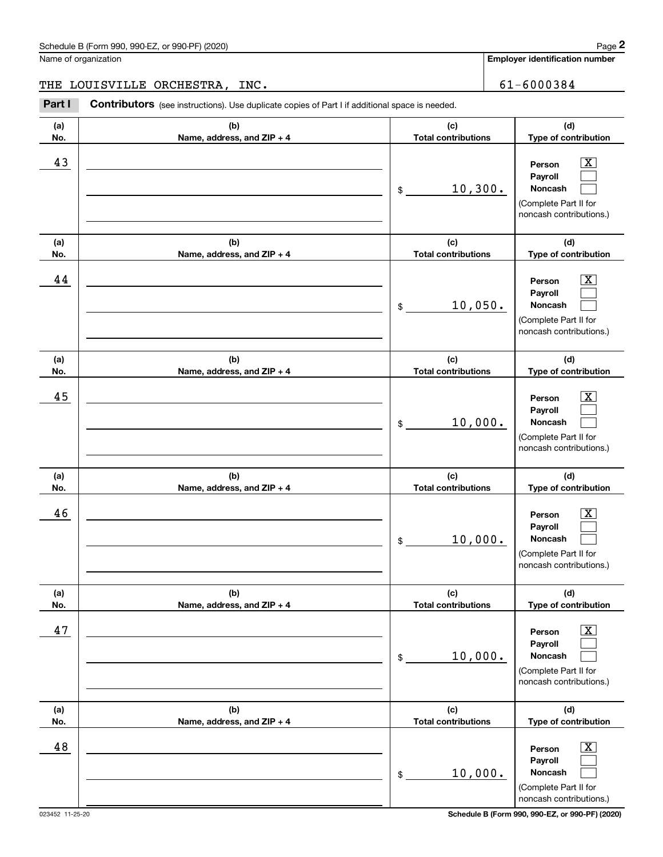**Employer identification number**

THE LOUISVILLE ORCHESTRA, INC. 61-6000384

| (a)<br>No. | (b)<br>Name, address, and ZIP + 4 | (c)<br><b>Total contributions</b> | (d)<br>Type of contribution                                                                                      |
|------------|-----------------------------------|-----------------------------------|------------------------------------------------------------------------------------------------------------------|
| 43         |                                   | 10,300.<br>\$                     | $\overline{\text{X}}$<br>Person<br>Payroll<br>Noncash<br>(Complete Part II for<br>noncash contributions.)        |
| (a)<br>No. | (b)<br>Name, address, and ZIP + 4 | (c)<br><b>Total contributions</b> | (d)<br>Type of contribution                                                                                      |
| 44         |                                   | 10,050.<br>\$                     | $\overline{\text{X}}$<br>Person<br>Payroll<br>Noncash<br>(Complete Part II for<br>noncash contributions.)        |
| (a)<br>No. | (b)<br>Name, address, and ZIP + 4 | (c)<br><b>Total contributions</b> | (d)<br>Type of contribution                                                                                      |
| 45         |                                   | 10,000.<br>\$                     | $\overline{\text{X}}$<br>Person<br>Payroll<br>Noncash<br>(Complete Part II for<br>noncash contributions.)        |
| (a)<br>No. | (b)<br>Name, address, and ZIP + 4 | (c)<br><b>Total contributions</b> | (d)<br>Type of contribution                                                                                      |
| 46         |                                   | 10,000.<br>\$                     | $\overline{\text{X}}$<br>Person<br>Payroll<br><b>Noncash</b><br>(Complete Part II for<br>noncash contributions.) |
| (a)<br>No. | (b)<br>Name, address, and ZIP + 4 | (c)<br><b>Total contributions</b> | (d)<br>Type of contribution                                                                                      |
| 47         |                                   | 10,000.<br>\$                     | $\overline{\text{X}}$<br>Person<br>Payroll<br>Noncash<br>(Complete Part II for<br>noncash contributions.)        |
| (a)<br>No. | (b)<br>Name, address, and ZIP + 4 | (c)<br><b>Total contributions</b> | (d)<br>Type of contribution                                                                                      |
| 48         |                                   | 10,000.<br>\$                     | $\overline{\text{X}}$<br>Person<br>Payroll<br>Noncash<br>(Complete Part II for<br>noncash contributions.)        |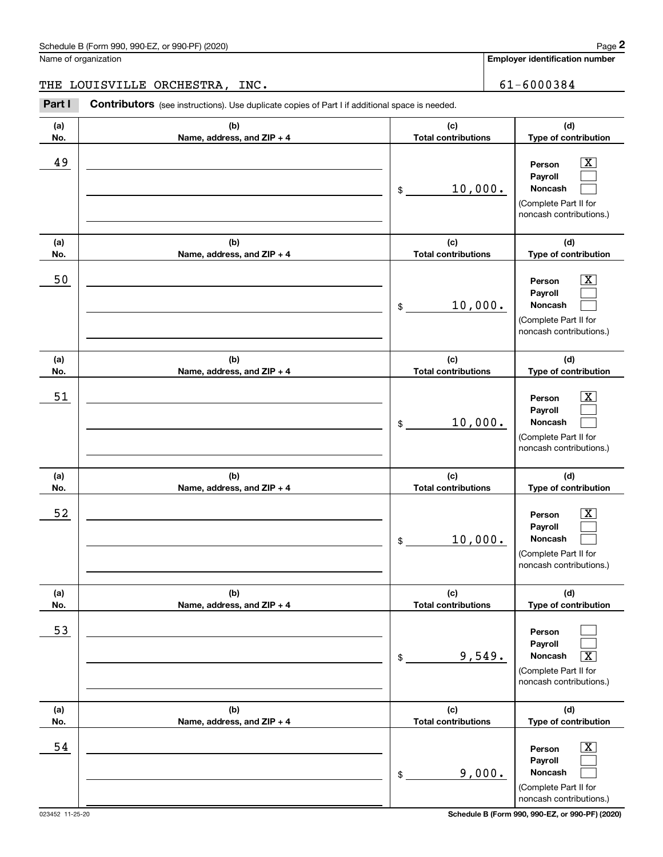**Employer identification number**

THE LOUISVILLE ORCHESTRA, INC. 61-6000384

Chedule B (Form 990, 990-EZ, or 990-PF) (2020)<br>
lame of organization<br> **29 Employer identification number**<br>
29 Employer identification number<br>
29 Employer identification number<br>
29 Employer identification number<br>
29 Employe

| (a)<br>No. | (b)<br>Name, address, and ZIP + 4 | (c)<br><b>Total contributions</b> | (d)<br>Type of contribution                                                                                      |
|------------|-----------------------------------|-----------------------------------|------------------------------------------------------------------------------------------------------------------|
| 49         |                                   | 10,000.<br>\$                     | $\overline{\text{X}}$<br>Person<br>Payroll<br><b>Noncash</b><br>(Complete Part II for<br>noncash contributions.) |
| (a)<br>No. | (b)<br>Name, address, and ZIP + 4 | (c)<br><b>Total contributions</b> | (d)<br>Type of contribution                                                                                      |
| 50         |                                   | 10,000.<br>$$\tilde{}}$           | $\overline{\text{X}}$<br>Person<br>Payroll<br><b>Noncash</b><br>(Complete Part II for<br>noncash contributions.) |
| (a)<br>No. | (b)<br>Name, address, and ZIP + 4 | (c)<br><b>Total contributions</b> | (d)<br>Type of contribution                                                                                      |
| 51         |                                   | 10,000.<br>\$                     | $\overline{\text{X}}$<br>Person<br>Payroll<br><b>Noncash</b><br>(Complete Part II for<br>noncash contributions.) |
| (a)<br>No. | (b)<br>Name, address, and ZIP + 4 | (c)<br><b>Total contributions</b> | (d)<br>Type of contribution                                                                                      |
| 52         |                                   | 10,000.<br>\$                     | $\overline{\text{X}}$<br>Person<br>Payroll<br><b>Noncash</b><br>(Complete Part II for<br>noncash contributions.) |
| (a)<br>No. | (b)<br>Name, address, and ZIP + 4 | (c)<br><b>Total contributions</b> | (d)<br>Type of contribution                                                                                      |
| 53         |                                   | 9,549.<br>\$                      | Person<br>Payroll<br>Noncash<br>$\overline{\text{X}}$<br>(Complete Part II for<br>noncash contributions.)        |
| (a)<br>No. | (b)<br>Name, address, and ZIP + 4 | (c)<br><b>Total contributions</b> | (d)<br>Type of contribution                                                                                      |
| 54         |                                   | 9,000.<br>\$                      | $\overline{\text{X}}$<br>Person<br>Payroll<br>Noncash<br>(Complete Part II for<br>noncash contributions.)        |

023452 11-25-20 **Schedule B (Form 990, 990-EZ, or 990-PF) (2020)**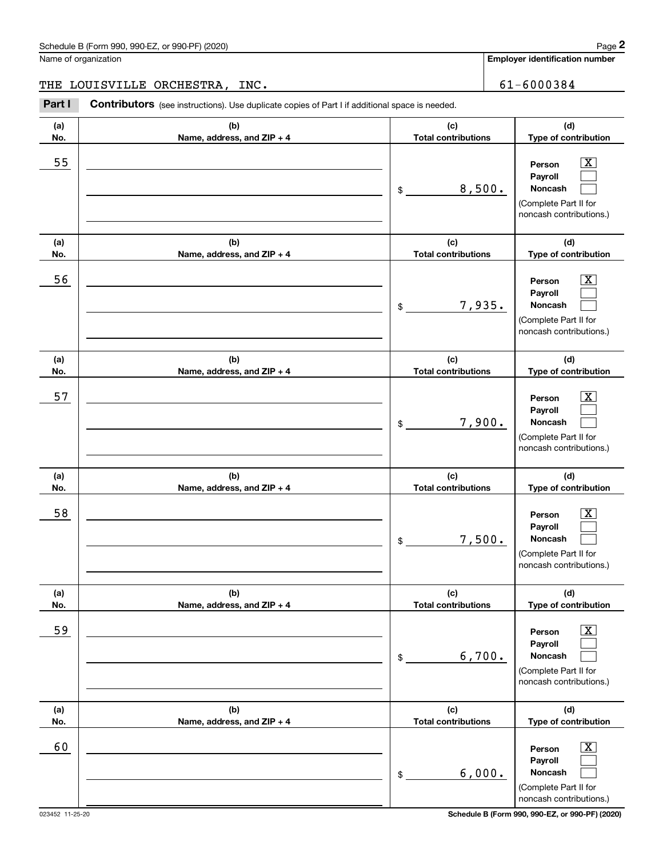**Employer identification number**

# THE LOUISVILLE ORCHESTRA, INC. 61-6000384

| (a)<br>No. | (b)<br>Name, address, and ZIP + 4 | (c)<br><b>Total contributions</b> | (d)<br>Type of contribution                                                                                      |
|------------|-----------------------------------|-----------------------------------|------------------------------------------------------------------------------------------------------------------|
| 55         |                                   | 8,500.<br>\$                      | $\overline{\text{X}}$<br>Person<br>Payroll<br><b>Noncash</b><br>(Complete Part II for<br>noncash contributions.) |
| (a)<br>No. | (b)<br>Name, address, and ZIP + 4 | (c)<br><b>Total contributions</b> | (d)<br>Type of contribution                                                                                      |
| 56         |                                   | 7,935.<br>$\frac{1}{2}$           | $\overline{\text{X}}$<br>Person<br>Payroll<br>Noncash<br>(Complete Part II for<br>noncash contributions.)        |
| (a)<br>No. | (b)<br>Name, address, and ZIP + 4 | (c)<br><b>Total contributions</b> | (d)<br>Type of contribution                                                                                      |
| 57         |                                   | 7,900.<br>$\frac{1}{2}$           | $\overline{\text{X}}$<br>Person<br>Payroll<br><b>Noncash</b><br>(Complete Part II for<br>noncash contributions.) |
| (a)<br>No. | (b)<br>Name, address, and ZIP + 4 | (c)<br><b>Total contributions</b> | (d)<br>Type of contribution                                                                                      |
| 58         |                                   | 7,500.<br>\$                      | $\overline{\text{X}}$<br>Person<br>Payroll<br><b>Noncash</b><br>(Complete Part II for<br>noncash contributions.) |
| (a)<br>No. | (b)<br>Name, address, and ZIP + 4 | (c)<br><b>Total contributions</b> | (d)<br>Type of contribution                                                                                      |
| 59         |                                   | 6,700.<br>\$                      | $\overline{\text{X}}$<br>Person<br>Payroll<br>Noncash<br>(Complete Part II for<br>noncash contributions.)        |
| (a)<br>No. | (b)<br>Name, address, and ZIP + 4 | (c)<br><b>Total contributions</b> | (d)<br>Type of contribution                                                                                      |
| 60         |                                   | 6,000.<br>\$                      | $\overline{\text{X}}$<br>Person<br>Payroll<br>Noncash<br>(Complete Part II for<br>noncash contributions.)        |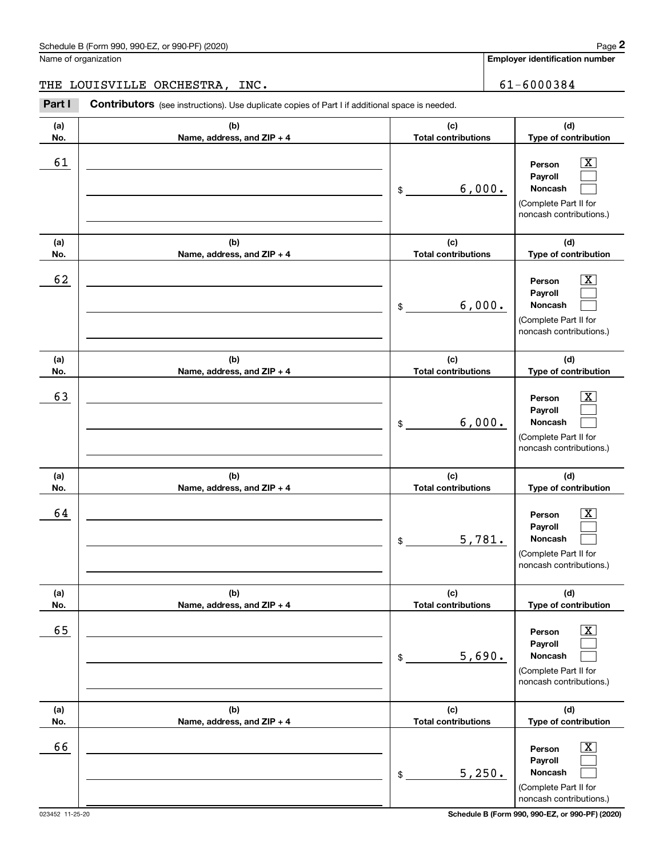**Employer identification number**

THE LOUISVILLE ORCHESTRA, INC. 61-6000384

| (a) | (b)                        | (c)                        | (d)                                                                                                       |
|-----|----------------------------|----------------------------|-----------------------------------------------------------------------------------------------------------|
| No. | Name, address, and ZIP + 4 | <b>Total contributions</b> | Type of contribution                                                                                      |
| 61  |                            | 6,000.<br>\$               | X<br>Person<br>Payroll<br>Noncash<br>(Complete Part II for<br>noncash contributions.)                     |
| (a) | (b)                        | (c)                        | (d)                                                                                                       |
| No. | Name, address, and ZIP + 4 | <b>Total contributions</b> | Type of contribution                                                                                      |
| 62  |                            | 6,000.<br>\$               | x<br>Person<br>Payroll<br>Noncash<br>(Complete Part II for<br>noncash contributions.)                     |
| (a) | (b)                        | (c)                        | (d)                                                                                                       |
| No. | Name, address, and ZIP + 4 | <b>Total contributions</b> | Type of contribution                                                                                      |
| 63  |                            | 6,000.<br>\$               | x<br>Person<br>Payroll<br>Noncash<br>(Complete Part II for<br>noncash contributions.)                     |
| (a) | (b)                        | (c)                        | (d)                                                                                                       |
| No. | Name, address, and ZIP + 4 | <b>Total contributions</b> | Type of contribution                                                                                      |
| 64  |                            | 5,781.<br>\$               | X.<br>Person<br>Payroll<br>Noncash<br>(Complete Part II for<br>noncash contributions.)                    |
| (a) | (b)                        | (c)                        | (d)                                                                                                       |
| No. | Name, address, and ZIP + 4 | <b>Total contributions</b> | Type of contribution                                                                                      |
| 65  |                            | 5,690.<br>\$               | $\overline{\text{X}}$<br>Person<br>Payroll<br>Noncash<br>(Complete Part II for<br>noncash contributions.) |
| (a) | (b)                        | (c)                        | (d)                                                                                                       |
| No. | Name, address, and ZIP + 4 | <b>Total contributions</b> | Type of contribution                                                                                      |
| 66  |                            | 5,250.<br>\$               | $\mathbf{X}$<br>Person<br>Payroll<br>Noncash<br>(Complete Part II for<br>noncash contributions.)          |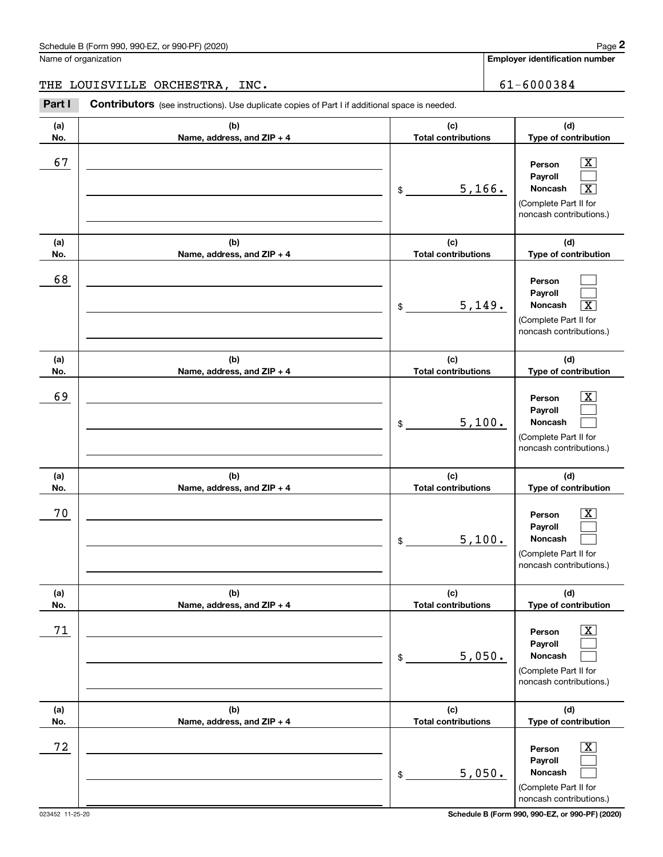**Employer identification number**

# THE LOUISVILLE ORCHESTRA, INC. 61-6000384

| (a)<br>No. | (b)<br>Name, address, and ZIP + 4 | (c)<br><b>Total contributions</b> | (d)<br>Type of contribution                                                                                                        |
|------------|-----------------------------------|-----------------------------------|------------------------------------------------------------------------------------------------------------------------------------|
| 67         |                                   | 5,166.<br>\$                      | $\overline{\text{X}}$<br>Person<br>Payroll<br>Noncash<br>$\overline{\text{X}}$<br>(Complete Part II for<br>noncash contributions.) |
| (a)<br>No. | (b)<br>Name, address, and ZIP + 4 | (c)<br><b>Total contributions</b> | (d)<br>Type of contribution                                                                                                        |
| 68         |                                   | 5,149.<br>\$                      | Person<br>Payroll<br>Noncash<br>$\overline{\texttt{x}}$<br>(Complete Part II for<br>noncash contributions.)                        |
| (a)<br>No. | (b)<br>Name, address, and ZIP + 4 | (c)<br><b>Total contributions</b> | (d)<br>Type of contribution                                                                                                        |
| 69         |                                   | 5,100.<br>\$                      | $\overline{\text{X}}$<br>Person<br>Payroll<br>Noncash<br>(Complete Part II for<br>noncash contributions.)                          |
| (a)<br>No. | (b)<br>Name, address, and ZIP + 4 | (c)<br><b>Total contributions</b> | (d)<br>Type of contribution                                                                                                        |
| 70         |                                   | 5,100.<br>\$                      | $\overline{\text{X}}$<br>Person<br>Payroll<br><b>Noncash</b><br>(Complete Part II for<br>noncash contributions.)                   |
| (a)<br>No. | (b)<br>Name, address, and ZIP + 4 | (c)<br><b>Total contributions</b> | (d)<br>Type of contribution                                                                                                        |
| 71         |                                   | 5,050.<br>\$                      | х<br>Person<br>Payroll<br>Noncash<br>(Complete Part II for<br>noncash contributions.)                                              |
| (a)<br>No. | (b)<br>Name, address, and ZIP + 4 | (c)<br><b>Total contributions</b> | (d)<br>Type of contribution                                                                                                        |
| 72         |                                   | 5,050.<br>\$                      | x<br>Person<br>Payroll<br>Noncash<br>(Complete Part II for<br>noncash contributions.)                                              |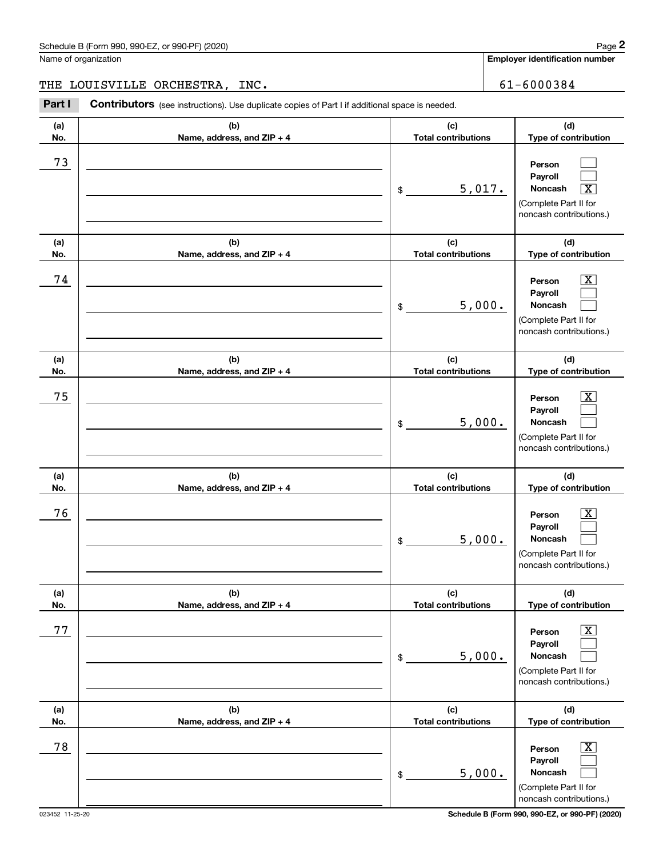**Employer identification number**

THE LOUISVILLE ORCHESTRA, INC. 61-6000384

| (a)<br>No. | (b)<br>Name, address, and ZIP + 4 | (c)<br><b>Total contributions</b> | (d)<br>Type of contribution                                                                                 |
|------------|-----------------------------------|-----------------------------------|-------------------------------------------------------------------------------------------------------------|
| 73         |                                   | 5,017.<br>\$                      | Person<br>Payroll<br>Noncash<br>$\overline{\texttt{X}}$<br>(Complete Part II for<br>noncash contributions.) |
| (a)<br>No. | (b)<br>Name, address, and ZIP + 4 | (c)<br><b>Total contributions</b> | (d)<br>Type of contribution                                                                                 |
| 74         |                                   | 5,000.<br>\$                      | $\overline{\mathbf{x}}$<br>Person<br>Payroll<br>Noncash<br>(Complete Part II for<br>noncash contributions.) |
| (a)<br>No. | (b)<br>Name, address, and ZIP + 4 | (c)<br><b>Total contributions</b> | (d)<br>Type of contribution                                                                                 |
| 75         |                                   | 5,000.<br>\$                      | $\overline{\mathbf{x}}$<br>Person<br>Payroll<br>Noncash<br>(Complete Part II for<br>noncash contributions.) |
| (a)<br>No. | (b)<br>Name, address, and ZIP + 4 | (c)<br><b>Total contributions</b> | (d)<br>Type of contribution                                                                                 |
| 76         |                                   | 5,000.<br>\$                      | $\overline{\texttt{X}}$<br>Person<br>Payroll<br>Noncash<br>(Complete Part II for<br>noncash contributions.) |
| (a)<br>No. | (b)<br>Name, address, and ZIP + 4 | (c)<br><b>Total contributions</b> | (d)<br>Type of contribution                                                                                 |
| 77         |                                   | 5,000.<br>\$                      | $\boxed{\text{X}}$<br>Person<br>Payroll<br>Noncash<br>(Complete Part II for<br>noncash contributions.)      |
| (a)<br>No. | (b)<br>Name, address, and ZIP + 4 | (c)<br><b>Total contributions</b> | (d)<br>Type of contribution                                                                                 |
| 78         |                                   | 5,000.<br>\$                      | $\overline{\mathbf{X}}$<br>Person<br>Payroll<br>Noncash<br>(Complete Part II for<br>noncash contributions.) |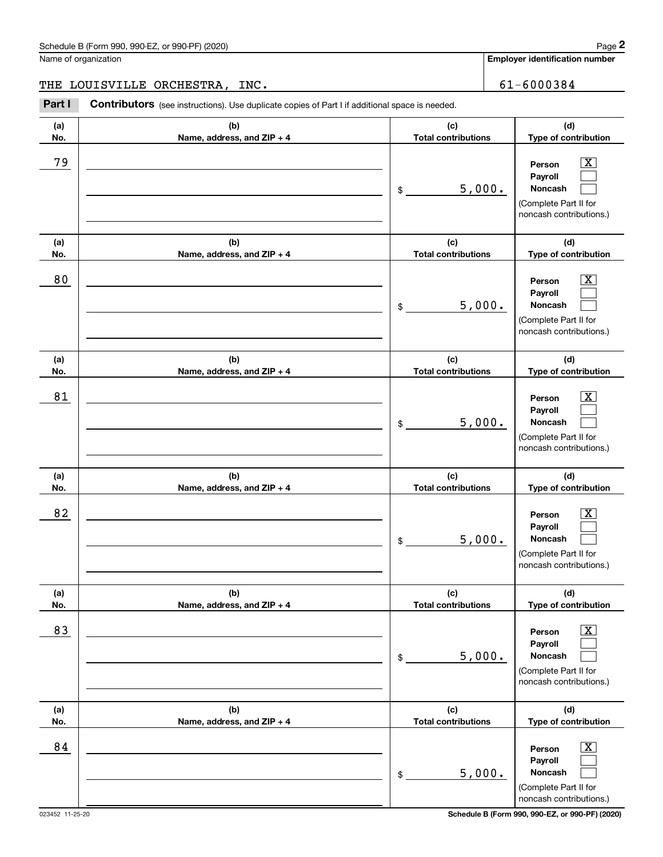**Employer identification number**

THE LOUISVILLE ORCHESTRA, INC. 61-6000384

Chedule B (Form 990, 990-EZ, or 990-PF) (2020)<br>
lame of organization<br> **29 Employer identification number**<br>
29 Employer identification number<br>
29 Employer identification number<br>
29 Employer identification number<br>
29 Employe

| (a) | (b)                        | (c)                        | (d)                                                                                                         |
|-----|----------------------------|----------------------------|-------------------------------------------------------------------------------------------------------------|
| No. | Name, address, and ZIP + 4 | <b>Total contributions</b> | Type of contribution                                                                                        |
| 79  |                            | 5,000.<br>\$               | X<br>Person<br>Payroll<br>Noncash<br>(Complete Part II for<br>noncash contributions.)                       |
| (a) | (b)                        | (c)                        | (d)                                                                                                         |
| No. | Name, address, and ZIP + 4 | <b>Total contributions</b> | Type of contribution                                                                                        |
| 80  |                            | 5,000.<br>\$               | $\overline{\text{X}}$<br>Person<br>Payroll<br>Noncash<br>(Complete Part II for<br>noncash contributions.)   |
| (a) | (b)                        | (c)                        | (d)                                                                                                         |
| No. | Name, address, and ZIP + 4 | <b>Total contributions</b> | Type of contribution                                                                                        |
| 81  |                            | 5,000.<br>\$               | Х,<br>Person<br>Payroll<br>Noncash<br>(Complete Part II for<br>noncash contributions.)                      |
| (a) | (b)                        | (c)                        | (d)                                                                                                         |
| No. | Name, address, and ZIP + 4 | <b>Total contributions</b> | Type of contribution                                                                                        |
| 82  |                            | 5,000.<br>\$               | X,<br>Person<br>Payroll<br>Noncash<br>(Complete Part II for<br>noncash contributions.)                      |
| (a) | (b)                        | (c)                        | (d)                                                                                                         |
| No. | Name, address, and ZIP + 4 | <b>Total contributions</b> | Type of contribution                                                                                        |
| 83  |                            | 5,000.<br>\$               | $\overline{\mathbf{X}}$<br>Person<br>Payroll<br>Noncash<br>(Complete Part II for<br>noncash contributions.) |
| (a) | (b)                        | (c)                        | (d)                                                                                                         |
| No. | Name, address, and ZIP + 4 | <b>Total contributions</b> | Type of contribution                                                                                        |
| 84  |                            | 5,000.<br>\$               | $\overline{\mathbf{X}}$<br>Person<br>Payroll<br>Noncash<br>(Complete Part II for<br>noncash contributions.) |

023452 11-25-20 **Schedule B (Form 990, 990-EZ, or 990-PF) (2020)**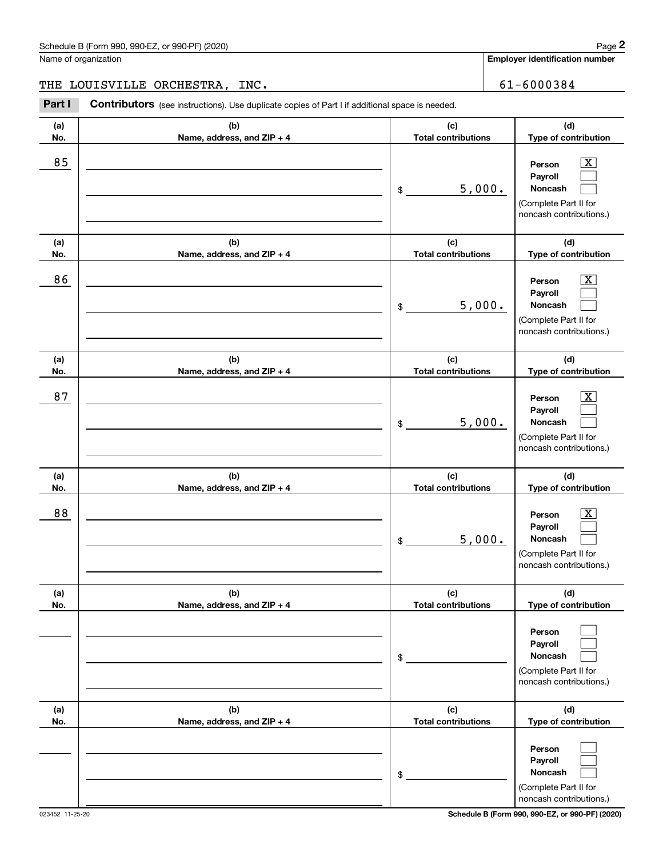**Employer identification number**

THE LOUISVILLE ORCHESTRA, INC. 61-6000384

| (a)<br>No. | (b)<br>Name, address, and ZIP + 4 | (c)<br><b>Total contributions</b> | (d)<br>Type of contribution                                                                                        |
|------------|-----------------------------------|-----------------------------------|--------------------------------------------------------------------------------------------------------------------|
| 85         |                                   | 5,000.<br>$\frac{1}{2}$           | $\overline{\mathbf{X}}$<br>Person<br>Payroll<br>Noncash<br>(Complete Part II for<br>noncash contributions.)        |
| (a)<br>No. | (b)<br>Name, address, and ZIP + 4 | (c)<br><b>Total contributions</b> | (d)<br>Type of contribution                                                                                        |
| 86         |                                   | 5,000.<br>$\frac{1}{2}$           | $\overline{\text{X}}$<br>Person<br>Payroll<br>Noncash<br>(Complete Part II for<br>noncash contributions.)          |
| (a)<br>No. | (b)<br>Name, address, and ZIP + 4 | (c)<br><b>Total contributions</b> | (d)<br>Type of contribution                                                                                        |
| 87         |                                   | 5,000.<br>\$                      | $\overline{\mathbf{X}}$<br>Person<br>Payroll<br><b>Noncash</b><br>(Complete Part II for<br>noncash contributions.) |
| (a)<br>No. | (b)<br>Name, address, and ZIP + 4 | (c)<br><b>Total contributions</b> | (d)<br>Type of contribution                                                                                        |
| 88         |                                   | 5,000.<br>$$^{\circ}$             | $\overline{\text{X}}$<br>Person<br>Payroll<br><b>Noncash</b><br>(Complete Part II for<br>noncash contributions.)   |
| (a)<br>No. | (b)<br>Name, address, and ZIP + 4 | (c)<br><b>Total contributions</b> | (d)<br>Type of contribution                                                                                        |
|            |                                   | \$                                | Person<br>Payroll<br>Noncash<br>(Complete Part II for<br>noncash contributions.)                                   |
| (a)<br>No. | (b)<br>Name, address, and ZIP + 4 | (c)<br><b>Total contributions</b> | (d)<br>Type of contribution                                                                                        |
|            |                                   | \$                                | Person<br>Payroll<br>Noncash<br>(Complete Part II for<br>noncash contributions.)                                   |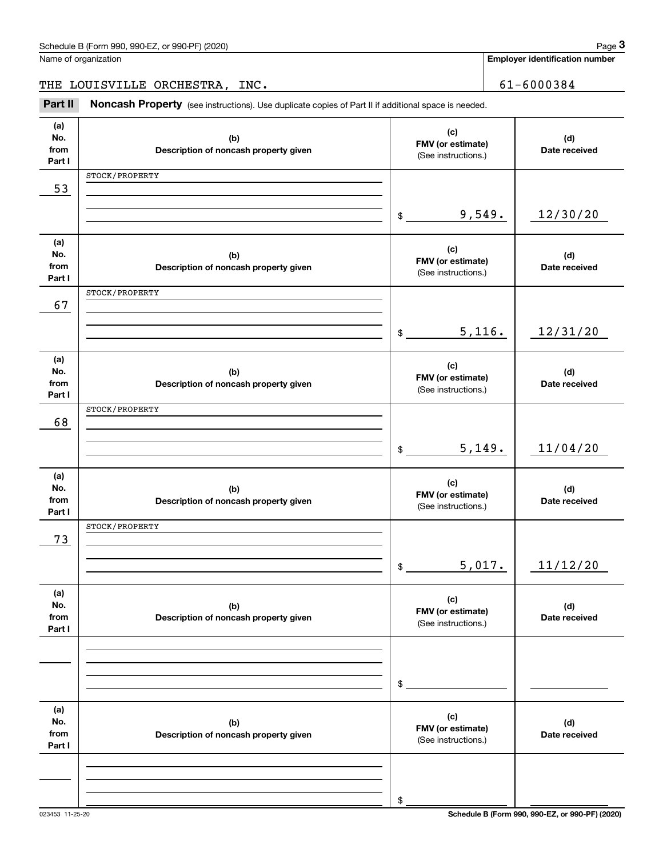| No.<br>from<br>Part I        | (b)<br>Description of noncash property given | FMV (or estimate)<br>(See instructions.)        | (d)<br>Date received |
|------------------------------|----------------------------------------------|-------------------------------------------------|----------------------|
| 53                           | STOCK/PROPERTY                               |                                                 |                      |
|                              |                                              | 9,549.<br>\$                                    | 12/30/20             |
| (a)<br>No.<br>from<br>Part I | (b)<br>Description of noncash property given | (c)<br>FMV (or estimate)<br>(See instructions.) | (d)<br>Date received |
| 67                           | STOCK/PROPERTY                               |                                                 |                      |
|                              |                                              | 5,116.<br>\$                                    | 12/31/20             |
| (a)<br>No.<br>from<br>Part I | (b)<br>Description of noncash property given | (c)<br>FMV (or estimate)<br>(See instructions.) | (d)<br>Date received |
| 68                           | STOCK/PROPERTY                               |                                                 |                      |
|                              |                                              | 5,149.<br>\$                                    | 11/04/20             |
| (a)<br>No.<br>from<br>Part I | (b)<br>Description of noncash property given | (c)<br>FMV (or estimate)<br>(See instructions.) | (d)<br>Date received |
| 73                           | STOCK/PROPERTY                               |                                                 |                      |
|                              |                                              | 5,017.<br>$$\mathbb{S}$$                        | 11/12/20             |
| (a)<br>No.<br>from<br>Part I | (b)<br>Description of noncash property given | (c)<br>FMV (or estimate)<br>(See instructions.) | (d)<br>Date received |
|                              |                                              |                                                 |                      |
|                              |                                              | \$                                              |                      |
| (a)<br>No.<br>from<br>Part I | (b)<br>Description of noncash property given | (c)<br>FMV (or estimate)<br>(See instructions.) | (d)<br>Date received |
|                              |                                              |                                                 |                      |
|                              |                                              | \$                                              |                      |

**(a) No.**

THE LOUISVILLE ORCHESTRA, INC. | 61-6000384

**(c) FMV (or estimate)**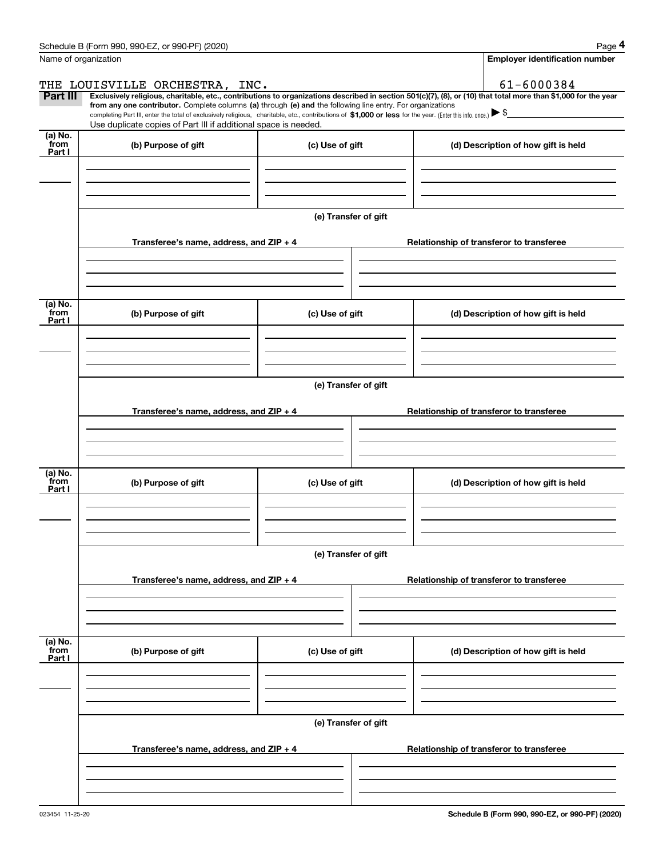|                 | Schedule B (Form 990, 990-EZ, or 990-PF) (2020)                                                                                                                                                                                 |                      | Page 4                                                                                                                                                         |  |  |  |
|-----------------|---------------------------------------------------------------------------------------------------------------------------------------------------------------------------------------------------------------------------------|----------------------|----------------------------------------------------------------------------------------------------------------------------------------------------------------|--|--|--|
|                 | Name of organization                                                                                                                                                                                                            |                      | <b>Employer identification number</b>                                                                                                                          |  |  |  |
|                 | THE LOUISVILLE ORCHESTRA, INC.                                                                                                                                                                                                  |                      | 61-6000384                                                                                                                                                     |  |  |  |
| Part III        | from any one contributor. Complete columns (a) through (e) and the following line entry. For organizations                                                                                                                      |                      | Exclusively religious, charitable, etc., contributions to organizations described in section 501(c)(7), (8), or (10) that total more than \$1,000 for the year |  |  |  |
|                 | completing Part III, enter the total of exclusively religious, charitable, etc., contributions of \$1,000 or less for the year. (Enter this info. once.) \\$<br>Use duplicate copies of Part III if additional space is needed. |                      |                                                                                                                                                                |  |  |  |
| (a) No.         |                                                                                                                                                                                                                                 |                      |                                                                                                                                                                |  |  |  |
| from<br>Part I  | (b) Purpose of gift                                                                                                                                                                                                             | (c) Use of gift      | (d) Description of how gift is held                                                                                                                            |  |  |  |
|                 |                                                                                                                                                                                                                                 |                      |                                                                                                                                                                |  |  |  |
|                 |                                                                                                                                                                                                                                 |                      |                                                                                                                                                                |  |  |  |
|                 |                                                                                                                                                                                                                                 |                      |                                                                                                                                                                |  |  |  |
|                 |                                                                                                                                                                                                                                 | (e) Transfer of gift |                                                                                                                                                                |  |  |  |
|                 |                                                                                                                                                                                                                                 |                      |                                                                                                                                                                |  |  |  |
|                 | Transferee's name, address, and ZIP + 4                                                                                                                                                                                         |                      | Relationship of transferor to transferee                                                                                                                       |  |  |  |
|                 |                                                                                                                                                                                                                                 |                      |                                                                                                                                                                |  |  |  |
|                 |                                                                                                                                                                                                                                 |                      |                                                                                                                                                                |  |  |  |
|                 |                                                                                                                                                                                                                                 |                      |                                                                                                                                                                |  |  |  |
| (a) No.<br>from |                                                                                                                                                                                                                                 |                      |                                                                                                                                                                |  |  |  |
| Part I          | (b) Purpose of gift                                                                                                                                                                                                             | (c) Use of gift      | (d) Description of how gift is held                                                                                                                            |  |  |  |
|                 |                                                                                                                                                                                                                                 |                      |                                                                                                                                                                |  |  |  |
|                 |                                                                                                                                                                                                                                 |                      |                                                                                                                                                                |  |  |  |
|                 |                                                                                                                                                                                                                                 |                      |                                                                                                                                                                |  |  |  |
|                 | (e) Transfer of gift                                                                                                                                                                                                            |                      |                                                                                                                                                                |  |  |  |
|                 |                                                                                                                                                                                                                                 |                      |                                                                                                                                                                |  |  |  |
|                 | Transferee's name, address, and ZIP + 4                                                                                                                                                                                         |                      | Relationship of transferor to transferee                                                                                                                       |  |  |  |
|                 |                                                                                                                                                                                                                                 |                      |                                                                                                                                                                |  |  |  |
|                 |                                                                                                                                                                                                                                 |                      |                                                                                                                                                                |  |  |  |
|                 |                                                                                                                                                                                                                                 |                      |                                                                                                                                                                |  |  |  |
| (a) No.<br>from | (b) Purpose of gift                                                                                                                                                                                                             | (c) Use of gift      | (d) Description of how gift is held                                                                                                                            |  |  |  |
| Part I          |                                                                                                                                                                                                                                 |                      |                                                                                                                                                                |  |  |  |
|                 |                                                                                                                                                                                                                                 |                      |                                                                                                                                                                |  |  |  |
|                 |                                                                                                                                                                                                                                 |                      |                                                                                                                                                                |  |  |  |
|                 |                                                                                                                                                                                                                                 |                      |                                                                                                                                                                |  |  |  |
|                 | (e) Transfer of gift                                                                                                                                                                                                            |                      |                                                                                                                                                                |  |  |  |
|                 |                                                                                                                                                                                                                                 |                      |                                                                                                                                                                |  |  |  |
|                 | Transferee's name, address, and ZIP + 4                                                                                                                                                                                         |                      | Relationship of transferor to transferee                                                                                                                       |  |  |  |
|                 |                                                                                                                                                                                                                                 |                      |                                                                                                                                                                |  |  |  |
|                 |                                                                                                                                                                                                                                 |                      |                                                                                                                                                                |  |  |  |
|                 |                                                                                                                                                                                                                                 |                      |                                                                                                                                                                |  |  |  |
| (a) No.<br>from | (b) Purpose of gift                                                                                                                                                                                                             | (c) Use of gift      | (d) Description of how gift is held                                                                                                                            |  |  |  |
| Part I          |                                                                                                                                                                                                                                 |                      |                                                                                                                                                                |  |  |  |
|                 |                                                                                                                                                                                                                                 |                      |                                                                                                                                                                |  |  |  |
|                 |                                                                                                                                                                                                                                 |                      |                                                                                                                                                                |  |  |  |
|                 |                                                                                                                                                                                                                                 |                      |                                                                                                                                                                |  |  |  |
|                 |                                                                                                                                                                                                                                 | (e) Transfer of gift |                                                                                                                                                                |  |  |  |
|                 | Transferee's name, address, and ZIP + 4                                                                                                                                                                                         |                      | Relationship of transferor to transferee                                                                                                                       |  |  |  |
|                 |                                                                                                                                                                                                                                 |                      |                                                                                                                                                                |  |  |  |
|                 |                                                                                                                                                                                                                                 |                      |                                                                                                                                                                |  |  |  |
|                 |                                                                                                                                                                                                                                 |                      |                                                                                                                                                                |  |  |  |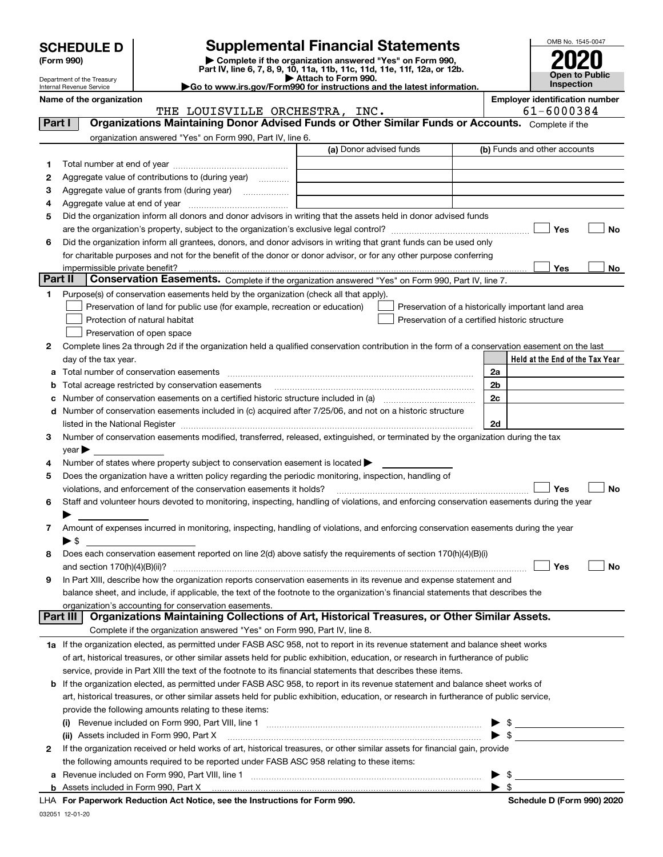| <b>SCHEDULE D</b> |  |  |  |  |  |
|-------------------|--|--|--|--|--|
|-------------------|--|--|--|--|--|

| (Form 990) |  |
|------------|--|
|------------|--|

# **SCHEDULE D Supplemental Financial Statements**

(Form 990)<br>
Pepartment of the Treasury<br>
Department of the Treasury<br>
Department of the Treasury<br>
Department of the Treasury<br> **Co to www.irs.gov/Form990 for instructions and the latest information.**<br> **Co to www.irs.gov/Form9** 



Department of the Treasury Internal Revenue Service

|         | Name of the organization<br>THE LOUISVILLE ORCHESTRA, INC.                                                                                     |                         | <b>Employer identification number</b><br>61-6000384 |
|---------|------------------------------------------------------------------------------------------------------------------------------------------------|-------------------------|-----------------------------------------------------|
| Part I  | Organizations Maintaining Donor Advised Funds or Other Similar Funds or Accounts. Complete if the                                              |                         |                                                     |
|         | organization answered "Yes" on Form 990, Part IV, line 6.                                                                                      |                         |                                                     |
|         |                                                                                                                                                | (a) Donor advised funds | (b) Funds and other accounts                        |
|         |                                                                                                                                                |                         |                                                     |
| 1.<br>2 | Aggregate value of contributions to (during year)                                                                                              |                         |                                                     |
| з       | Aggregate value of grants from (during year)                                                                                                   |                         |                                                     |
| 4       |                                                                                                                                                |                         |                                                     |
| 5       | Did the organization inform all donors and donor advisors in writing that the assets held in donor advised funds                               |                         |                                                     |
|         |                                                                                                                                                |                         | Yes<br>No                                           |
| 6       | Did the organization inform all grantees, donors, and donor advisors in writing that grant funds can be used only                              |                         |                                                     |
|         | for charitable purposes and not for the benefit of the donor or donor advisor, or for any other purpose conferring                             |                         |                                                     |
|         |                                                                                                                                                |                         | Yes<br>No                                           |
| Part II | Conservation Easements. Complete if the organization answered "Yes" on Form 990, Part IV, line 7.                                              |                         |                                                     |
| 1.      | Purpose(s) of conservation easements held by the organization (check all that apply).                                                          |                         |                                                     |
|         | Preservation of land for public use (for example, recreation or education)                                                                     |                         | Preservation of a historically important land area  |
|         | Protection of natural habitat                                                                                                                  |                         | Preservation of a certified historic structure      |
|         | Preservation of open space                                                                                                                     |                         |                                                     |
| 2       | Complete lines 2a through 2d if the organization held a qualified conservation contribution in the form of a conservation easement on the last |                         |                                                     |
|         | day of the tax year.                                                                                                                           |                         | Held at the End of the Tax Year                     |
| a       |                                                                                                                                                |                         | 2a                                                  |
| b       | Total acreage restricted by conservation easements                                                                                             |                         | 2 <sub>b</sub>                                      |
| с       |                                                                                                                                                |                         | 2c                                                  |
|         | d Number of conservation easements included in (c) acquired after 7/25/06, and not on a historic structure                                     |                         |                                                     |
|         |                                                                                                                                                |                         | 2d                                                  |
| 3       | Number of conservation easements modified, transferred, released, extinguished, or terminated by the organization during the tax               |                         |                                                     |
|         | $year \blacktriangleright$                                                                                                                     |                         |                                                     |
| 4       | Number of states where property subject to conservation easement is located >                                                                  |                         |                                                     |
| 5       | Does the organization have a written policy regarding the periodic monitoring, inspection, handling of                                         |                         |                                                     |
|         | violations, and enforcement of the conservation easements it holds?                                                                            |                         | Yes<br><b>No</b>                                    |
| 6       | Staff and volunteer hours devoted to monitoring, inspecting, handling of violations, and enforcing conservation easements during the year      |                         |                                                     |
|         |                                                                                                                                                |                         |                                                     |
| 7       | Amount of expenses incurred in monitoring, inspecting, handling of violations, and enforcing conservation easements during the year            |                         |                                                     |
|         | ▶ \$                                                                                                                                           |                         |                                                     |
| 8       | Does each conservation easement reported on line 2(d) above satisfy the requirements of section 170(h)(4)(B)(i)                                |                         |                                                     |
|         |                                                                                                                                                |                         | Yes<br>No                                           |
|         | In Part XIII, describe how the organization reports conservation easements in its revenue and expense statement and                            |                         |                                                     |
|         | balance sheet, and include, if applicable, the text of the footnote to the organization's financial statements that describes the              |                         |                                                     |
|         | organization's accounting for conservation easements.                                                                                          |                         |                                                     |
|         | Organizations Maintaining Collections of Art, Historical Treasures, or Other Similar Assets.<br>Part III                                       |                         |                                                     |
|         | Complete if the organization answered "Yes" on Form 990, Part IV, line 8.                                                                      |                         |                                                     |
|         | 1a If the organization elected, as permitted under FASB ASC 958, not to report in its revenue statement and balance sheet works                |                         |                                                     |
|         | of art, historical treasures, or other similar assets held for public exhibition, education, or research in furtherance of public              |                         |                                                     |
|         | service, provide in Part XIII the text of the footnote to its financial statements that describes these items.                                 |                         |                                                     |
|         | <b>b</b> If the organization elected, as permitted under FASB ASC 958, to report in its revenue statement and balance sheet works of           |                         |                                                     |
|         | art, historical treasures, or other similar assets held for public exhibition, education, or research in furtherance of public service,        |                         |                                                     |
|         | provide the following amounts relating to these items:                                                                                         |                         |                                                     |
|         | $\left( 1\right)$                                                                                                                              |                         | - \$                                                |
|         | (ii) Assets included in Form 990, Part X                                                                                                       |                         | $\blacktriangleright$ \$                            |
| 2       | If the organization received or held works of art, historical treasures, or other similar assets for financial gain, provide                   |                         |                                                     |
|         | the following amounts required to be reported under FASB ASC 958 relating to these items:                                                      |                         |                                                     |
| а       |                                                                                                                                                |                         | $\blacktriangleright$ \$                            |
|         |                                                                                                                                                |                         | $\blacktriangleright$ \$                            |
|         |                                                                                                                                                |                         |                                                     |

032051 12-01-20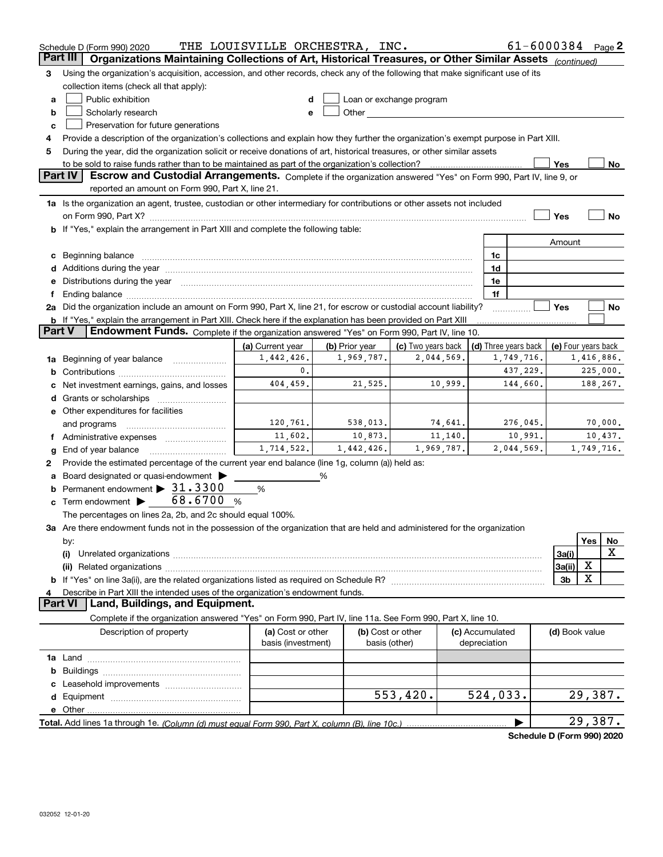|                 | Schedule D (Form 990) 2020                                                                                                                                                                                                     | THE LOUISVILLE ORCHESTRA, INC. |                     |                                                                                                                                                                                                                               |                     |                 | $61 - 6000384$ Page 2      |                     |            |                    |
|-----------------|--------------------------------------------------------------------------------------------------------------------------------------------------------------------------------------------------------------------------------|--------------------------------|---------------------|-------------------------------------------------------------------------------------------------------------------------------------------------------------------------------------------------------------------------------|---------------------|-----------------|----------------------------|---------------------|------------|--------------------|
| <b>Part III</b> | Organizations Maintaining Collections of Art, Historical Treasures, or Other Similar Assets (continued)                                                                                                                        |                                |                     |                                                                                                                                                                                                                               |                     |                 |                            |                     |            |                    |
| 3               | Using the organization's acquisition, accession, and other records, check any of the following that make significant use of its                                                                                                |                                |                     |                                                                                                                                                                                                                               |                     |                 |                            |                     |            |                    |
|                 | collection items (check all that apply):                                                                                                                                                                                       |                                |                     |                                                                                                                                                                                                                               |                     |                 |                            |                     |            |                    |
| a               | Public exhibition                                                                                                                                                                                                              |                                |                     | Loan or exchange program                                                                                                                                                                                                      |                     |                 |                            |                     |            |                    |
| b               | Scholarly research                                                                                                                                                                                                             | e                              |                     | Other and the contract of the contract of the contract of the contract of the contract of the contract of the contract of the contract of the contract of the contract of the contract of the contract of the contract of the |                     |                 |                            |                     |            |                    |
| c               | Preservation for future generations                                                                                                                                                                                            |                                |                     |                                                                                                                                                                                                                               |                     |                 |                            |                     |            |                    |
|                 | Provide a description of the organization's collections and explain how they further the organization's exempt purpose in Part XIII.                                                                                           |                                |                     |                                                                                                                                                                                                                               |                     |                 |                            |                     |            |                    |
| 5               | During the year, did the organization solicit or receive donations of art, historical treasures, or other similar assets                                                                                                       |                                |                     |                                                                                                                                                                                                                               |                     |                 |                            |                     |            |                    |
|                 | to be sold to raise funds rather than to be maintained as part of the organization's collection?                                                                                                                               |                                |                     |                                                                                                                                                                                                                               |                     |                 |                            | Yes                 |            | No                 |
|                 | <b>Part IV</b><br>Escrow and Custodial Arrangements. Complete if the organization answered "Yes" on Form 990, Part IV, line 9, or                                                                                              |                                |                     |                                                                                                                                                                                                                               |                     |                 |                            |                     |            |                    |
|                 | reported an amount on Form 990, Part X, line 21.                                                                                                                                                                               |                                |                     |                                                                                                                                                                                                                               |                     |                 |                            |                     |            |                    |
|                 | 1a Is the organization an agent, trustee, custodian or other intermediary for contributions or other assets not included                                                                                                       |                                |                     |                                                                                                                                                                                                                               |                     |                 |                            |                     |            |                    |
|                 | on Form 990, Part X? [11] matter contracts and contracts and contracts are contracted as a function of the set of the set of the set of the set of the set of the set of the set of the set of the set of the set of the set o |                                |                     |                                                                                                                                                                                                                               |                     |                 |                            | Yes                 |            | No                 |
|                 | b If "Yes," explain the arrangement in Part XIII and complete the following table:                                                                                                                                             |                                |                     |                                                                                                                                                                                                                               |                     |                 |                            |                     |            |                    |
|                 |                                                                                                                                                                                                                                |                                |                     |                                                                                                                                                                                                                               |                     |                 |                            | Amount              |            |                    |
|                 | c Beginning balance                                                                                                                                                                                                            |                                |                     |                                                                                                                                                                                                                               |                     | 1c              |                            |                     |            |                    |
|                 |                                                                                                                                                                                                                                |                                |                     |                                                                                                                                                                                                                               |                     | 1d              |                            |                     |            |                    |
|                 | e Distributions during the year manufactured and continuum and contact the year manufactured and contact the year manufactured and contact the year manufactured and contact the year manufactured and contact the year manufa |                                |                     |                                                                                                                                                                                                                               |                     | 1e              |                            |                     |            |                    |
|                 | Ending balance manufactured and contract the contract of the contract of the contract of the contract of the contract of the contract of the contract of the contract of the contract of the contract of the contract of the c |                                |                     |                                                                                                                                                                                                                               |                     | 1f              |                            |                     |            |                    |
|                 | 2a Did the organization include an amount on Form 990, Part X, line 21, for escrow or custodial account liability?                                                                                                             |                                |                     |                                                                                                                                                                                                                               |                     |                 |                            | Yes                 |            | No                 |
|                 | <b>b</b> If "Yes," explain the arrangement in Part XIII. Check here if the explanation has been provided on Part XIII                                                                                                          |                                |                     |                                                                                                                                                                                                                               |                     |                 |                            |                     |            |                    |
| <b>Part V</b>   | Endowment Funds. Complete if the organization answered "Yes" on Form 990, Part IV, line 10.                                                                                                                                    |                                |                     |                                                                                                                                                                                                                               |                     |                 |                            |                     |            |                    |
|                 |                                                                                                                                                                                                                                | (a) Current year               | (b) Prior year      |                                                                                                                                                                                                                               | (c) Two years back  |                 | (d) Three years back       | (e) Four years back |            |                    |
|                 | 1a Beginning of year balance                                                                                                                                                                                                   | 1,442,426.<br>0.               | 1,969,787.          |                                                                                                                                                                                                                               | 2,044,569.          |                 | 1,749,716.                 |                     | 1,416,886. |                    |
| b               |                                                                                                                                                                                                                                |                                |                     |                                                                                                                                                                                                                               |                     |                 | 437,229.<br>144,660.       |                     | 225,000.   |                    |
|                 | Net investment earnings, gains, and losses                                                                                                                                                                                     | 404,459.                       | 21,525.             |                                                                                                                                                                                                                               | 10,999.             |                 |                            |                     | 188,267.   |                    |
|                 | Grants or scholarships                                                                                                                                                                                                         |                                |                     |                                                                                                                                                                                                                               |                     |                 |                            |                     |            |                    |
|                 | e Other expenditures for facilities                                                                                                                                                                                            |                                |                     |                                                                                                                                                                                                                               |                     |                 |                            |                     |            |                    |
|                 | and programs                                                                                                                                                                                                                   | 120,761.<br>11,602.            | 538,013.<br>10,873. |                                                                                                                                                                                                                               | 74,641.<br>11, 140. |                 | 276,045.<br>10,991.        |                     |            | 70,000.<br>10,437. |
|                 |                                                                                                                                                                                                                                | 1,714,522.                     | 1,442,426.          |                                                                                                                                                                                                                               | 1,969,787.          |                 | 2,044,569.                 |                     | 1,749,716. |                    |
| g               | End of year balance                                                                                                                                                                                                            |                                |                     |                                                                                                                                                                                                                               |                     |                 |                            |                     |            |                    |
| 2               | Provide the estimated percentage of the current year end balance (line 1g, column (a)) held as:                                                                                                                                |                                |                     |                                                                                                                                                                                                                               |                     |                 |                            |                     |            |                    |
|                 | Board designated or quasi-endowment                                                                                                                                                                                            |                                | %                   |                                                                                                                                                                                                                               |                     |                 |                            |                     |            |                    |
| b               | Permanent endowment > 31.3300<br>Term endowment $\triangleright$ 68.6700                                                                                                                                                       | %                              |                     |                                                                                                                                                                                                                               |                     |                 |                            |                     |            |                    |
| c               | $\%$<br>The percentages on lines 2a, 2b, and 2c should equal 100%.                                                                                                                                                             |                                |                     |                                                                                                                                                                                                                               |                     |                 |                            |                     |            |                    |
|                 |                                                                                                                                                                                                                                |                                |                     |                                                                                                                                                                                                                               |                     |                 |                            |                     |            |                    |
|                 | 3a Are there endowment funds not in the possession of the organization that are held and administered for the organization                                                                                                     |                                |                     |                                                                                                                                                                                                                               |                     |                 |                            |                     | Yes        | No                 |
|                 | by:<br>(i)                                                                                                                                                                                                                     |                                |                     |                                                                                                                                                                                                                               |                     |                 |                            | 3a(i)               |            | Χ                  |
|                 |                                                                                                                                                                                                                                |                                |                     |                                                                                                                                                                                                                               |                     |                 |                            | 3a(ii)              | х          |                    |
|                 |                                                                                                                                                                                                                                |                                |                     |                                                                                                                                                                                                                               |                     |                 |                            | 3 <sub>b</sub>      | X          |                    |
|                 | Describe in Part XIII the intended uses of the organization's endowment funds.                                                                                                                                                 |                                |                     |                                                                                                                                                                                                                               |                     |                 |                            |                     |            |                    |
|                 | Land, Buildings, and Equipment.<br><b>Part VI</b>                                                                                                                                                                              |                                |                     |                                                                                                                                                                                                                               |                     |                 |                            |                     |            |                    |
|                 | Complete if the organization answered "Yes" on Form 990, Part IV, line 11a. See Form 990, Part X, line 10.                                                                                                                     |                                |                     |                                                                                                                                                                                                                               |                     |                 |                            |                     |            |                    |
|                 | Description of property                                                                                                                                                                                                        | (a) Cost or other              |                     | (b) Cost or other                                                                                                                                                                                                             |                     | (c) Accumulated |                            | (d) Book value      |            |                    |
|                 |                                                                                                                                                                                                                                | basis (investment)             |                     | basis (other)                                                                                                                                                                                                                 |                     | depreciation    |                            |                     |            |                    |
|                 |                                                                                                                                                                                                                                |                                |                     |                                                                                                                                                                                                                               |                     |                 |                            |                     |            |                    |
| b               |                                                                                                                                                                                                                                |                                |                     |                                                                                                                                                                                                                               |                     |                 |                            |                     |            |                    |
|                 |                                                                                                                                                                                                                                |                                |                     |                                                                                                                                                                                                                               |                     |                 |                            |                     |            |                    |
|                 |                                                                                                                                                                                                                                |                                |                     | 553,420.                                                                                                                                                                                                                      |                     | 524,033.        |                            |                     | 29,387.    |                    |
|                 |                                                                                                                                                                                                                                |                                |                     |                                                                                                                                                                                                                               |                     |                 |                            |                     |            |                    |
|                 |                                                                                                                                                                                                                                |                                |                     |                                                                                                                                                                                                                               |                     |                 |                            |                     | 29,387.    |                    |
|                 |                                                                                                                                                                                                                                |                                |                     |                                                                                                                                                                                                                               |                     |                 | Schedule D (Form 990) 2020 |                     |            |                    |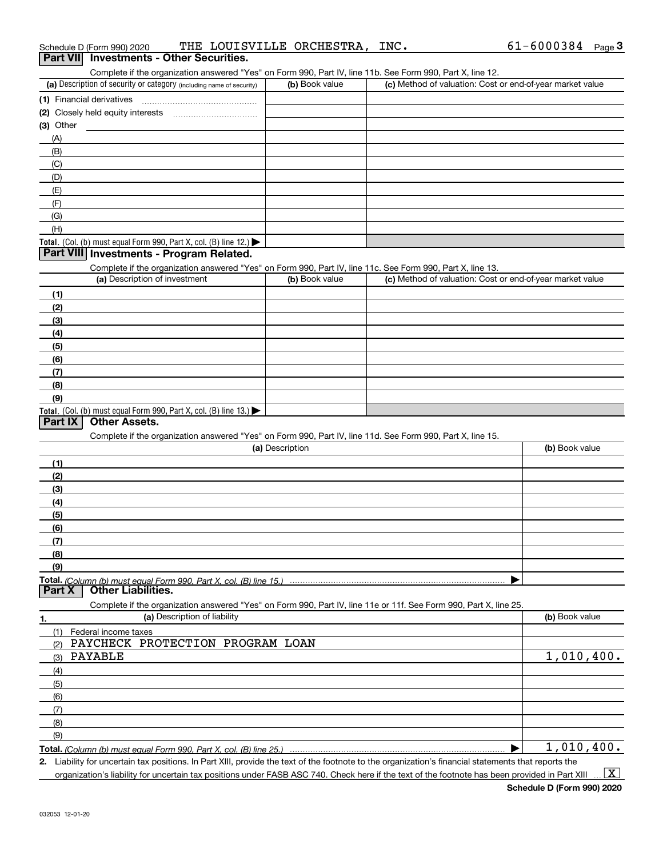| Schedule D (Form 990) 2020                                                                                                                  | THE LOUISVILLE ORCHESTRA, INC. |                                                           | $61 - 6000384$ Page 3 |
|---------------------------------------------------------------------------------------------------------------------------------------------|--------------------------------|-----------------------------------------------------------|-----------------------|
| Part VII Investments - Other Securities.                                                                                                    |                                |                                                           |                       |
| Complete if the organization answered "Yes" on Form 990, Part IV, line 11b. See Form 990, Part X, line 12.                                  |                                |                                                           |                       |
| (a) Description of security or category (including name of security)                                                                        | (b) Book value                 | (c) Method of valuation: Cost or end-of-year market value |                       |
|                                                                                                                                             |                                |                                                           |                       |
|                                                                                                                                             |                                |                                                           |                       |
| $(3)$ Other<br><u> 1989 - Johann Barbara, martin amerikan basal dan berasal dan berasal dalam basal dan berasal dan berasal dan</u>         |                                |                                                           |                       |
| (A)                                                                                                                                         |                                |                                                           |                       |
| (B)                                                                                                                                         |                                |                                                           |                       |
| (C)                                                                                                                                         |                                |                                                           |                       |
| (D)                                                                                                                                         |                                |                                                           |                       |
| (E)                                                                                                                                         |                                |                                                           |                       |
| (F)                                                                                                                                         |                                |                                                           |                       |
| (G)                                                                                                                                         |                                |                                                           |                       |
| (H)                                                                                                                                         |                                |                                                           |                       |
| Total. (Col. (b) must equal Form 990, Part X, col. (B) line 12.)                                                                            |                                |                                                           |                       |
| Part VIII Investments - Program Related.                                                                                                    |                                |                                                           |                       |
|                                                                                                                                             |                                |                                                           |                       |
| Complete if the organization answered "Yes" on Form 990, Part IV, line 11c. See Form 990, Part X, line 13.<br>(a) Description of investment | (b) Book value                 | (c) Method of valuation: Cost or end-of-year market value |                       |
|                                                                                                                                             |                                |                                                           |                       |
| (1)                                                                                                                                         |                                |                                                           |                       |
| (2)                                                                                                                                         |                                |                                                           |                       |
| (3)                                                                                                                                         |                                |                                                           |                       |
| (4)                                                                                                                                         |                                |                                                           |                       |
| (5)                                                                                                                                         |                                |                                                           |                       |
| (6)                                                                                                                                         |                                |                                                           |                       |
| (7)                                                                                                                                         |                                |                                                           |                       |
| (8)                                                                                                                                         |                                |                                                           |                       |
| (9)                                                                                                                                         |                                |                                                           |                       |
| Total. (Col. (b) must equal Form 990, Part X, col. (B) line 13.)                                                                            |                                |                                                           |                       |
| <b>Other Assets.</b><br>Part IX                                                                                                             |                                |                                                           |                       |
| Complete if the organization answered "Yes" on Form 990, Part IV, line 11d. See Form 990, Part X, line 15.                                  |                                |                                                           |                       |
|                                                                                                                                             | (a) Description                |                                                           | (b) Book value        |
| (1)                                                                                                                                         |                                |                                                           |                       |
| (2)                                                                                                                                         |                                |                                                           |                       |
| (3)                                                                                                                                         |                                |                                                           |                       |
| (4)                                                                                                                                         |                                |                                                           |                       |
| (5)                                                                                                                                         |                                |                                                           |                       |
| (6)                                                                                                                                         |                                |                                                           |                       |
|                                                                                                                                             |                                |                                                           |                       |
| (8)                                                                                                                                         |                                |                                                           |                       |
| (9)                                                                                                                                         |                                |                                                           |                       |
|                                                                                                                                             |                                |                                                           |                       |
| Part X<br><b>Other Liabilities.</b>                                                                                                         |                                |                                                           |                       |
| Complete if the organization answered "Yes" on Form 990, Part IV, line 11e or 11f. See Form 990, Part X, line 25.                           |                                |                                                           |                       |
| (a) Description of liability                                                                                                                |                                |                                                           | (b) Book value        |
| ٦.                                                                                                                                          |                                |                                                           |                       |
| Federal income taxes<br>(1)<br>PAYCHECK PROTECTION PROGRAM LOAN                                                                             |                                |                                                           |                       |
|                                                                                                                                             |                                |                                                           |                       |
| PAYABLE<br>(3)                                                                                                                              |                                |                                                           | 1,010,400.            |
| (4)                                                                                                                                         |                                |                                                           |                       |
| (5)                                                                                                                                         |                                |                                                           |                       |
| (6)                                                                                                                                         |                                |                                                           |                       |
| (7)                                                                                                                                         |                                |                                                           |                       |
| (8)                                                                                                                                         |                                |                                                           |                       |
| (9)                                                                                                                                         |                                |                                                           |                       |

**Total.**  *(Column (b) must equal Form 990, Part X, col. (B) line 25.)* 

**2.** Liability for uncertain tax positions. In Part XIII, provide the text of the footnote to the organization's financial statements that reports the organization's liability for uncertain tax positions under FASB ASC 740. Check here if the text of the footnote has been provided in Part XIII

1,010,400.

 $\vert$  X  $\vert$ 

 $\blacktriangleright$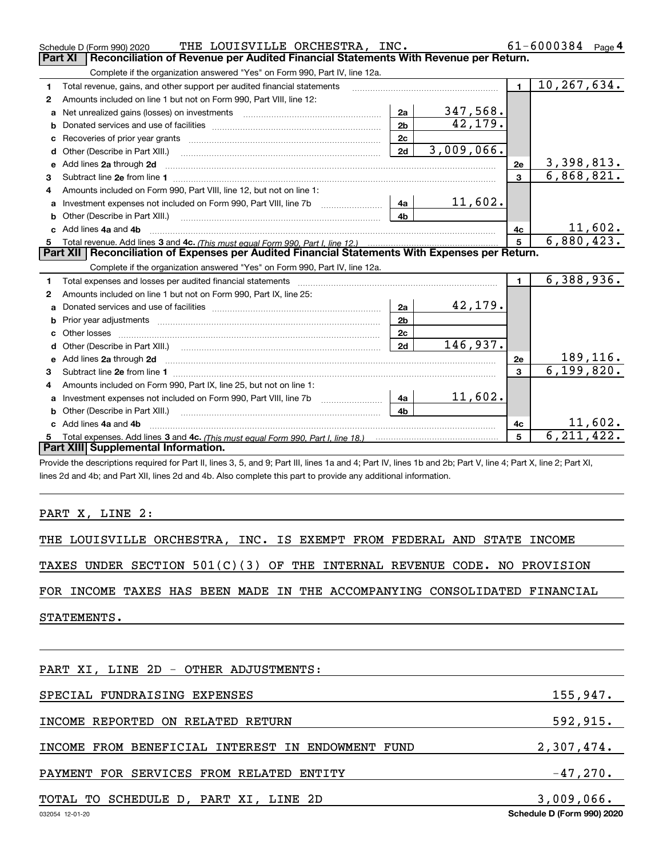|    | THE LOUISVILLE ORCHESTRA, INC.<br>Schedule D (Form 990) 2020                                                                                                                                                                  |                |                 |                | $61 - 6000384$ Page 4 |
|----|-------------------------------------------------------------------------------------------------------------------------------------------------------------------------------------------------------------------------------|----------------|-----------------|----------------|-----------------------|
|    | Reconciliation of Revenue per Audited Financial Statements With Revenue per Return.<br><b>Part XI</b>                                                                                                                         |                |                 |                |                       |
|    | Complete if the organization answered "Yes" on Form 990, Part IV, line 12a.                                                                                                                                                   |                |                 |                |                       |
| 1  | Total revenue, gains, and other support per audited financial statements                                                                                                                                                      |                |                 | $\blacksquare$ | 10,267,634.           |
| 2  | Amounts included on line 1 but not on Form 990, Part VIII, line 12:                                                                                                                                                           |                |                 |                |                       |
| a  |                                                                                                                                                                                                                               | 2a             | <u>347,568.</u> |                |                       |
| b  |                                                                                                                                                                                                                               | 2 <sub>b</sub> | 42,179.         |                |                       |
| c  |                                                                                                                                                                                                                               | 2c             |                 |                |                       |
| d  | Other (Describe in Part XIII.)                                                                                                                                                                                                | 2d             | 3,009,066.      |                |                       |
| е  | Add lines 2a through 2d                                                                                                                                                                                                       |                |                 | 2e             | 3,398,813.            |
| 3  |                                                                                                                                                                                                                               |                |                 | $\mathbf{3}$   | 6,868,821.            |
| 4  | Amounts included on Form 990, Part VIII, line 12, but not on line 1:                                                                                                                                                          |                |                 |                |                       |
| a  | Investment expenses not included on Form 990, Part VIII, line 7b                                                                                                                                                              | 4a             | 11,602.         |                |                       |
|    |                                                                                                                                                                                                                               | 4 <sub>b</sub> |                 |                |                       |
| C. | Add lines 4a and 4b                                                                                                                                                                                                           |                |                 | 4c             | <u> 11,602.</u>       |
| 5  |                                                                                                                                                                                                                               |                |                 | $5^{\circ}$    | 6,880,423.            |
|    |                                                                                                                                                                                                                               |                |                 |                |                       |
|    | Part XII   Reconciliation of Expenses per Audited Financial Statements With Expenses per Return.                                                                                                                              |                |                 |                |                       |
|    | Complete if the organization answered "Yes" on Form 990, Part IV, line 12a.                                                                                                                                                   |                |                 |                |                       |
| 1  | Total expenses and losses per audited financial statements [11, 11] manuscription control expenses and losses per audited financial statements [11] manuscription of the statements [11] manuscription of the statements [11] |                |                 | $\mathbf{1}$   | 6,388,936.            |
| 2  | Amounts included on line 1 but not on Form 990, Part IX, line 25:                                                                                                                                                             |                |                 |                |                       |
| a  |                                                                                                                                                                                                                               | 2a             | 42,179.         |                |                       |
| b  |                                                                                                                                                                                                                               | 2 <sub>b</sub> |                 |                |                       |
|    |                                                                                                                                                                                                                               | 2c             |                 |                |                       |
|    |                                                                                                                                                                                                                               | 2d             | 146,937.        |                |                       |
| e  | Add lines 2a through 2d                                                                                                                                                                                                       |                |                 | 2e             | 189,116.              |
| 3  |                                                                                                                                                                                                                               |                |                 | 3              | 6, 199, 820.          |
| 4  | Amounts included on Form 990, Part IX, line 25, but not on line 1:                                                                                                                                                            |                |                 |                |                       |
| a  |                                                                                                                                                                                                                               | 4a             | 11,602.         |                |                       |
|    | Other (Describe in Part XIII.)                                                                                                                                                                                                | 4 <sub>b</sub> |                 |                |                       |
|    | c Add lines 4a and 4b                                                                                                                                                                                                         |                |                 | 4c             | 11,602.               |
|    | Part XIII Supplemental Information.                                                                                                                                                                                           |                |                 | 5              | 6.211.422             |

Provide the descriptions required for Part II, lines 3, 5, and 9; Part III, lines 1a and 4; Part IV, lines 1b and 2b; Part V, line 4; Part X, line 2; Part XI, lines 2d and 4b; and Part XII, lines 2d and 4b. Also complete this part to provide any additional information.

### PART X, LINE 2:

|  | THE LOUISVILLE ORCHESTRA, INC. IS EXEMPT FROM FEDERAL AND STATE INCOME |  |  |  |  |  |  |  |  |  |
|--|------------------------------------------------------------------------|--|--|--|--|--|--|--|--|--|
|--|------------------------------------------------------------------------|--|--|--|--|--|--|--|--|--|

TAXES UNDER SECTION 501(C)(3) OF THE INTERNAL REVENUE CODE. NO PROVISION

FOR INCOME TAXES HAS BEEN MADE IN THE ACCOMPANYING CONSOLIDATED FINANCIAL

STATEMENTS.

| PART XI, LINE 2D - OTHER ADJUSTMENTS:             |                            |
|---------------------------------------------------|----------------------------|
| SPECIAL FUNDRAISING EXPENSES                      | 155,947.                   |
| INCOME REPORTED ON RELATED RETURN                 | 592, 915.                  |
| INCOME FROM BENEFICIAL INTEREST IN ENDOWMENT FUND | 2,307,474.                 |
| PAYMENT FOR SERVICES FROM RELATED ENTITY          | $-47,270.$                 |
| TOTAL TO SCHEDULE D, PART XI, LINE 2D             | 3,009,066.                 |
| 032054 12-01-20                                   | Schedule D (Form 990) 2020 |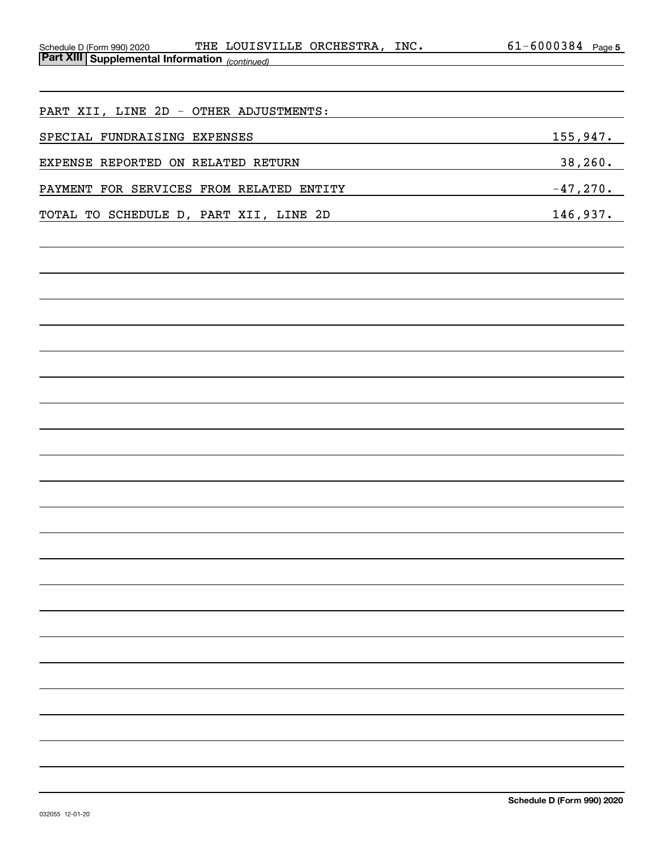| Schedule D (Form 990) 2020                     | THE LOUISVILLE ORCHESTRA, | INC. | $-6000384$ | Page 5 |
|------------------------------------------------|---------------------------|------|------------|--------|
| Part XIII Supplemental Information (continued) |                           |      |            |        |

| PART XII, LINE 2D - OTHER ADJUSTMENTS:   |            |
|------------------------------------------|------------|
| SPECIAL FUNDRAISING EXPENSES             | 155,947.   |
| EXPENSE REPORTED ON RELATED RETURN       | 38, 260.   |
| PAYMENT FOR SERVICES FROM RELATED ENTITY | $-47,270.$ |
| TOTAL TO SCHEDULE D, PART XII, LINE 2D   | 146,937.   |
|                                          |            |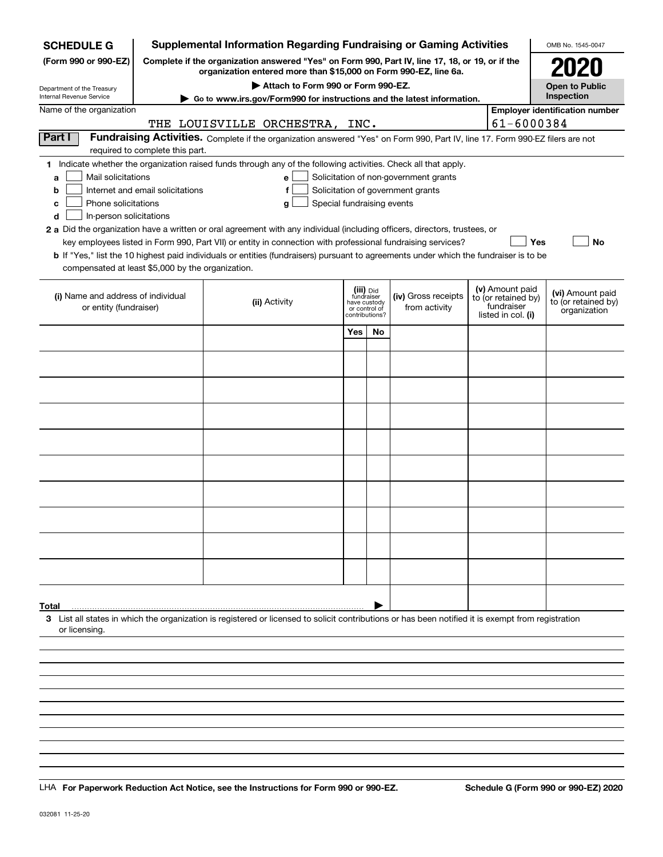| <b>SCHEDULE G</b>                                                               |                                 | <b>Supplemental Information Regarding Fundraising or Gaming Activities</b>                                                                                          |                |                               |                                       |  |                                        | OMB No. 1545-0047                     |  |  |  |  |
|---------------------------------------------------------------------------------|---------------------------------|---------------------------------------------------------------------------------------------------------------------------------------------------------------------|----------------|-------------------------------|---------------------------------------|--|----------------------------------------|---------------------------------------|--|--|--|--|
| (Form 990 or 990-EZ)                                                            |                                 | Complete if the organization answered "Yes" on Form 990, Part IV, line 17, 18, or 19, or if the<br>organization entered more than \$15,000 on Form 990-EZ, line 6a. |                |                               |                                       |  |                                        | <b>2020</b>                           |  |  |  |  |
| Department of the Treasury                                                      |                                 | Attach to Form 990 or Form 990-EZ.                                                                                                                                  |                |                               |                                       |  |                                        | <b>Open to Public</b>                 |  |  |  |  |
| Internal Revenue Service                                                        |                                 | Go to www.irs.gov/Form990 for instructions and the latest information.                                                                                              |                |                               |                                       |  |                                        | Inspection                            |  |  |  |  |
| Name of the organization                                                        |                                 |                                                                                                                                                                     |                |                               |                                       |  | 61-6000384                             | <b>Employer identification number</b> |  |  |  |  |
| Part I                                                                          |                                 | THE LOUISVILLE ORCHESTRA, INC.<br>Fundraising Activities. Complete if the organization answered "Yes" on Form 990, Part IV, line 17. Form 990-EZ filers are not     |                |                               |                                       |  |                                        |                                       |  |  |  |  |
|                                                                                 | required to complete this part. |                                                                                                                                                                     |                |                               |                                       |  |                                        |                                       |  |  |  |  |
|                                                                                 |                                 | 1 Indicate whether the organization raised funds through any of the following activities. Check all that apply.                                                     |                |                               |                                       |  |                                        |                                       |  |  |  |  |
| Mail solicitations<br>a                                                         |                                 | e                                                                                                                                                                   |                |                               | Solicitation of non-government grants |  |                                        |                                       |  |  |  |  |
| Internet and email solicitations<br>Solicitation of government grants<br>f<br>b |                                 |                                                                                                                                                                     |                |                               |                                       |  |                                        |                                       |  |  |  |  |
| Phone solicitations<br>Special fundraising events<br>c<br>g                     |                                 |                                                                                                                                                                     |                |                               |                                       |  |                                        |                                       |  |  |  |  |
| In-person solicitations<br>d                                                    |                                 |                                                                                                                                                                     |                |                               |                                       |  |                                        |                                       |  |  |  |  |
|                                                                                 |                                 | 2 a Did the organization have a written or oral agreement with any individual (including officers, directors, trustees, or                                          |                |                               |                                       |  |                                        |                                       |  |  |  |  |
|                                                                                 |                                 | key employees listed in Form 990, Part VII) or entity in connection with professional fundraising services?                                                         |                |                               |                                       |  | Yes                                    | No                                    |  |  |  |  |
| compensated at least \$5,000 by the organization.                               |                                 | <b>b</b> If "Yes," list the 10 highest paid individuals or entities (fundraisers) pursuant to agreements under which the fundraiser is to be                        |                |                               |                                       |  |                                        |                                       |  |  |  |  |
|                                                                                 |                                 |                                                                                                                                                                     |                |                               |                                       |  |                                        |                                       |  |  |  |  |
| (i) Name and address of individual                                              |                                 |                                                                                                                                                                     |                | (iii) Did<br>fundraiser       | (iv) Gross receipts                   |  | (v) Amount paid<br>to (or retained by) | (vi) Amount paid                      |  |  |  |  |
| or entity (fundraiser)                                                          |                                 | (ii) Activity                                                                                                                                                       |                | have custody<br>or control of | from activity                         |  | fundraiser                             | to (or retained by)<br>organization   |  |  |  |  |
|                                                                                 |                                 |                                                                                                                                                                     | contributions? |                               |                                       |  | listed in col. (i)                     |                                       |  |  |  |  |
|                                                                                 |                                 |                                                                                                                                                                     | Yes            | <b>No</b>                     |                                       |  |                                        |                                       |  |  |  |  |
|                                                                                 |                                 |                                                                                                                                                                     |                |                               |                                       |  |                                        |                                       |  |  |  |  |
|                                                                                 |                                 |                                                                                                                                                                     |                |                               |                                       |  |                                        |                                       |  |  |  |  |
|                                                                                 |                                 |                                                                                                                                                                     |                |                               |                                       |  |                                        |                                       |  |  |  |  |
|                                                                                 |                                 |                                                                                                                                                                     |                |                               |                                       |  |                                        |                                       |  |  |  |  |
|                                                                                 |                                 |                                                                                                                                                                     |                |                               |                                       |  |                                        |                                       |  |  |  |  |
|                                                                                 |                                 |                                                                                                                                                                     |                |                               |                                       |  |                                        |                                       |  |  |  |  |
|                                                                                 |                                 |                                                                                                                                                                     |                |                               |                                       |  |                                        |                                       |  |  |  |  |
|                                                                                 |                                 |                                                                                                                                                                     |                |                               |                                       |  |                                        |                                       |  |  |  |  |
|                                                                                 |                                 |                                                                                                                                                                     |                |                               |                                       |  |                                        |                                       |  |  |  |  |
|                                                                                 |                                 |                                                                                                                                                                     |                |                               |                                       |  |                                        |                                       |  |  |  |  |
|                                                                                 |                                 |                                                                                                                                                                     |                |                               |                                       |  |                                        |                                       |  |  |  |  |
|                                                                                 |                                 |                                                                                                                                                                     |                |                               |                                       |  |                                        |                                       |  |  |  |  |
|                                                                                 |                                 |                                                                                                                                                                     |                |                               |                                       |  |                                        |                                       |  |  |  |  |
|                                                                                 |                                 |                                                                                                                                                                     |                |                               |                                       |  |                                        |                                       |  |  |  |  |
|                                                                                 |                                 |                                                                                                                                                                     |                |                               |                                       |  |                                        |                                       |  |  |  |  |
|                                                                                 |                                 |                                                                                                                                                                     |                |                               |                                       |  |                                        |                                       |  |  |  |  |
| Total                                                                           |                                 |                                                                                                                                                                     |                |                               |                                       |  |                                        |                                       |  |  |  |  |
| or licensing                                                                    |                                 | 3 List all states in which the organization is registered or licensed to solicit contributions or has been notified it is exempt from registration                  |                |                               |                                       |  |                                        |                                       |  |  |  |  |
|                                                                                 |                                 |                                                                                                                                                                     |                |                               |                                       |  |                                        |                                       |  |  |  |  |
|                                                                                 |                                 |                                                                                                                                                                     |                |                               |                                       |  |                                        |                                       |  |  |  |  |
|                                                                                 |                                 |                                                                                                                                                                     |                |                               |                                       |  |                                        |                                       |  |  |  |  |
|                                                                                 |                                 |                                                                                                                                                                     |                |                               |                                       |  |                                        |                                       |  |  |  |  |
|                                                                                 |                                 |                                                                                                                                                                     |                |                               |                                       |  |                                        |                                       |  |  |  |  |

LHA For Paperwork Reduction Act Notice, see the Instructions for Form 990 or 990-EZ. Schedule G (Form 990 or 990-EZ) 2020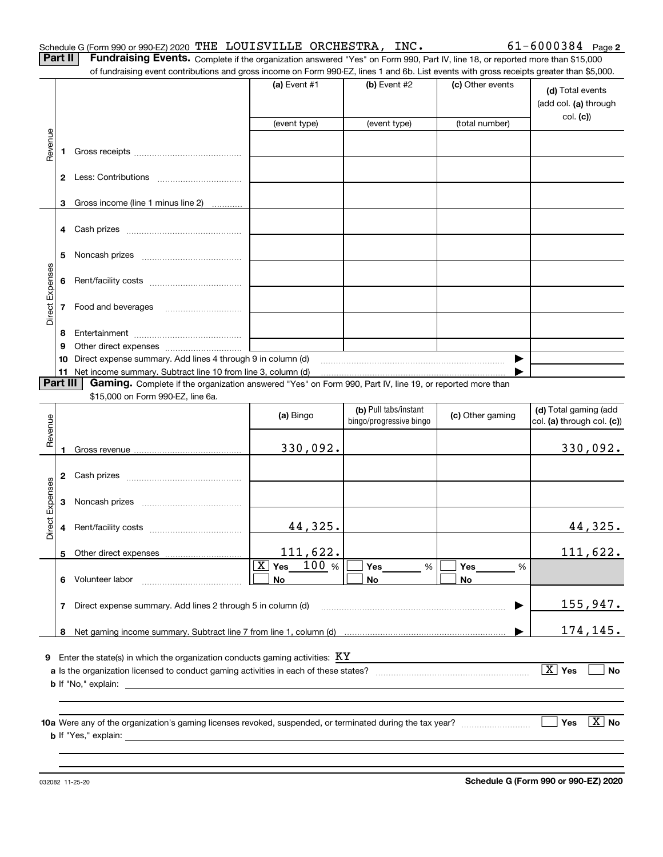**Part II** | Fundraising Events. Complete if the organization answered "Yes" on Form 990, Part IV, line 18, or reported more than \$15,000 of fundraising event contributions and gross income on Form 990-EZ, lines 1 and 6b. List events with gross receipts greater than \$5,000.

|                 |                      |                                                                                                                                                                                                                                | (a) Event $#1$ | (b) Event #2            | (c) Other events | (d) Total events<br>(add col. (a) through |
|-----------------|----------------------|--------------------------------------------------------------------------------------------------------------------------------------------------------------------------------------------------------------------------------|----------------|-------------------------|------------------|-------------------------------------------|
|                 |                      |                                                                                                                                                                                                                                | (event type)   | (event type)            | (total number)   | col. (c)                                  |
|                 |                      |                                                                                                                                                                                                                                |                |                         |                  |                                           |
| Revenue         | 1.                   |                                                                                                                                                                                                                                |                |                         |                  |                                           |
|                 |                      |                                                                                                                                                                                                                                |                |                         |                  |                                           |
|                 |                      |                                                                                                                                                                                                                                |                |                         |                  |                                           |
|                 |                      |                                                                                                                                                                                                                                |                |                         |                  |                                           |
|                 | 3                    | Gross income (line 1 minus line 2)                                                                                                                                                                                             |                |                         |                  |                                           |
|                 |                      |                                                                                                                                                                                                                                |                |                         |                  |                                           |
|                 |                      |                                                                                                                                                                                                                                |                |                         |                  |                                           |
|                 |                      |                                                                                                                                                                                                                                |                |                         |                  |                                           |
|                 | 5                    |                                                                                                                                                                                                                                |                |                         |                  |                                           |
|                 |                      |                                                                                                                                                                                                                                |                |                         |                  |                                           |
| Direct Expenses |                      |                                                                                                                                                                                                                                |                |                         |                  |                                           |
|                 |                      |                                                                                                                                                                                                                                |                |                         |                  |                                           |
|                 | 7 Food and beverages |                                                                                                                                                                                                                                |                |                         |                  |                                           |
|                 |                      |                                                                                                                                                                                                                                |                |                         |                  |                                           |
|                 |                      |                                                                                                                                                                                                                                |                |                         |                  |                                           |
|                 | 9                    | Other direct expenses of the state of the state of the state of the state of the state of the state of the state of the state of the state of the state of the state of the state of the state of the state of the state of th |                |                         |                  |                                           |
|                 | 10                   | Direct expense summary. Add lines 4 through 9 in column (d)                                                                                                                                                                    |                |                         |                  |                                           |
|                 | Part III             | 11 Net income summary. Subtract line 10 from line 3, column (d)<br>Gaming. Complete if the organization answered "Yes" on Form 990, Part IV, line 19, or reported more than                                                    |                |                         |                  |                                           |
|                 |                      | \$15,000 on Form 990-EZ, line 6a.                                                                                                                                                                                              |                |                         |                  |                                           |
|                 |                      |                                                                                                                                                                                                                                |                | (b) Pull tabs/instant   |                  | (d) Total gaming (add                     |
|                 |                      |                                                                                                                                                                                                                                | (a) Bingo      | bingo/progressive bingo | (c) Other gaming | col. (a) through col. (c))                |
| Revenue         |                      |                                                                                                                                                                                                                                |                |                         |                  |                                           |
|                 | $\mathbf{1}$         |                                                                                                                                                                                                                                | 330,092.       |                         |                  | 330,092.                                  |
|                 |                      |                                                                                                                                                                                                                                |                |                         |                  |                                           |
|                 |                      |                                                                                                                                                                                                                                |                |                         |                  |                                           |
| Direct Expenses |                      |                                                                                                                                                                                                                                |                |                         |                  |                                           |
|                 | 3                    |                                                                                                                                                                                                                                |                |                         |                  |                                           |
|                 |                      |                                                                                                                                                                                                                                |                |                         |                  |                                           |
|                 |                      |                                                                                                                                                                                                                                | 44,325.        |                         |                  | 44,325.                                   |
|                 |                      |                                                                                                                                                                                                                                |                |                         |                  |                                           |

**Yes Yes Yes** % X 100

**No No**

% %

~~~~~~~~~~~~~~~~~~~~~~~~ |

| <b>b</b> If "No," explain: |  |  |  |  |
|----------------------------|--|--|--|--|
|----------------------------|--|--|--|--|

**6** Volunteer labor

Other direct expenses

**7**Direct expense summary. Add lines 2 through 5 in column (d)

Volunteer labor \_\_\_\_\_\_\_\_\_\_\_\_\_\_\_\_\_\_\_\_\_\_\_\_\_\_\_\_\_

**8**Net gaming income summary. Subtract line 7 from line 1, column (d)

**9** Enter the state(s) in which the organization conducts gaming activities:  $\,\mathrm{KY}\,$ 

**10a** Were any of the organization's gaming licenses revoked, suspended, or terminated during the tax year? \_\_\_\_\_\_\_\_\_\_\_\_\_\_\_\_\_ **b** If "Yes," explain: **Yes** es  $|\,\texttt{X}\,|$  No

111,622.

**a**Is the organization licensed to conduct gaming activities in each of these states? ~~~~~~~~~~~~~~~~~~~~

**No**

032082 11-25-20

**5**

 $X$  Yes  $\Box$ 

…… ▶

**No**

111,622.

155,947.

174,145.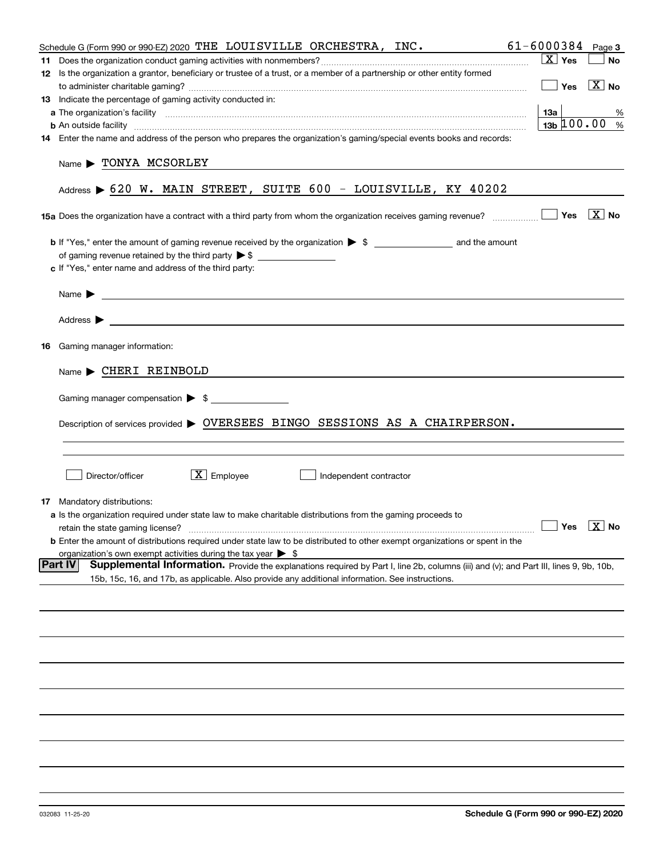|    | Schedule G (Form 990 or 990-EZ) 2020 THE LOUISVILLE ORCHESTRA, INC.                                                                                                                                                                      | 61-6000384                    | Page 3                |
|----|------------------------------------------------------------------------------------------------------------------------------------------------------------------------------------------------------------------------------------------|-------------------------------|-----------------------|
|    |                                                                                                                                                                                                                                          | $\boxed{\text{X}}$ Yes        | <b>No</b>             |
|    | 12 Is the organization a grantor, beneficiary or trustee of a trust, or a member of a partnership or other entity formed                                                                                                                 |                               |                       |
|    |                                                                                                                                                                                                                                          | Yes                           | $\vert X \vert$ No    |
|    | <b>13</b> Indicate the percentage of gaming activity conducted in:                                                                                                                                                                       |                               |                       |
|    |                                                                                                                                                                                                                                          | 1За                           |                       |
|    |                                                                                                                                                                                                                                          | $13b \ 100.00$                | %<br>%                |
|    | <b>b</b> An outside facility <i>www.communicality communicality communical</i> contract and an outside facility communical communications of the set of the set of the set of the set of the set of the set of the set of the set of the |                               |                       |
|    | 14 Enter the name and address of the person who prepares the organization's gaming/special events books and records:                                                                                                                     |                               |                       |
|    | Name > TONYA MCSORLEY<br>Address > 620 W. MAIN STREET, SUITE 600 - LOUISVILLE, KY 40202                                                                                                                                                  |                               |                       |
|    | <b>15a</b> Does the organization have a contract with a third party from whom the organization receives gaming revenue? $\ldots$                                                                                                         |                               | $\boxed{\text{X}}$ No |
|    |                                                                                                                                                                                                                                          |                               |                       |
|    |                                                                                                                                                                                                                                          |                               |                       |
|    |                                                                                                                                                                                                                                          |                               |                       |
|    | c If "Yes," enter name and address of the third party:                                                                                                                                                                                   |                               |                       |
|    |                                                                                                                                                                                                                                          |                               |                       |
|    | <u> 1989 - Johann Barn, amerikansk politiker (</u> † 1908)<br>Name $\blacktriangleright$                                                                                                                                                 |                               |                       |
|    |                                                                                                                                                                                                                                          |                               |                       |
|    |                                                                                                                                                                                                                                          |                               |                       |
| 16 | Gaming manager information:                                                                                                                                                                                                              |                               |                       |
|    | $Name \triangleright \text{CHERI REINBOLD}$                                                                                                                                                                                              |                               |                       |
|    |                                                                                                                                                                                                                                          |                               |                       |
|    | Gaming manager compensation > \$                                                                                                                                                                                                         |                               |                       |
|    | Description of services provided > OVERSEES BINGO SESSIONS AS A CHAIRPERSON.                                                                                                                                                             |                               |                       |
|    |                                                                                                                                                                                                                                          |                               |                       |
|    | $\boxed{\text{X}}$ Employee<br>Director/officer<br>Independent contractor                                                                                                                                                                |                               |                       |
|    | <b>17</b> Mandatory distributions:                                                                                                                                                                                                       |                               |                       |
|    | a Is the organization required under state law to make charitable distributions from the gaming proceeds to                                                                                                                              |                               |                       |
|    | retain the state gaming license?                                                                                                                                                                                                         | $\sqrt{Y}$ Yes $\boxed{X}$ No |                       |
|    | <b>b</b> Enter the amount of distributions required under state law to be distributed to other exempt organizations or spent in the                                                                                                      |                               |                       |
|    | organization's own exempt activities during the tax year $\triangleright$ \$                                                                                                                                                             |                               |                       |
|    | <b>Part IV</b><br>Supplemental Information. Provide the explanations required by Part I, line 2b, columns (iii) and (v); and Part III, lines 9, 9b, 10b,                                                                                 |                               |                       |
|    | 15b, 15c, 16, and 17b, as applicable. Also provide any additional information. See instructions.                                                                                                                                         |                               |                       |
|    |                                                                                                                                                                                                                                          |                               |                       |
|    |                                                                                                                                                                                                                                          |                               |                       |
|    |                                                                                                                                                                                                                                          |                               |                       |
|    |                                                                                                                                                                                                                                          |                               |                       |
|    |                                                                                                                                                                                                                                          |                               |                       |
|    |                                                                                                                                                                                                                                          |                               |                       |
|    |                                                                                                                                                                                                                                          |                               |                       |
|    |                                                                                                                                                                                                                                          |                               |                       |
|    |                                                                                                                                                                                                                                          |                               |                       |
|    |                                                                                                                                                                                                                                          |                               |                       |
|    |                                                                                                                                                                                                                                          |                               |                       |
|    |                                                                                                                                                                                                                                          |                               |                       |
|    |                                                                                                                                                                                                                                          |                               |                       |
|    |                                                                                                                                                                                                                                          |                               |                       |
|    |                                                                                                                                                                                                                                          |                               |                       |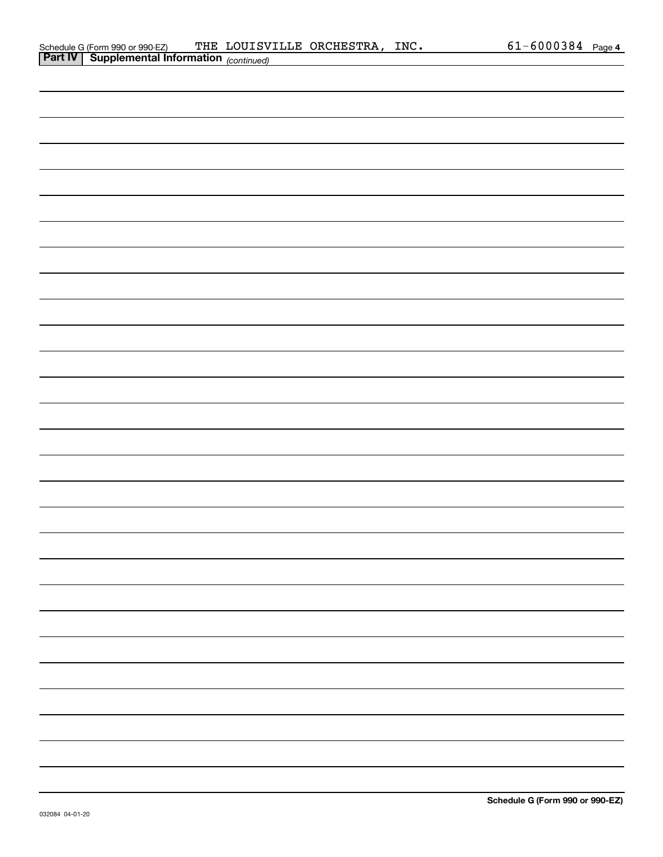| Schedule G (Form 990 or 990-EZ)                       | THE LOUISVILLE ORCHESTRA, | INC. | $61 - 6000384$ | Page 4 |
|-------------------------------------------------------|---------------------------|------|----------------|--------|
| <b>Part IV   Supplemental Information</b> (continued) |                           |      |                |        |

|                                                                                                                       |  |  | $61 - 6000384$ Page 4 |  |
|-----------------------------------------------------------------------------------------------------------------------|--|--|-----------------------|--|
| Schedule G (Form 990 or 990-EZ) THE LOUISVILLE ORCHESTRA, INC.<br><b>Part IV</b> Supplemental Information (continued) |  |  |                       |  |
|                                                                                                                       |  |  |                       |  |
|                                                                                                                       |  |  |                       |  |
|                                                                                                                       |  |  |                       |  |
|                                                                                                                       |  |  |                       |  |
|                                                                                                                       |  |  |                       |  |
|                                                                                                                       |  |  |                       |  |
|                                                                                                                       |  |  |                       |  |
|                                                                                                                       |  |  |                       |  |
|                                                                                                                       |  |  |                       |  |
|                                                                                                                       |  |  |                       |  |
|                                                                                                                       |  |  |                       |  |
|                                                                                                                       |  |  |                       |  |
|                                                                                                                       |  |  |                       |  |
|                                                                                                                       |  |  |                       |  |
|                                                                                                                       |  |  |                       |  |
|                                                                                                                       |  |  |                       |  |
|                                                                                                                       |  |  |                       |  |
|                                                                                                                       |  |  |                       |  |
|                                                                                                                       |  |  |                       |  |
|                                                                                                                       |  |  |                       |  |
|                                                                                                                       |  |  |                       |  |
|                                                                                                                       |  |  |                       |  |
|                                                                                                                       |  |  |                       |  |
|                                                                                                                       |  |  |                       |  |
|                                                                                                                       |  |  |                       |  |
|                                                                                                                       |  |  |                       |  |
|                                                                                                                       |  |  |                       |  |
|                                                                                                                       |  |  |                       |  |
|                                                                                                                       |  |  |                       |  |
|                                                                                                                       |  |  |                       |  |
|                                                                                                                       |  |  |                       |  |
|                                                                                                                       |  |  |                       |  |
|                                                                                                                       |  |  |                       |  |
|                                                                                                                       |  |  |                       |  |
|                                                                                                                       |  |  |                       |  |
|                                                                                                                       |  |  |                       |  |
|                                                                                                                       |  |  |                       |  |
|                                                                                                                       |  |  |                       |  |
|                                                                                                                       |  |  |                       |  |
|                                                                                                                       |  |  |                       |  |
|                                                                                                                       |  |  |                       |  |
|                                                                                                                       |  |  |                       |  |
|                                                                                                                       |  |  |                       |  |
|                                                                                                                       |  |  |                       |  |
|                                                                                                                       |  |  |                       |  |
|                                                                                                                       |  |  |                       |  |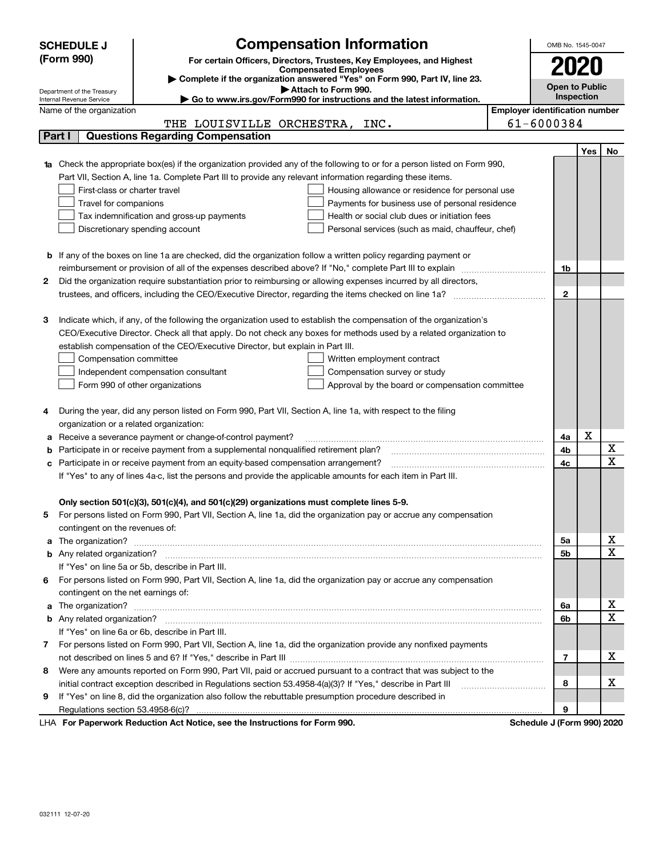|   | <b>SCHEDULE J</b>                                                                                                                | <b>Compensation Information</b>                                                                                                                                                                               |                                       | OMB No. 1545-0047     |      |                              |  |  |
|---|----------------------------------------------------------------------------------------------------------------------------------|---------------------------------------------------------------------------------------------------------------------------------------------------------------------------------------------------------------|---------------------------------------|-----------------------|------|------------------------------|--|--|
|   | (Form 990)                                                                                                                       | For certain Officers, Directors, Trustees, Key Employees, and Highest                                                                                                                                         |                                       |                       | 2020 |                              |  |  |
|   |                                                                                                                                  | <b>Compensated Employees</b>                                                                                                                                                                                  |                                       |                       |      |                              |  |  |
|   |                                                                                                                                  | Complete if the organization answered "Yes" on Form 990, Part IV, line 23.<br>Attach to Form 990.                                                                                                             |                                       | <b>Open to Public</b> |      |                              |  |  |
|   | Department of the Treasury<br>Go to www.irs.gov/Form990 for instructions and the latest information.<br>Internal Revenue Service |                                                                                                                                                                                                               |                                       |                       |      |                              |  |  |
|   | Name of the organization                                                                                                         |                                                                                                                                                                                                               | <b>Employer identification number</b> |                       |      |                              |  |  |
|   |                                                                                                                                  | THE LOUISVILLE ORCHESTRA, INC.                                                                                                                                                                                |                                       | 61-6000384            |      |                              |  |  |
|   | Part I                                                                                                                           | <b>Questions Regarding Compensation</b>                                                                                                                                                                       |                                       |                       |      |                              |  |  |
|   |                                                                                                                                  |                                                                                                                                                                                                               |                                       |                       | Yes  | No                           |  |  |
|   |                                                                                                                                  | <b>1a</b> Check the appropriate box(es) if the organization provided any of the following to or for a person listed on Form 990,                                                                              |                                       |                       |      |                              |  |  |
|   |                                                                                                                                  | Part VII, Section A, line 1a. Complete Part III to provide any relevant information regarding these items.                                                                                                    |                                       |                       |      |                              |  |  |
|   | First-class or charter travel                                                                                                    | Housing allowance or residence for personal use                                                                                                                                                               |                                       |                       |      |                              |  |  |
|   | Travel for companions                                                                                                            | Payments for business use of personal residence                                                                                                                                                               |                                       |                       |      |                              |  |  |
|   |                                                                                                                                  | Tax indemnification and gross-up payments<br>Health or social club dues or initiation fees                                                                                                                    |                                       |                       |      |                              |  |  |
|   |                                                                                                                                  | Discretionary spending account<br>Personal services (such as maid, chauffeur, chef)                                                                                                                           |                                       |                       |      |                              |  |  |
|   |                                                                                                                                  |                                                                                                                                                                                                               |                                       |                       |      |                              |  |  |
|   |                                                                                                                                  | <b>b</b> If any of the boxes on line 1a are checked, did the organization follow a written policy regarding payment or                                                                                        |                                       |                       |      |                              |  |  |
|   |                                                                                                                                  | reimbursement or provision of all of the expenses described above? If "No," complete Part III to explain                                                                                                      |                                       | 1b                    |      |                              |  |  |
| 2 |                                                                                                                                  | Did the organization require substantiation prior to reimbursing or allowing expenses incurred by all directors,                                                                                              |                                       |                       |      |                              |  |  |
|   |                                                                                                                                  | trustees, and officers, including the CEO/Executive Director, regarding the items checked on line 1a?                                                                                                         |                                       | $\mathbf{2}$          |      |                              |  |  |
|   |                                                                                                                                  |                                                                                                                                                                                                               |                                       |                       |      |                              |  |  |
| 3 |                                                                                                                                  | Indicate which, if any, of the following the organization used to establish the compensation of the organization's                                                                                            |                                       |                       |      |                              |  |  |
|   |                                                                                                                                  | CEO/Executive Director. Check all that apply. Do not check any boxes for methods used by a related organization to                                                                                            |                                       |                       |      |                              |  |  |
|   |                                                                                                                                  | establish compensation of the CEO/Executive Director, but explain in Part III.                                                                                                                                |                                       |                       |      |                              |  |  |
|   | Compensation committee                                                                                                           | Written employment contract                                                                                                                                                                                   |                                       |                       |      |                              |  |  |
|   |                                                                                                                                  | Compensation survey or study<br>Independent compensation consultant                                                                                                                                           |                                       |                       |      |                              |  |  |
|   |                                                                                                                                  | Form 990 of other organizations<br>Approval by the board or compensation committee                                                                                                                            |                                       |                       |      |                              |  |  |
|   |                                                                                                                                  |                                                                                                                                                                                                               |                                       |                       |      |                              |  |  |
| 4 |                                                                                                                                  | During the year, did any person listed on Form 990, Part VII, Section A, line 1a, with respect to the filing                                                                                                  |                                       |                       |      |                              |  |  |
|   | organization or a related organization:                                                                                          |                                                                                                                                                                                                               |                                       |                       |      |                              |  |  |
| а |                                                                                                                                  | Receive a severance payment or change-of-control payment?                                                                                                                                                     |                                       | 4a                    | X    |                              |  |  |
| b |                                                                                                                                  | Participate in or receive payment from a supplemental nonqualified retirement plan?                                                                                                                           |                                       | 4b                    |      | X<br>$\overline{\mathbf{x}}$ |  |  |
| с |                                                                                                                                  | Participate in or receive payment from an equity-based compensation arrangement?                                                                                                                              |                                       | 4c                    |      |                              |  |  |
|   |                                                                                                                                  | If "Yes" to any of lines 4a-c, list the persons and provide the applicable amounts for each item in Part III.                                                                                                 |                                       |                       |      |                              |  |  |
|   |                                                                                                                                  |                                                                                                                                                                                                               |                                       |                       |      |                              |  |  |
|   |                                                                                                                                  | Only section 501(c)(3), 501(c)(4), and 501(c)(29) organizations must complete lines 5-9.<br>For persons listed on Form 990, Part VII, Section A, line 1a, did the organization pay or accrue any compensation |                                       |                       |      |                              |  |  |
|   |                                                                                                                                  |                                                                                                                                                                                                               |                                       |                       |      |                              |  |  |
| a | contingent on the revenues of:                                                                                                   |                                                                                                                                                                                                               |                                       | 5a                    |      | x                            |  |  |
|   |                                                                                                                                  |                                                                                                                                                                                                               |                                       | <b>5b</b>             |      | $\overline{\mathbf{x}}$      |  |  |
|   |                                                                                                                                  | If "Yes" on line 5a or 5b, describe in Part III.                                                                                                                                                              |                                       |                       |      |                              |  |  |
| 6 |                                                                                                                                  | For persons listed on Form 990, Part VII, Section A, line 1a, did the organization pay or accrue any compensation                                                                                             |                                       |                       |      |                              |  |  |
|   | contingent on the net earnings of:                                                                                               |                                                                                                                                                                                                               |                                       |                       |      |                              |  |  |
| a |                                                                                                                                  |                                                                                                                                                                                                               |                                       | 6a                    |      | х                            |  |  |
|   |                                                                                                                                  |                                                                                                                                                                                                               |                                       | 6b                    |      | $\overline{\mathbf{x}}$      |  |  |
|   |                                                                                                                                  | If "Yes" on line 6a or 6b, describe in Part III.                                                                                                                                                              |                                       |                       |      |                              |  |  |
|   |                                                                                                                                  | 7 For persons listed on Form 990, Part VII, Section A, line 1a, did the organization provide any nonfixed payments                                                                                            |                                       |                       |      |                              |  |  |
|   |                                                                                                                                  |                                                                                                                                                                                                               |                                       | 7                     |      | х                            |  |  |
| 8 |                                                                                                                                  | Were any amounts reported on Form 990, Part VII, paid or accrued pursuant to a contract that was subject to the                                                                                               |                                       |                       |      |                              |  |  |
|   |                                                                                                                                  | initial contract exception described in Regulations section 53.4958-4(a)(3)? If "Yes," describe in Part III                                                                                                   |                                       | 8                     |      | х                            |  |  |
| 9 |                                                                                                                                  | If "Yes" on line 8, did the organization also follow the rebuttable presumption procedure described in                                                                                                        |                                       |                       |      |                              |  |  |
|   |                                                                                                                                  |                                                                                                                                                                                                               |                                       | 9                     |      |                              |  |  |
|   |                                                                                                                                  | successive Deptation of the Netting and the Instructions for Form 000.                                                                                                                                        |                                       |                       |      |                              |  |  |

LHA For Paperwork Reduction Act Notice, see the Instructions for Form 990. Schedule J (Form 990) 2020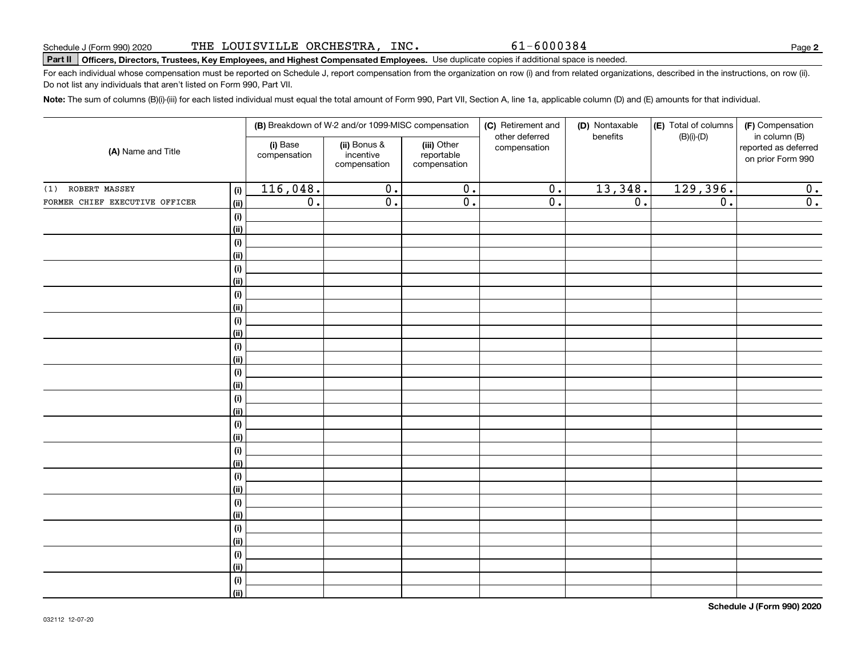61-6000384

**2**

# Schedule J (Form 990) 2020 'L'HE LOUTSVILLLE ORCHESTRA , INC • b L – b U U J 8 4<br>| **Part II | Officers, Directors, Trustees, Key Employees, and Highest Compensated Employe**

For each individual whose compensation must be reported on Schedule J, report compensation from the organization on row (i) and from related organizations, described in the instructions, on row (ii). Do not list any individuals that aren't listed on Form 990, Part VII.

**Note:**  The sum of columns (B)(i)-(iii) for each listed individual must equal the total amount of Form 990, Part VII, Section A, line 1a, applicable column (D) and (E) amounts for that individual.

|                                |                           |                          | (B) Breakdown of W-2 and/or 1099-MISC compensation |                                           | (C) Retirement and<br>other deferred | (D) Nontaxable<br>benefits | (E) Total of columns<br>$(B)(i)-(D)$ | (F) Compensation<br>in column (B)         |
|--------------------------------|---------------------------|--------------------------|----------------------------------------------------|-------------------------------------------|--------------------------------------|----------------------------|--------------------------------------|-------------------------------------------|
| (A) Name and Title             |                           | (i) Base<br>compensation | (ii) Bonus &<br>incentive<br>compensation          | (iii) Other<br>reportable<br>compensation | compensation                         |                            |                                      | reported as deferred<br>on prior Form 990 |
| (1) ROBERT MASSEY              | (i)                       | 116,048.                 | $\overline{0}$ .                                   | $\overline{0}$ .                          | $\overline{0}$ .                     | 13,348.                    | 129,396.                             | 0.                                        |
| FORMER CHIEF EXECUTIVE OFFICER | (ii)                      | $\overline{0}$ .         | $\overline{0}$ .                                   | $\overline{0}$ .                          | $\overline{0}$ .                     | $\overline{0}$ .           | $\overline{0}$ .                     | $\overline{0}$ .                          |
|                                | (i)                       |                          |                                                    |                                           |                                      |                            |                                      |                                           |
|                                | <u>(ii)</u>               |                          |                                                    |                                           |                                      |                            |                                      |                                           |
|                                | $(\sf{i})$                |                          |                                                    |                                           |                                      |                            |                                      |                                           |
|                                | <u>(ii)</u>               |                          |                                                    |                                           |                                      |                            |                                      |                                           |
|                                | $(\sf{i})$                |                          |                                                    |                                           |                                      |                            |                                      |                                           |
|                                | <u>(ii)</u>               |                          |                                                    |                                           |                                      |                            |                                      |                                           |
|                                | (i)                       |                          |                                                    |                                           |                                      |                            |                                      |                                           |
|                                | <u>(ii)</u>               |                          |                                                    |                                           |                                      |                            |                                      |                                           |
|                                | $(\sf{i})$                |                          |                                                    |                                           |                                      |                            |                                      |                                           |
|                                | <u>(ii)</u><br>$(\sf{i})$ |                          |                                                    |                                           |                                      |                            |                                      |                                           |
|                                | (ii)                      |                          |                                                    |                                           |                                      |                            |                                      |                                           |
|                                | (i)                       |                          |                                                    |                                           |                                      |                            |                                      |                                           |
|                                | (ii)                      |                          |                                                    |                                           |                                      |                            |                                      |                                           |
|                                | (i)                       |                          |                                                    |                                           |                                      |                            |                                      |                                           |
|                                | (ii)                      |                          |                                                    |                                           |                                      |                            |                                      |                                           |
|                                | (i)                       |                          |                                                    |                                           |                                      |                            |                                      |                                           |
|                                | (ii)                      |                          |                                                    |                                           |                                      |                            |                                      |                                           |
|                                | (i)                       |                          |                                                    |                                           |                                      |                            |                                      |                                           |
|                                | <u>(ii)</u>               |                          |                                                    |                                           |                                      |                            |                                      |                                           |
|                                | (i)                       |                          |                                                    |                                           |                                      |                            |                                      |                                           |
|                                | <u>(ii)</u>               |                          |                                                    |                                           |                                      |                            |                                      |                                           |
|                                | (i)                       |                          |                                                    |                                           |                                      |                            |                                      |                                           |
|                                | <u>(ii)</u>               |                          |                                                    |                                           |                                      |                            |                                      |                                           |
|                                | (i)<br>(ii)               |                          |                                                    |                                           |                                      |                            |                                      |                                           |
|                                | (i)                       |                          |                                                    |                                           |                                      |                            |                                      |                                           |
|                                | <u>(ii)</u>               |                          |                                                    |                                           |                                      |                            |                                      |                                           |
|                                | (i)                       |                          |                                                    |                                           |                                      |                            |                                      |                                           |
|                                | $\overline{}}$            |                          |                                                    |                                           |                                      |                            |                                      |                                           |
|                                |                           |                          |                                                    |                                           |                                      |                            |                                      |                                           |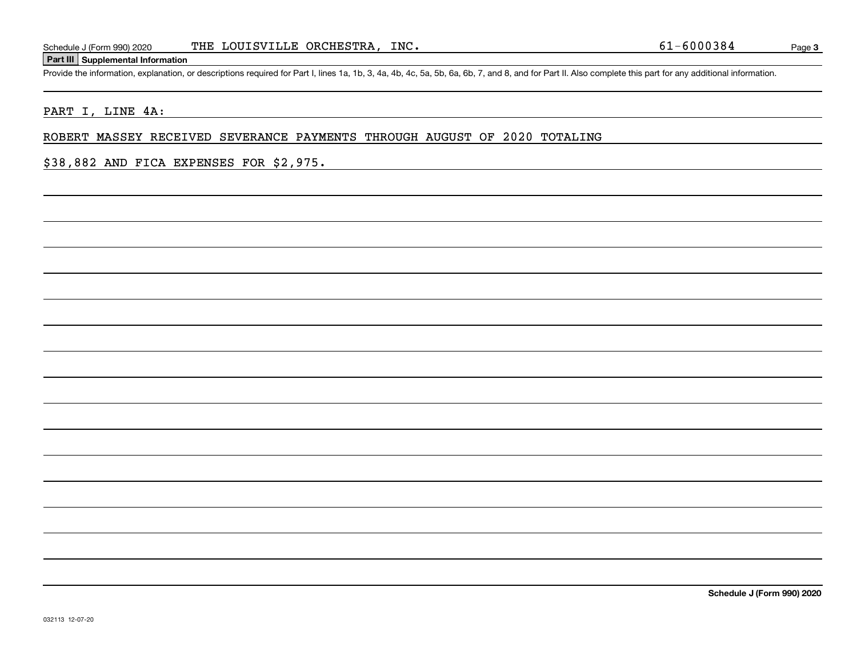#### **Part III Supplemental Information**

Schedule J (Form 990) 2020 THE LOUISVILLE ORCHESTRA, INC.<br>Part III Supplemental Information<br>Provide the information, explanation, or descriptions required for Part I, lines 1a, 1b, 3, 4a, 4b, 4c, 5a, 5b, 6a, 6b, 7, and 8,

## PART I, LINE 4A:

### ROBERT MASSEY RECEIVED SEVERANCE PAYMENTS THROUGH AUGUST OF 2020 TOTALING

### \$38,882 AND FICA EXPENSES FOR \$2,975.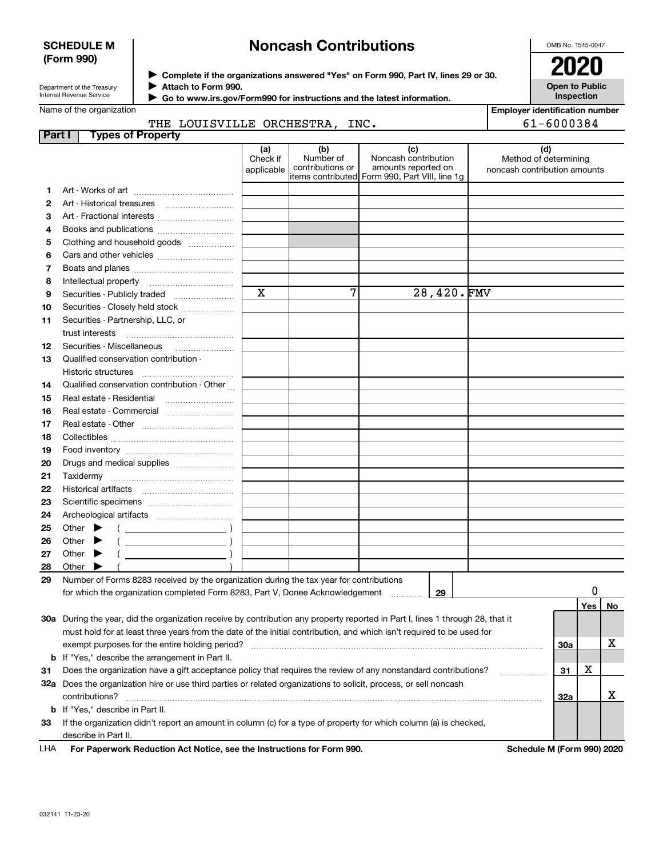### **SCHEDULE M (Form 990)**

# **Noncash Contributions**

OMB No. 1545-0047

**Open to Public Inspection**

Department of the Treasury Internal Revenue Service

**Complete if the organizations answered "Yes" on Form 990, Part IV, lines 29 or 30.** <sup>J</sup>**2020 Attach to Form 990.** J

 **Go to www.irs.gov/Form990 for instructions and the latest information.** J

# Name of the organization

**Employer identification number**

|        | THE LOUISVILLE ORCHESTRA, INC.                                                                                                                                                                                                                                                                                                                                                     |                               |                                                                |                                                                                                      |            |                                                       | 61-6000384 |          |   |
|--------|------------------------------------------------------------------------------------------------------------------------------------------------------------------------------------------------------------------------------------------------------------------------------------------------------------------------------------------------------------------------------------|-------------------------------|----------------------------------------------------------------|------------------------------------------------------------------------------------------------------|------------|-------------------------------------------------------|------------|----------|---|
| Part I | <b>Types of Property</b>                                                                                                                                                                                                                                                                                                                                                           |                               |                                                                |                                                                                                      |            |                                                       |            |          |   |
|        |                                                                                                                                                                                                                                                                                                                                                                                    | (a)<br>Check if<br>applicable | (b)<br>Number of<br>contributions or                           | (c)<br>Noncash contribution<br>amounts reported on<br>items contributed Form 990, Part VIII, line 1q |            | Method of determining<br>noncash contribution amounts | (d)        |          |   |
| 1      |                                                                                                                                                                                                                                                                                                                                                                                    |                               |                                                                |                                                                                                      |            |                                                       |            |          |   |
| 2      |                                                                                                                                                                                                                                                                                                                                                                                    |                               |                                                                |                                                                                                      |            |                                                       |            |          |   |
| з      | Art - Fractional interests                                                                                                                                                                                                                                                                                                                                                         |                               |                                                                |                                                                                                      |            |                                                       |            |          |   |
| 4      |                                                                                                                                                                                                                                                                                                                                                                                    |                               |                                                                |                                                                                                      |            |                                                       |            |          |   |
| 5      | Clothing and household goods                                                                                                                                                                                                                                                                                                                                                       |                               |                                                                |                                                                                                      |            |                                                       |            |          |   |
| 6      |                                                                                                                                                                                                                                                                                                                                                                                    |                               |                                                                |                                                                                                      |            |                                                       |            |          |   |
| 7      |                                                                                                                                                                                                                                                                                                                                                                                    |                               |                                                                |                                                                                                      |            |                                                       |            |          |   |
| 8      |                                                                                                                                                                                                                                                                                                                                                                                    |                               |                                                                |                                                                                                      |            |                                                       |            |          |   |
| 9      | Securities - Publicly traded                                                                                                                                                                                                                                                                                                                                                       | $\mathbf X$                   | 7                                                              |                                                                                                      | 28,420.FMV |                                                       |            |          |   |
| 10     | Securities - Closely held stock                                                                                                                                                                                                                                                                                                                                                    |                               |                                                                |                                                                                                      |            |                                                       |            |          |   |
| 11     | Securities - Partnership, LLC, or                                                                                                                                                                                                                                                                                                                                                  |                               |                                                                |                                                                                                      |            |                                                       |            |          |   |
|        | trust interests                                                                                                                                                                                                                                                                                                                                                                    |                               |                                                                |                                                                                                      |            |                                                       |            |          |   |
| 12     |                                                                                                                                                                                                                                                                                                                                                                                    |                               |                                                                |                                                                                                      |            |                                                       |            |          |   |
| 13     | Qualified conservation contribution -                                                                                                                                                                                                                                                                                                                                              |                               |                                                                |                                                                                                      |            |                                                       |            |          |   |
|        | Historic structures                                                                                                                                                                                                                                                                                                                                                                |                               |                                                                |                                                                                                      |            |                                                       |            |          |   |
| 14     | Qualified conservation contribution - Other                                                                                                                                                                                                                                                                                                                                        |                               |                                                                |                                                                                                      |            |                                                       |            |          |   |
| 15     | Real estate - Residential                                                                                                                                                                                                                                                                                                                                                          |                               |                                                                |                                                                                                      |            |                                                       |            |          |   |
| 16     | Real estate - Commercial                                                                                                                                                                                                                                                                                                                                                           |                               |                                                                |                                                                                                      |            |                                                       |            |          |   |
| 17     |                                                                                                                                                                                                                                                                                                                                                                                    |                               |                                                                |                                                                                                      |            |                                                       |            |          |   |
| 18     |                                                                                                                                                                                                                                                                                                                                                                                    |                               |                                                                |                                                                                                      |            |                                                       |            |          |   |
| 19     |                                                                                                                                                                                                                                                                                                                                                                                    |                               |                                                                |                                                                                                      |            |                                                       |            |          |   |
| 20     | Drugs and medical supplies                                                                                                                                                                                                                                                                                                                                                         |                               |                                                                |                                                                                                      |            |                                                       |            |          |   |
| 21     |                                                                                                                                                                                                                                                                                                                                                                                    |                               |                                                                |                                                                                                      |            |                                                       |            |          |   |
| 22     |                                                                                                                                                                                                                                                                                                                                                                                    |                               |                                                                |                                                                                                      |            |                                                       |            |          |   |
| 23     |                                                                                                                                                                                                                                                                                                                                                                                    |                               |                                                                |                                                                                                      |            |                                                       |            |          |   |
| 24     |                                                                                                                                                                                                                                                                                                                                                                                    |                               |                                                                |                                                                                                      |            |                                                       |            |          |   |
| 25     | Other $\blacktriangleright$<br>$\left(\begin{array}{ccc}\n\end{array}\right)$                                                                                                                                                                                                                                                                                                      |                               |                                                                |                                                                                                      |            |                                                       |            |          |   |
| 26     | $\begin{picture}(20,10) \put(0,0){\line(1,0){10}} \put(15,0){\line(1,0){10}} \put(15,0){\line(1,0){10}} \put(15,0){\line(1,0){10}} \put(15,0){\line(1,0){10}} \put(15,0){\line(1,0){10}} \put(15,0){\line(1,0){10}} \put(15,0){\line(1,0){10}} \put(15,0){\line(1,0){10}} \put(15,0){\line(1,0){10}} \put(15,0){\line(1,0){10}} \put(15,0){\line(1$<br>Other                       |                               |                                                                |                                                                                                      |            |                                                       |            |          |   |
| 27     | $\begin{picture}(20,10) \put(0,0){\line(1,0){10}} \put(15,0){\line(1,0){10}} \put(15,0){\line(1,0){10}} \put(15,0){\line(1,0){10}} \put(15,0){\line(1,0){10}} \put(15,0){\line(1,0){10}} \put(15,0){\line(1,0){10}} \put(15,0){\line(1,0){10}} \put(15,0){\line(1,0){10}} \put(15,0){\line(1,0){10}} \put(15,0){\line(1,0){10}} \put(15,0){\line(1$<br>Other $\blacktriangleright$ |                               |                                                                |                                                                                                      |            |                                                       |            |          |   |
| 28     | Other $\blacktriangleright$                                                                                                                                                                                                                                                                                                                                                        |                               |                                                                |                                                                                                      |            |                                                       |            |          |   |
| 29     | Number of Forms 8283 received by the organization during the tax year for contributions                                                                                                                                                                                                                                                                                            |                               |                                                                |                                                                                                      |            |                                                       |            |          |   |
|        | for which the organization completed Form 8283, Part V, Donee Acknowledgement                                                                                                                                                                                                                                                                                                      |                               |                                                                |                                                                                                      | 29         |                                                       |            | 0        |   |
|        |                                                                                                                                                                                                                                                                                                                                                                                    |                               |                                                                |                                                                                                      |            |                                                       |            | Yes   No |   |
|        | 30a During the year, did the organization receive by contribution any property reported in Part I, lines 1 through 28, that it                                                                                                                                                                                                                                                     |                               |                                                                |                                                                                                      |            |                                                       |            |          |   |
|        | must hold for at least three years from the date of the initial contribution, and which isn't required to be used for                                                                                                                                                                                                                                                              |                               |                                                                |                                                                                                      |            |                                                       |            |          |   |
|        |                                                                                                                                                                                                                                                                                                                                                                                    |                               |                                                                |                                                                                                      |            |                                                       | 30a        |          | х |
|        | <b>b</b> If "Yes," describe the arrangement in Part II.                                                                                                                                                                                                                                                                                                                            |                               |                                                                |                                                                                                      |            |                                                       |            |          |   |
| 31     | Does the organization have a gift acceptance policy that requires the review of any nonstandard contributions?                                                                                                                                                                                                                                                                     |                               |                                                                |                                                                                                      |            |                                                       | 31         | х        |   |
|        | 32a Does the organization hire or use third parties or related organizations to solicit, process, or sell noncash                                                                                                                                                                                                                                                                  |                               |                                                                |                                                                                                      |            |                                                       |            |          |   |
|        | contributions?                                                                                                                                                                                                                                                                                                                                                                     |                               |                                                                |                                                                                                      |            |                                                       | 32a        |          | х |
|        | <b>b</b> If "Yes," describe in Part II.                                                                                                                                                                                                                                                                                                                                            |                               |                                                                |                                                                                                      |            |                                                       |            |          |   |
|        |                                                                                                                                                                                                                                                                                                                                                                                    |                               | an amazont in a shown (a) fan a troan af moanactur fan uchighe |                                                                                                      |            |                                                       |            |          |   |

**33**If the organization didn't report an amount in column (c) for a type of property for which column (a) is checked, describe in Part II.

**For Paperwork Reduction Act Notice, see the Instructions for Form 990. Schedule M (Form 990) 2020** LHA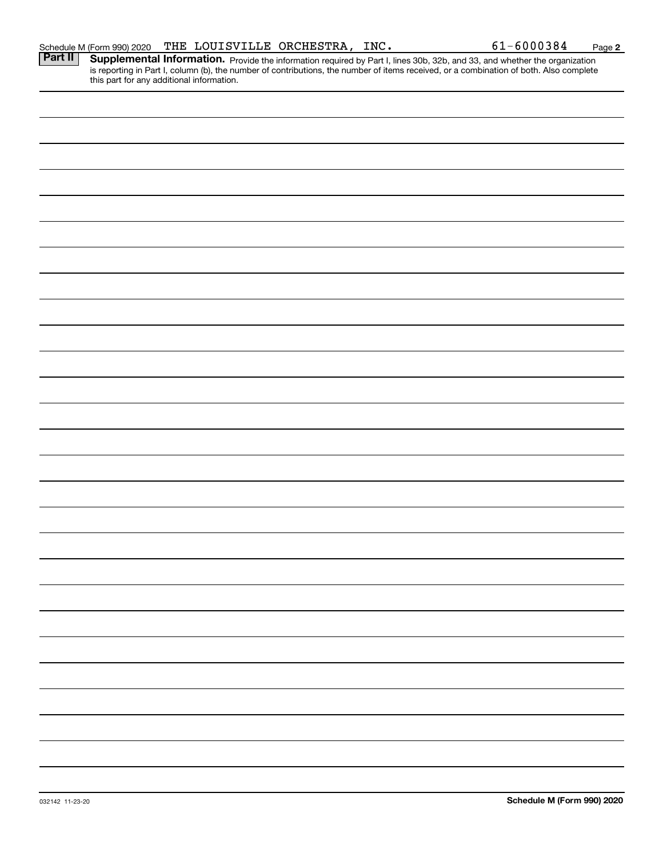|                | Schedule M (Form 990) 2020                |  | THE LOUISVILLE ORCHESTRA, INC. | 61-6000384                                                                                                                                                                                                                          | Page 2 |
|----------------|-------------------------------------------|--|--------------------------------|-------------------------------------------------------------------------------------------------------------------------------------------------------------------------------------------------------------------------------------|--------|
| <b>Part II</b> |                                           |  |                                | <b>Supplemental Information.</b> Provide the information required by Part I, lines 30b, 32b, and 33, and whether the organization is reporting in Part I, column (b), the number of contributions, the number of items received, or |        |
|                |                                           |  |                                |                                                                                                                                                                                                                                     |        |
|                | this part for any additional information. |  |                                |                                                                                                                                                                                                                                     |        |
|                |                                           |  |                                |                                                                                                                                                                                                                                     |        |
|                |                                           |  |                                |                                                                                                                                                                                                                                     |        |
|                |                                           |  |                                |                                                                                                                                                                                                                                     |        |
|                |                                           |  |                                |                                                                                                                                                                                                                                     |        |
|                |                                           |  |                                |                                                                                                                                                                                                                                     |        |
|                |                                           |  |                                |                                                                                                                                                                                                                                     |        |
|                |                                           |  |                                |                                                                                                                                                                                                                                     |        |
|                |                                           |  |                                |                                                                                                                                                                                                                                     |        |
|                |                                           |  |                                |                                                                                                                                                                                                                                     |        |
|                |                                           |  |                                |                                                                                                                                                                                                                                     |        |
|                |                                           |  |                                |                                                                                                                                                                                                                                     |        |
|                |                                           |  |                                |                                                                                                                                                                                                                                     |        |
|                |                                           |  |                                |                                                                                                                                                                                                                                     |        |
|                |                                           |  |                                |                                                                                                                                                                                                                                     |        |
|                |                                           |  |                                |                                                                                                                                                                                                                                     |        |
|                |                                           |  |                                |                                                                                                                                                                                                                                     |        |
|                |                                           |  |                                |                                                                                                                                                                                                                                     |        |
|                |                                           |  |                                |                                                                                                                                                                                                                                     |        |
|                |                                           |  |                                |                                                                                                                                                                                                                                     |        |
|                |                                           |  |                                |                                                                                                                                                                                                                                     |        |
|                |                                           |  |                                |                                                                                                                                                                                                                                     |        |
|                |                                           |  |                                |                                                                                                                                                                                                                                     |        |
|                |                                           |  |                                |                                                                                                                                                                                                                                     |        |
|                |                                           |  |                                |                                                                                                                                                                                                                                     |        |
|                |                                           |  |                                |                                                                                                                                                                                                                                     |        |
|                |                                           |  |                                |                                                                                                                                                                                                                                     |        |
|                |                                           |  |                                |                                                                                                                                                                                                                                     |        |
|                |                                           |  |                                |                                                                                                                                                                                                                                     |        |
|                |                                           |  |                                |                                                                                                                                                                                                                                     |        |
|                |                                           |  |                                |                                                                                                                                                                                                                                     |        |
|                |                                           |  |                                |                                                                                                                                                                                                                                     |        |
|                |                                           |  |                                |                                                                                                                                                                                                                                     |        |
|                |                                           |  |                                |                                                                                                                                                                                                                                     |        |
|                |                                           |  |                                |                                                                                                                                                                                                                                     |        |
|                |                                           |  |                                |                                                                                                                                                                                                                                     |        |
|                |                                           |  |                                |                                                                                                                                                                                                                                     |        |
|                |                                           |  |                                |                                                                                                                                                                                                                                     |        |
|                |                                           |  |                                |                                                                                                                                                                                                                                     |        |
|                |                                           |  |                                |                                                                                                                                                                                                                                     |        |
|                |                                           |  |                                |                                                                                                                                                                                                                                     |        |
|                |                                           |  |                                |                                                                                                                                                                                                                                     |        |
|                |                                           |  |                                |                                                                                                                                                                                                                                     |        |
|                |                                           |  |                                |                                                                                                                                                                                                                                     |        |
|                |                                           |  |                                |                                                                                                                                                                                                                                     |        |
|                |                                           |  |                                |                                                                                                                                                                                                                                     |        |
|                |                                           |  |                                |                                                                                                                                                                                                                                     |        |
|                |                                           |  |                                |                                                                                                                                                                                                                                     |        |
|                |                                           |  |                                |                                                                                                                                                                                                                                     |        |
|                |                                           |  |                                |                                                                                                                                                                                                                                     |        |
|                |                                           |  |                                |                                                                                                                                                                                                                                     |        |
|                |                                           |  |                                |                                                                                                                                                                                                                                     |        |
|                |                                           |  |                                |                                                                                                                                                                                                                                     |        |
|                |                                           |  |                                |                                                                                                                                                                                                                                     |        |
|                |                                           |  |                                |                                                                                                                                                                                                                                     |        |
|                |                                           |  |                                |                                                                                                                                                                                                                                     |        |
|                |                                           |  |                                |                                                                                                                                                                                                                                     |        |
|                |                                           |  |                                |                                                                                                                                                                                                                                     |        |
|                |                                           |  |                                |                                                                                                                                                                                                                                     |        |
|                |                                           |  |                                |                                                                                                                                                                                                                                     |        |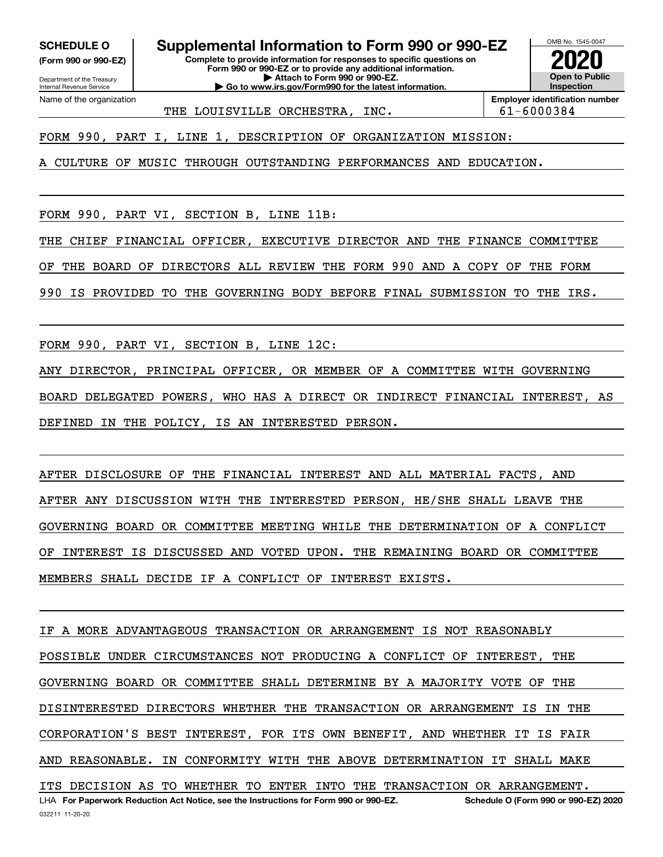**(Form 990 or 990-EZ)**

Department of the Treasury Internal Revenue Service Name of the organization

032211 11-20-20

**SCHEDULE O Supplemental Information to Form 990 or 990-EZ**

**Complete to provide information for responses to specific questions on Form 990 or 990-EZ or to provide any additional information. | Attach to Form 990 or 990-EZ. | Go to www.irs.gov/Form990 for the latest information.**



THE LOUISVILLE ORCHESTRA, INC.  $\vert$  61-6000384

**Employer identification number**

FORM 990, PART I, LINE 1, DESCRIPTION OF ORGANIZATION MISSION:

A CULTURE OF MUSIC THROUGH OUTSTANDING PERFORMANCES AND EDUCATION.

FORM 990, PART VI, SECTION B, LINE 11B:

THE CHIEF FINANCIAL OFFICER, EXECUTIVE DIRECTOR AND THE FINANCE COMMITTEE

OF THE BOARD OF DIRECTORS ALL REVIEW THE FORM 990 AND A COPY OF THE FORM

990 IS PROVIDED TO THE GOVERNING BODY BEFORE FINAL SUBMISSION TO THE IRS.

FORM 990, PART VI, SECTION B, LINE 12C:

ANY DIRECTOR, PRINCIPAL OFFICER, OR MEMBER OF A COMMITTEE WITH GOVERNING

BOARD DELEGATED POWERS, WHO HAS A DIRECT OR INDIRECT FINANCIAL INTEREST, AS DEFINED IN THE POLICY, IS AN INTERESTED PERSON.

AFTER DISCLOSURE OF THE FINANCIAL INTEREST AND ALL MATERIAL FACTS, AND AFTER ANY DISCUSSION WITH THE INTERESTED PERSON, HE/SHE SHALL LEAVE THE GOVERNING BOARD OR COMMITTEE MEETING WHILE THE DETERMINATION OF A CONFLICT OF INTEREST IS DISCUSSED AND VOTED UPON. THE REMAINING BOARD OR COMMITTEE MEMBERS SHALL DECIDE IF A CONFLICT OF INTEREST EXISTS.

LHA For Paperwork Reduction Act Notice, see the Instructions for Form 990 or 990-EZ. Schedule O (Form 990 or 990-EZ) 2020 IF A MORE ADVANTAGEOUS TRANSACTION OR ARRANGEMENT IS NOT REASONABLY POSSIBLE UNDER CIRCUMSTANCES NOT PRODUCING A CONFLICT OF INTEREST, THE GOVERNING BOARD OR COMMITTEE SHALL DETERMINE BY A MAJORITY VOTE OF THE DISINTERESTED DIRECTORS WHETHER THE TRANSACTION OR ARRANGEMENT IS IN THE CORPORATION'S BEST INTEREST, FOR ITS OWN BENEFIT, AND WHETHER IT IS FAIR AND REASONABLE. IN CONFORMITY WITH THE ABOVE DETERMINATION IT SHALL MAKE ITS DECISION AS TO WHETHER TO ENTER INTO THE TRANSACTION OR ARRANGEMENT.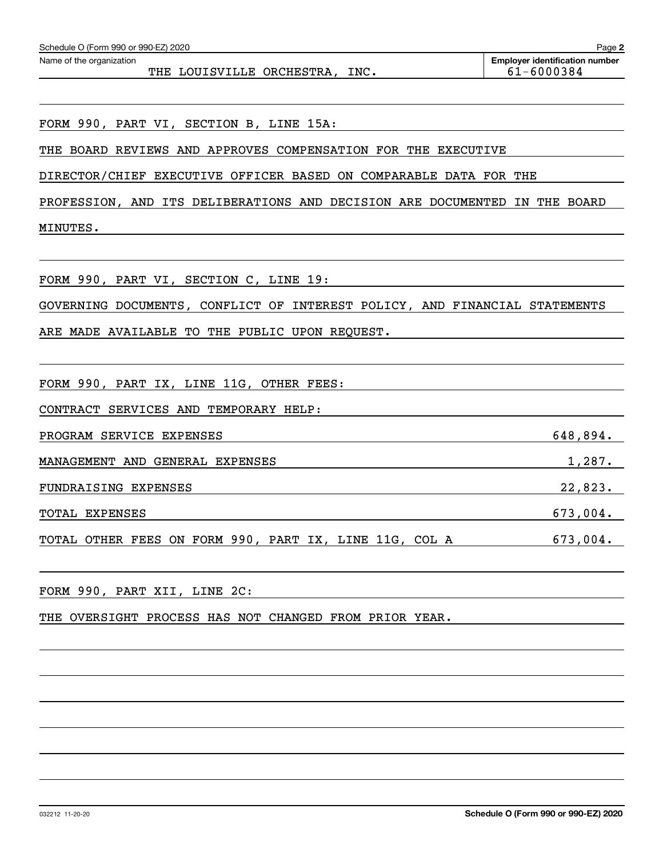| Schedule O (Form 990 or 990-EZ) 2020                                                    | Page 2                                              |
|-----------------------------------------------------------------------------------------|-----------------------------------------------------|
| Name of the organization<br>THE LOUISVILLE ORCHESTRA, INC.                              | <b>Employer identification number</b><br>61-6000384 |
|                                                                                         |                                                     |
| FORM 990, PART VI, SECTION B, LINE 15A:                                                 |                                                     |
| THE BOARD REVIEWS AND APPROVES COMPENSATION FOR THE EXECUTIVE                           |                                                     |
| DIRECTOR/CHIEF EXECUTIVE OFFICER BASED ON COMPARABLE DATA FOR THE                       |                                                     |
| PROFESSION, AND ITS DELIBERATIONS AND DECISION ARE DOCUMENTED IN THE BOARD              |                                                     |
| MINUTES.                                                                                |                                                     |
| FORM 990, PART VI, SECTION C, LINE 19:                                                  |                                                     |
| GOVERNING DOCUMENTS, CONFLICT OF INTEREST POLICY, AND FINANCIAL STATEMENTS              |                                                     |
| ARE MADE AVAILABLE TO THE PUBLIC UPON REQUEST.                                          |                                                     |
|                                                                                         |                                                     |
| FORM 990, PART IX, LINE 11G, OTHER FEES:                                                |                                                     |
| CONTRACT SERVICES AND TEMPORARY HELP:                                                   |                                                     |
| PROGRAM SERVICE EXPENSES                                                                | 648,894.                                            |
| MANAGEMENT AND GENERAL EXPENSES                                                         | 1,287.                                              |
| FUNDRAISING EXPENSES                                                                    | 22,823.                                             |
| TOTAL EXPENSES                                                                          | 673,004.                                            |
| TOTAL OTHER FEES ON FORM 990, PART IX, LINE 11G, COL A                                  | 673,004.                                            |
| FORM 990, PART XII, LINE 2C:<br><u> 1989 - Jan Samuel Barbara, martin din samud al-</u> |                                                     |
| THE OVERSIGHT PROCESS HAS NOT CHANGED FROM PRIOR YEAR.                                  |                                                     |
|                                                                                         |                                                     |
|                                                                                         |                                                     |
|                                                                                         |                                                     |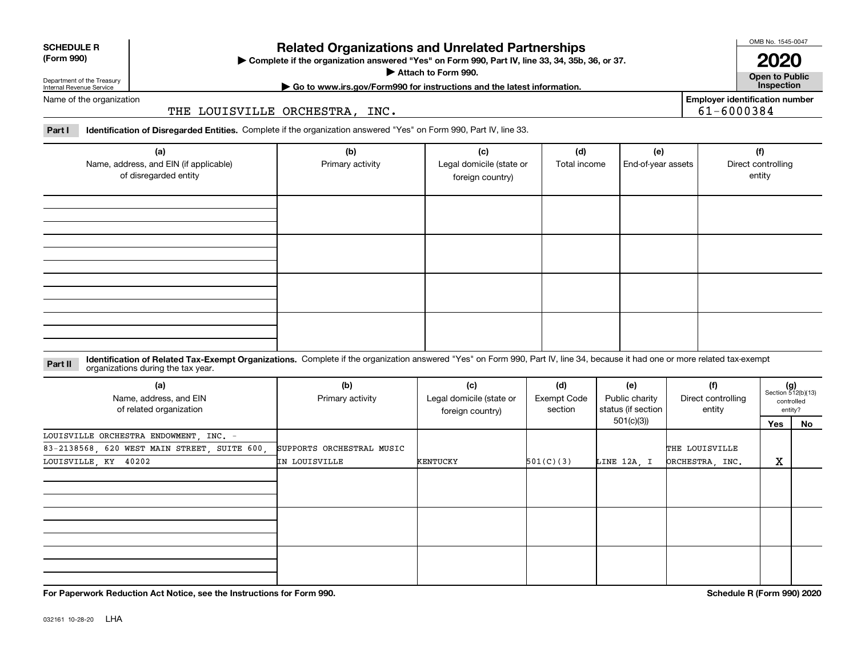| <b>SCHEDULE R</b> |
|-------------------|
| ----              |

#### **(Form 990)**

# **Related Organizations and Unrelated Partnerships**

**Complete if the organization answered "Yes" on Form 990, Part IV, line 33, 34, 35b, 36, or 37.** |

**Attach to Form 990.**  |

OMB No. 1545-0047 **2020**

**Open to Public | Go to www.irs.gov/Form990 for instructions and the latest information. Inspection**

61-6000384

**Employer identification number**

Department of the Treasury Internal Revenue Service Name of the organization

THE LOUISVILLE ORCHESTRA, INC.

**Part I Identification of Disregarded Entities.**  Complete if the organization answered "Yes" on Form 990, Part IV, line 33.

| (a)<br>Name, address, and EIN (if applicable)<br>of disregarded entity | (b)<br>Primary activity | (c)<br>Legal domicile (state or<br>foreign country) | (d)<br>Total income | (e)<br>End-of-year assets | (f)<br>Direct controlling<br>entity |
|------------------------------------------------------------------------|-------------------------|-----------------------------------------------------|---------------------|---------------------------|-------------------------------------|
|                                                                        |                         |                                                     |                     |                           |                                     |
|                                                                        |                         |                                                     |                     |                           |                                     |
|                                                                        |                         |                                                     |                     |                           |                                     |
|                                                                        |                         |                                                     |                     |                           |                                     |

**Identification of Related Tax-Exempt Organizations.** Complete if the organization answered "Yes" on Form 990, Part IV, line 34, because it had one or more related tax-exempt **Part II** organizations during the tax year.

| (a)<br>Name, address, and EIN<br>of related organization | (b)<br>Primary activity   | (c)<br>Legal domicile (state or<br>foreign country) | (d)<br>Exempt Code<br>section | (e)<br>Public charity<br>status (if section | (f)<br>Direct controlling<br>entity |     | $(g)$<br>Section 512(b)(13)<br>controlled<br>entity? |
|----------------------------------------------------------|---------------------------|-----------------------------------------------------|-------------------------------|---------------------------------------------|-------------------------------------|-----|------------------------------------------------------|
|                                                          |                           |                                                     |                               | 501(c)(3))                                  |                                     | Yes | No                                                   |
| LOUISVILLE ORCHESTRA ENDOWMENT, INC. -                   |                           |                                                     |                               |                                             |                                     |     |                                                      |
| 83-2138568, 620 WEST MAIN STREET, SUITE 600,             | SUPPORTS ORCHESTRAL MUSIC |                                                     |                               |                                             | THE LOUISVILLE                      |     |                                                      |
| LOUISVILLE, KY 40202                                     | IN LOUISVILLE             | KENTUCKY                                            | 501(C)(3)                     | LINE 12A, I                                 | ORCHESTRA, INC.                     | X   |                                                      |
|                                                          |                           |                                                     |                               |                                             |                                     |     |                                                      |
|                                                          |                           |                                                     |                               |                                             |                                     |     |                                                      |
|                                                          |                           |                                                     |                               |                                             |                                     |     |                                                      |

**For Paperwork Reduction Act Notice, see the Instructions for Form 990. Schedule R (Form 990) 2020**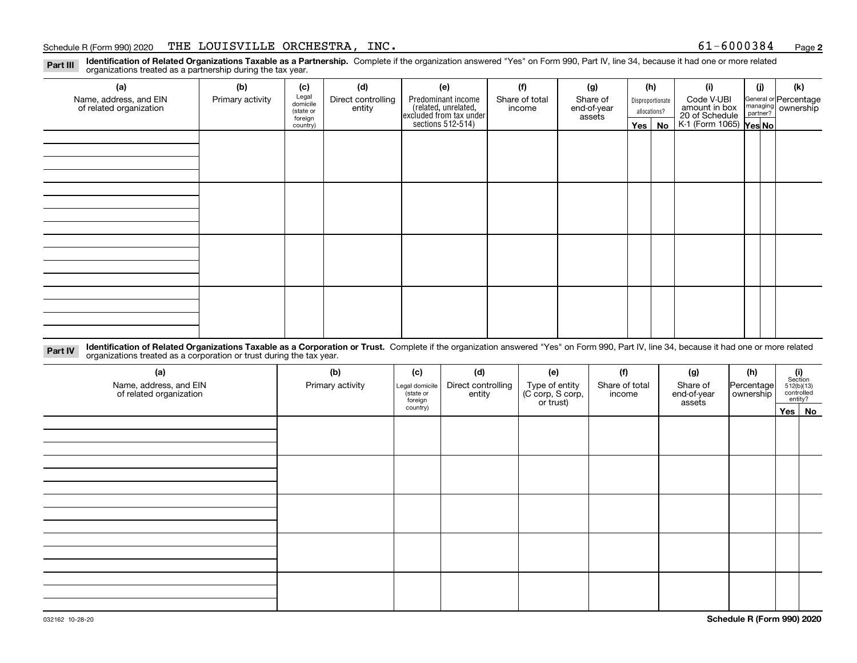#### Schedule R (Form 990) 2020 Page THE LOUISVILLE ORCHESTRA, INC. 61-6000384

**2**

**Identification of Related Organizations Taxable as a Partnership.** Complete if the organization answered "Yes" on Form 990, Part IV, line 34, because it had one or more related **Part III** organizations treated as a partnership during the tax year.

| (a)                                               | (b)              | (c)                  | (d)                          | (e)                                                                 | (f)                      | (g)                     |                  | (h) | (i)                                      | (j) | (k)                                                       |  |
|---------------------------------------------------|------------------|----------------------|------------------------------|---------------------------------------------------------------------|--------------------------|-------------------------|------------------|-----|------------------------------------------|-----|-----------------------------------------------------------|--|
| Name, address, and EIN<br>of related organization | Primary activity | Legal<br>domicile    | Direct controlling<br>entity | Predominant income                                                  | Share of total<br>income | Share of<br>end-of-year | Disproportionate |     | Code V-UBI<br>amount in box              |     | General or Percentage<br>managing<br>partner?<br>partner? |  |
|                                                   |                  | (state or<br>foreign |                              |                                                                     |                          |                         | assets           |     | allocations?                             |     |                                                           |  |
|                                                   |                  | country)             |                              | related, unrelated,<br>excluded from tax under<br>sections 512-514) |                          |                         | Yes $ $          | No  | 20 of Schedule<br>K-1 (Form 1065) Yes No |     |                                                           |  |
|                                                   |                  |                      |                              |                                                                     |                          |                         |                  |     |                                          |     |                                                           |  |
|                                                   |                  |                      |                              |                                                                     |                          |                         |                  |     |                                          |     |                                                           |  |
|                                                   |                  |                      |                              |                                                                     |                          |                         |                  |     |                                          |     |                                                           |  |
|                                                   |                  |                      |                              |                                                                     |                          |                         |                  |     |                                          |     |                                                           |  |
|                                                   |                  |                      |                              |                                                                     |                          |                         |                  |     |                                          |     |                                                           |  |
|                                                   |                  |                      |                              |                                                                     |                          |                         |                  |     |                                          |     |                                                           |  |
|                                                   |                  |                      |                              |                                                                     |                          |                         |                  |     |                                          |     |                                                           |  |
|                                                   |                  |                      |                              |                                                                     |                          |                         |                  |     |                                          |     |                                                           |  |
|                                                   |                  |                      |                              |                                                                     |                          |                         |                  |     |                                          |     |                                                           |  |
|                                                   |                  |                      |                              |                                                                     |                          |                         |                  |     |                                          |     |                                                           |  |
|                                                   |                  |                      |                              |                                                                     |                          |                         |                  |     |                                          |     |                                                           |  |
|                                                   |                  |                      |                              |                                                                     |                          |                         |                  |     |                                          |     |                                                           |  |
|                                                   |                  |                      |                              |                                                                     |                          |                         |                  |     |                                          |     |                                                           |  |
|                                                   |                  |                      |                              |                                                                     |                          |                         |                  |     |                                          |     |                                                           |  |
|                                                   |                  |                      |                              |                                                                     |                          |                         |                  |     |                                          |     |                                                           |  |
|                                                   |                  |                      |                              |                                                                     |                          |                         |                  |     |                                          |     |                                                           |  |
|                                                   |                  |                      |                              |                                                                     |                          |                         |                  |     |                                          |     |                                                           |  |

**Identification of Related Organizations Taxable as a Corporation or Trust.** Complete if the organization answered "Yes" on Form 990, Part IV, line 34, because it had one or more related **Part IV** organizations treated as a corporation or trust during the tax year.

| (a)<br>Name, address, and EIN<br>of related organization | (b)<br>Primary activity | (c)<br>Legal domicile<br>(state or<br>foreign | (d)<br>Direct controlling<br>entity | (e)<br>Type of entity<br>(C corp, S corp,<br>or trust) | (f)<br>Share of total<br>income | (g)<br>Share of<br>end-of-year<br>assets | (h)<br>Percentage<br>ownership | $\begin{array}{c} \textbf{(i)}\\ \text{Section}\\ 512 \text{(b)} \text{(13)}\\ \text{controlled}\\ \text{entity?} \end{array}$ |
|----------------------------------------------------------|-------------------------|-----------------------------------------------|-------------------------------------|--------------------------------------------------------|---------------------------------|------------------------------------------|--------------------------------|--------------------------------------------------------------------------------------------------------------------------------|
|                                                          |                         | country)                                      |                                     |                                                        |                                 |                                          |                                | Yes   No                                                                                                                       |
|                                                          |                         |                                               |                                     |                                                        |                                 |                                          |                                |                                                                                                                                |
|                                                          |                         |                                               |                                     |                                                        |                                 |                                          |                                |                                                                                                                                |
|                                                          |                         |                                               |                                     |                                                        |                                 |                                          |                                |                                                                                                                                |
|                                                          |                         |                                               |                                     |                                                        |                                 |                                          |                                |                                                                                                                                |
|                                                          |                         |                                               |                                     |                                                        |                                 |                                          |                                |                                                                                                                                |
|                                                          |                         |                                               |                                     |                                                        |                                 |                                          |                                |                                                                                                                                |
|                                                          |                         |                                               |                                     |                                                        |                                 |                                          |                                |                                                                                                                                |
|                                                          |                         |                                               |                                     |                                                        |                                 |                                          |                                |                                                                                                                                |
|                                                          |                         |                                               |                                     |                                                        |                                 |                                          |                                |                                                                                                                                |
|                                                          |                         |                                               |                                     |                                                        |                                 |                                          |                                |                                                                                                                                |
|                                                          |                         |                                               |                                     |                                                        |                                 |                                          |                                |                                                                                                                                |
|                                                          |                         |                                               |                                     |                                                        |                                 |                                          |                                |                                                                                                                                |
|                                                          |                         |                                               |                                     |                                                        |                                 |                                          |                                |                                                                                                                                |
|                                                          |                         |                                               |                                     |                                                        |                                 |                                          |                                |                                                                                                                                |
|                                                          |                         |                                               |                                     |                                                        |                                 |                                          |                                |                                                                                                                                |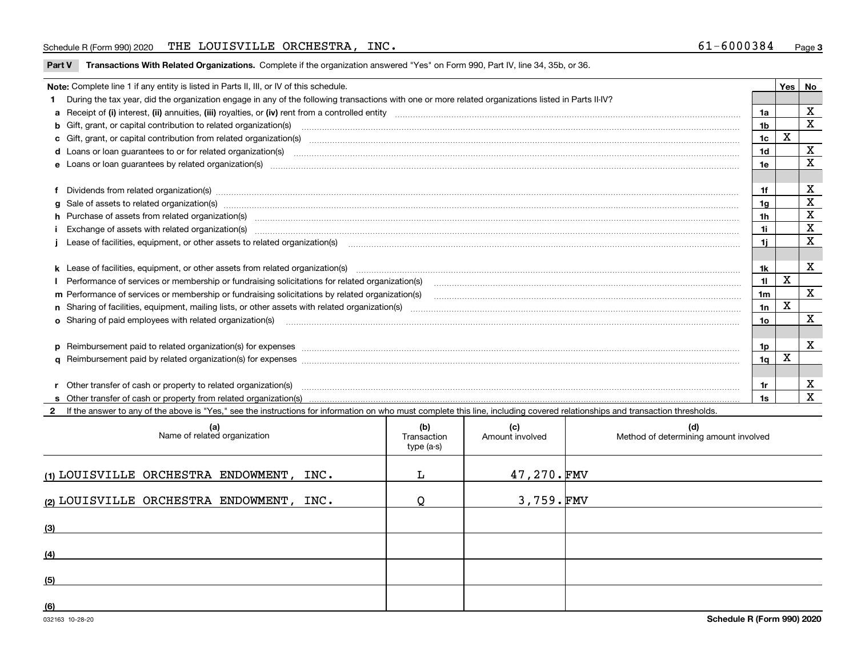#### Schedule R (Form 990) 2020 Page THE LOUISVILLE ORCHESTRA, INC. 61-6000384

| Part V Transactions With Related Organizations. Complete if the organization answered "Yes" on Form 990, Part IV, line 34, 35b, or 36. |  |
|----------------------------------------------------------------------------------------------------------------------------------------|--|
|                                                                                                                                        |  |

| Note: Complete line 1 if any entity is listed in Parts II, III, or IV of this schedule. |                                                                                                                                                                                                                                |                |   |             |  |  |
|-----------------------------------------------------------------------------------------|--------------------------------------------------------------------------------------------------------------------------------------------------------------------------------------------------------------------------------|----------------|---|-------------|--|--|
|                                                                                         | During the tax year, did the organization engage in any of the following transactions with one or more related organizations listed in Parts II-IV?                                                                            |                |   |             |  |  |
|                                                                                         |                                                                                                                                                                                                                                | 1a             |   | X           |  |  |
|                                                                                         | <b>b</b> Gift, grant, or capital contribution to related organization(s)                                                                                                                                                       | 1b             |   | X           |  |  |
|                                                                                         | c Gift, grant, or capital contribution from related organization(s) matches contains and contribution from related organization(s) matches contains and contribution from related organization(s) matches contains and contrib | 1 <sub>c</sub> | х |             |  |  |
|                                                                                         | <b>d</b> Loans or loan quarantees to or for related organization(s)                                                                                                                                                            | 1d             |   | X           |  |  |
|                                                                                         | e Loans or loan guarantees by related organization(s) manufaction contracts and an account of the contract of the contract or contract or contract or contract or contract or contract or contract or contract or contract or  | 1e             |   | X           |  |  |
|                                                                                         |                                                                                                                                                                                                                                |                |   |             |  |  |
|                                                                                         | Dividends from related organization(s) CONSECTED MAGNET CONSECTED MAGNETIC CONSECTED MAGNETIC CONSECTED MAGNET                                                                                                                 | 1f             |   | х           |  |  |
|                                                                                         | g Sale of assets to related organization(s) www.assettion.com/www.assettion.com/www.assettion.com/www.assettion.com/www.assettion.com/www.assettion.com/www.assettion.com/www.assettion.com/www.assettion.com/www.assettion.co | 1g             |   | X           |  |  |
|                                                                                         | h Purchase of assets from related organization(s) www.assettion.com/www.assettion.com/www.assettion.com/www.assettion.com/www.assettion.com/www.assettion.com/www.assettion.com/www.assettion.com/www.assettion.com/www.assett | 1h             |   | $\mathbf X$ |  |  |
|                                                                                         |                                                                                                                                                                                                                                | 1i             |   | X           |  |  |
|                                                                                         | Lease of facilities, equipment, or other assets to related organization(s) [11] manufactured manufactured manufactured manufactured manufactured manufactured manufactured manufactured manufactured manufactured manufactured | 11             |   | X           |  |  |
|                                                                                         |                                                                                                                                                                                                                                |                |   |             |  |  |
|                                                                                         | k Lease of facilities, equipment, or other assets from related organization(s) manufaction content and content to the assets from related organization(s) manufaction content and content and content and content and content  | 1k.            |   | X           |  |  |
|                                                                                         | Performance of services or membership or fundraising solicitations for related organization(s)                                                                                                                                 | 11             | X |             |  |  |
|                                                                                         | m Performance of services or membership or fundraising solicitations by related organization(s)                                                                                                                                | 1m             |   | X           |  |  |
|                                                                                         |                                                                                                                                                                                                                                | 1n             | X |             |  |  |
|                                                                                         | <b>o</b> Sharing of paid employees with related organization(s)                                                                                                                                                                | 10             |   | X           |  |  |
|                                                                                         |                                                                                                                                                                                                                                |                |   |             |  |  |
|                                                                                         |                                                                                                                                                                                                                                | 1p.            |   | X           |  |  |
|                                                                                         |                                                                                                                                                                                                                                | 1q             | х |             |  |  |
|                                                                                         |                                                                                                                                                                                                                                |                |   |             |  |  |
|                                                                                         | r Other transfer of cash or property to related organization(s)                                                                                                                                                                | 1r.            |   | х           |  |  |
|                                                                                         |                                                                                                                                                                                                                                | 1s             |   | $\mathbf X$ |  |  |
|                                                                                         | 2 If the answer to any of the above is "Yes," see the instructions for information on who must complete this line, including covered relationships and transaction thresholds.                                                 |                |   |             |  |  |

| (a)<br>Name of related organization      | (b)<br>Transaction<br>type (a-s) | (c)<br>Amount involved | (d)<br>Method of determining amount involved |
|------------------------------------------|----------------------------------|------------------------|----------------------------------------------|
| (1) LOUISVILLE ORCHESTRA ENDOWMENT, INC. |                                  | 47,270.FMV             |                                              |
| (2) LOUISVILLE ORCHESTRA ENDOWMENT, INC. |                                  | $3,759.$ FMV           |                                              |
| (3)                                      |                                  |                        |                                              |
| (4)                                      |                                  |                        |                                              |
| (5)                                      |                                  |                        |                                              |
| (6)                                      |                                  |                        |                                              |

 $\overline{\phantom{a}}$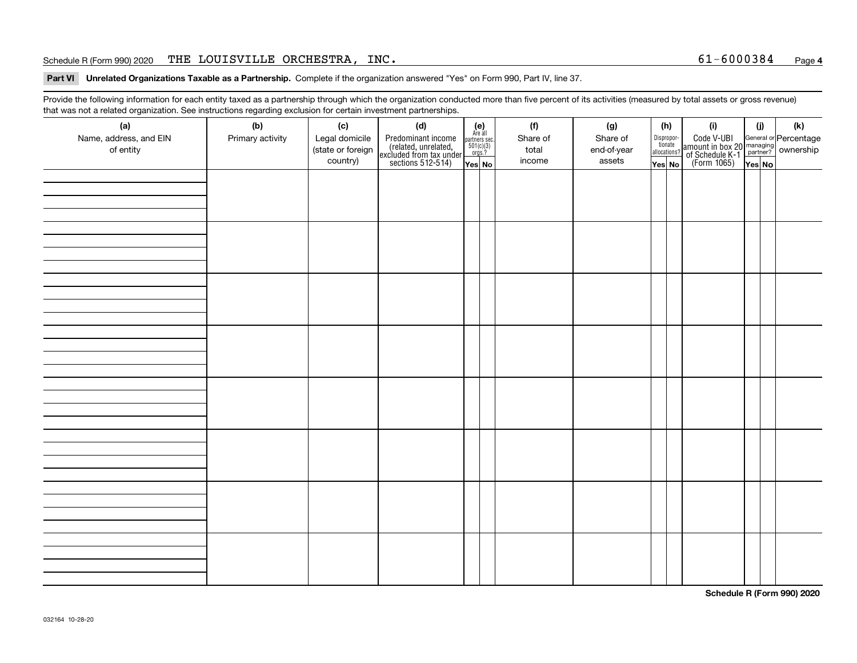#### Schedule R (Form 990) 2020 Page THE LOUISVILLE ORCHESTRA, INC. 61-6000384

#### **4**

**Part VI Unrelated Organizations Taxable as a Partnership. Complete if the organization answered "Yes" on Form 990, Part IV, line 37.** 

Provide the following information for each entity taxed as a partnership through which the organization conducted more than five percent of its activities (measured by total assets or gross revenue) that was not a related organization. See instructions regarding exclusion for certain investment partnerships.

| ີ<br>(a)<br>Name, address, and EIN<br>of entity | $\tilde{}$<br>(b)<br>Primary activity | (c)<br>Legal domicile<br>(state or foreign<br>country) | (d)<br>Predominant income<br>(related, unrelated,<br>excluded from tax under<br>sections 512-514) | $(e)$<br>Are all<br>partners sec.<br>501(c)(3)<br>orgs.?<br>Yes No | (f)<br>Share of<br>total<br>income | (g)<br>Share of<br>end-of-year<br>assets | (h)<br>Dispropor-<br>tionate<br>allocations?<br>Yes No | (i)<br>Code V-UBI<br>amount in box 20 managing<br>of Schedule K-1<br>(Form 1065)<br>$\overline{Yes}$ No | (i)<br>Yes No | (k) |
|-------------------------------------------------|---------------------------------------|--------------------------------------------------------|---------------------------------------------------------------------------------------------------|--------------------------------------------------------------------|------------------------------------|------------------------------------------|--------------------------------------------------------|---------------------------------------------------------------------------------------------------------|---------------|-----|
|                                                 |                                       |                                                        |                                                                                                   |                                                                    |                                    |                                          |                                                        |                                                                                                         |               |     |
|                                                 |                                       |                                                        |                                                                                                   |                                                                    |                                    |                                          |                                                        |                                                                                                         |               |     |
|                                                 |                                       |                                                        |                                                                                                   |                                                                    |                                    |                                          |                                                        |                                                                                                         |               |     |
|                                                 |                                       |                                                        |                                                                                                   |                                                                    |                                    |                                          |                                                        |                                                                                                         |               |     |
|                                                 |                                       |                                                        |                                                                                                   |                                                                    |                                    |                                          |                                                        |                                                                                                         |               |     |
|                                                 |                                       |                                                        |                                                                                                   |                                                                    |                                    |                                          |                                                        |                                                                                                         |               |     |
|                                                 |                                       |                                                        |                                                                                                   |                                                                    |                                    |                                          |                                                        |                                                                                                         |               |     |
|                                                 |                                       |                                                        |                                                                                                   |                                                                    |                                    |                                          |                                                        |                                                                                                         |               |     |
|                                                 |                                       |                                                        |                                                                                                   |                                                                    |                                    |                                          |                                                        |                                                                                                         |               |     |

**Schedule R (Form 990) 2020**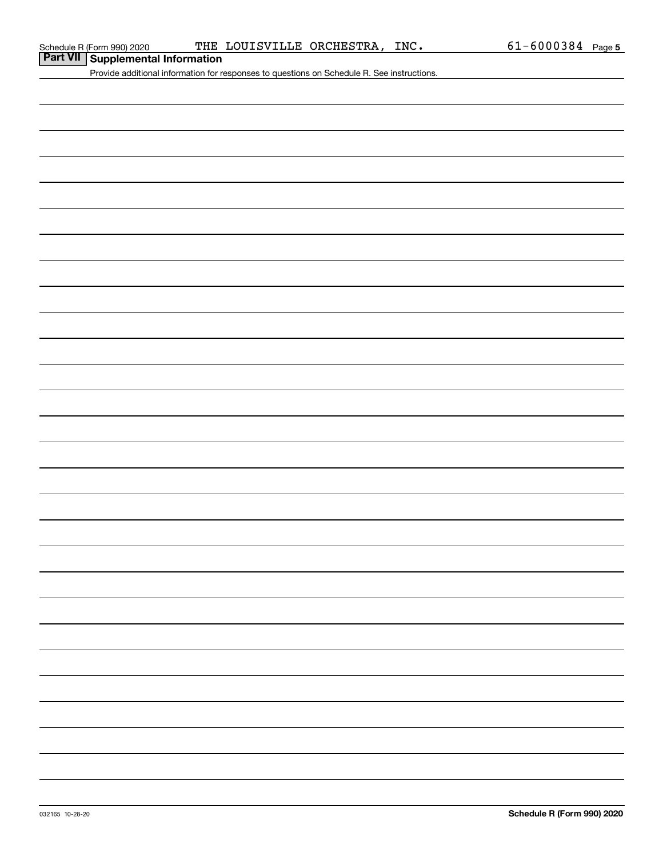#### Schedule R (Form 990) 2020 THE LOUISVILLE ORCHESTRA, INC 6 $1$ -600038 $4$  Page

# **Part VII Supplemental Information**

Provide additional information for responses to questions on Schedule R. See instructions.